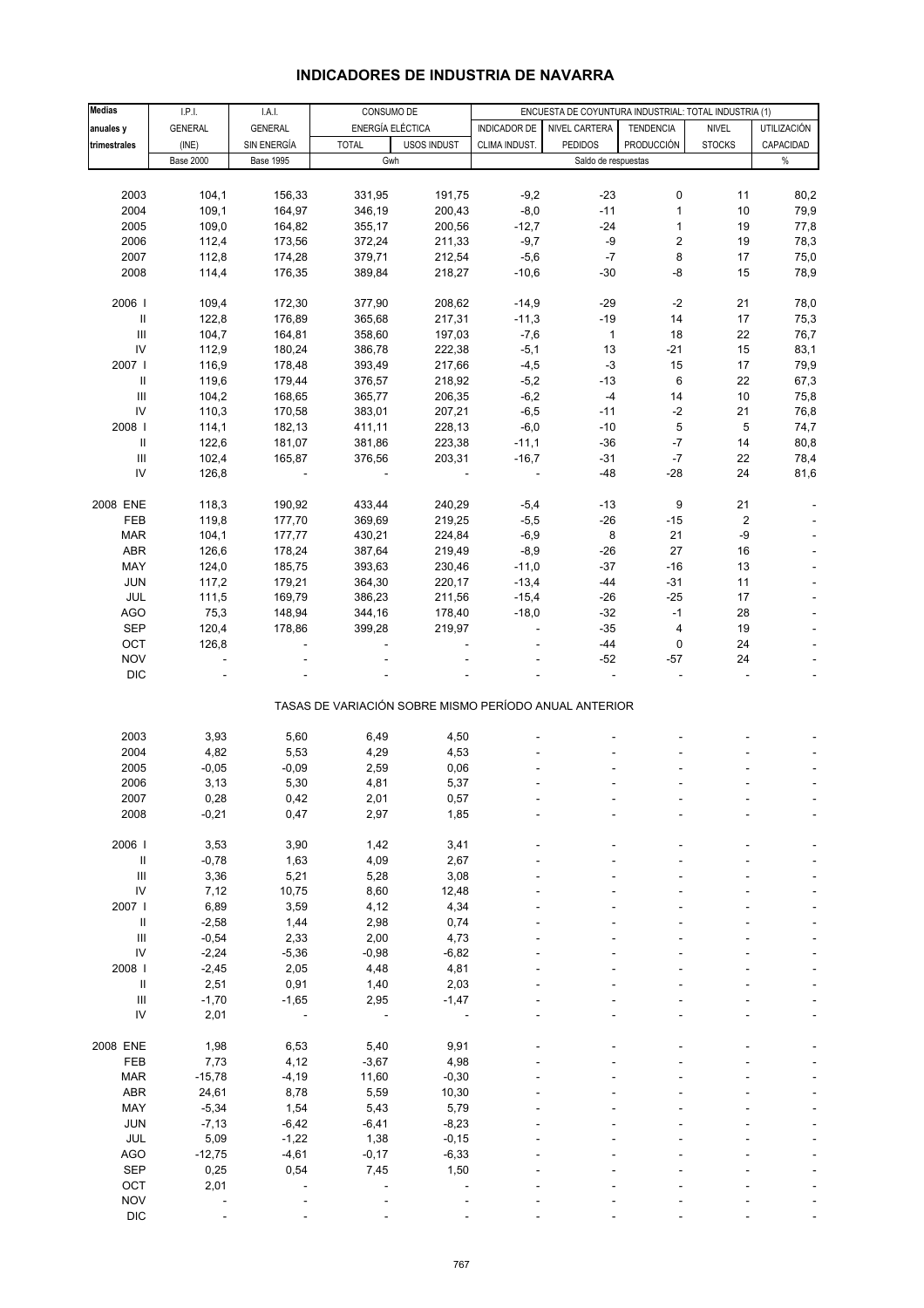# **INDICADORES DE INDUSTRIA DE NAVARRA**

| <b>Medias</b>                      | I.P.I.           |                  | CONSUMO DE                                            |                    |                     |                                                       |                  |                         |                    |
|------------------------------------|------------------|------------------|-------------------------------------------------------|--------------------|---------------------|-------------------------------------------------------|------------------|-------------------------|--------------------|
|                                    |                  | I.A.I.           |                                                       |                    |                     | ENCUESTA DE COYUNTURA INDUSTRIAL: TOTAL INDUSTRIA (1) |                  |                         |                    |
| anuales y                          | <b>GENERAL</b>   | <b>GENERAL</b>   | ENERGÍA ELÉCTICA                                      |                    | <b>INDICADOR DE</b> | NIVEL CARTERA                                         | <b>TENDENCIA</b> | <b>NIVEL</b>            | <b>UTILIZACIÓN</b> |
| trimestrales                       | (INE)            | SIN ENERGÍA      | <b>TOTAL</b>                                          | <b>USOS INDUST</b> | CLIMA INDUST.       | <b>PEDIDOS</b>                                        | PRODUCCIÓN       | <b>STOCKS</b>           | CAPACIDAD          |
|                                    | <b>Base 2000</b> | <b>Base 1995</b> | Gwh                                                   |                    |                     | Saldo de respuestas                                   |                  |                         | $\%$               |
|                                    |                  |                  |                                                       |                    |                     |                                                       |                  |                         |                    |
| 2003                               | 104,1            | 156,33           | 331,95                                                | 191,75             | $-9,2$              | $-23$                                                 | 0                | 11                      | 80,2               |
|                                    |                  |                  |                                                       |                    |                     |                                                       |                  |                         |                    |
| 2004                               | 109,1            | 164,97           | 346,19                                                | 200,43             | $-8,0$              | $-11$                                                 | $\mathbf{1}$     | 10                      | 79,9               |
| 2005                               | 109,0            | 164,82           | 355,17                                                | 200,56             | $-12,7$             | $-24$                                                 | $\mathbf{1}$     | 19                      | 77,8               |
| 2006                               | 112,4            | 173,56           | 372,24                                                | 211,33             | $-9,7$              | -9                                                    | 2                | 19                      | 78,3               |
| 2007                               | 112,8            | 174,28           | 379,71                                                | 212,54             | $-5,6$              | $-7$                                                  | 8                | 17                      | 75,0               |
| 2008                               | 114,4            | 176,35           | 389,84                                                | 218,27             | $-10,6$             | $-30$                                                 | -8               | 15                      | 78,9               |
|                                    |                  |                  |                                                       |                    |                     |                                                       |                  |                         |                    |
|                                    |                  |                  |                                                       |                    |                     |                                                       |                  |                         |                    |
| 2006                               | 109,4            | 172,30           | 377,90                                                | 208,62             | $-14,9$             | -29                                                   | $-2$             | 21                      | 78,0               |
| Ш                                  | 122,8            | 176,89           | 365,68                                                | 217,31             | $-11,3$             | $-19$                                                 | 14               | 17                      | 75,3               |
| $\ensuremath{\mathsf{III}}\xspace$ | 104,7            | 164,81           | 358,60                                                | 197,03             | $-7,6$              | $\mathbf{1}$                                          | 18               | 22                      | 76,7               |
| IV                                 | 112,9            | 180,24           | 386,78                                                | 222,38             | $-5,1$              | 13                                                    | $-21$            | 15                      | 83,1               |
| 2007                               | 116,9            | 178,48           | 393,49                                                | 217,66             | $-4,5$              | $-3$                                                  | 15               | 17                      | 79,9               |
| $\mathbf{II}$                      | 119,6            | 179,44           | 376,57                                                | 218,92             | $-5,2$              | $-13$                                                 | 6                | 22                      | 67,3               |
| $\ensuremath{\mathsf{III}}\xspace$ |                  |                  |                                                       |                    | $-6,2$              | $-4$                                                  | 14               |                         |                    |
|                                    | 104,2            | 168,65           | 365,77                                                | 206,35             |                     |                                                       |                  | 10                      | 75,8               |
| IV                                 | 110,3            | 170,58           | 383,01                                                | 207,21             | $-6,5$              | $-11$                                                 | $-2$             | 21                      | 76,8               |
| 2008                               | 114,1            | 182,13           | 411,11                                                | 228,13             | $-6,0$              | $-10$                                                 | 5                | 5                       | 74,7               |
| Ш                                  | 122,6            | 181,07           | 381,86                                                | 223,38             | $-11,1$             | $-36$                                                 | $-7$             | 14                      | 80,8               |
| Ш                                  | 102,4            | 165,87           | 376,56                                                | 203,31             | $-16,7$             | $-31$                                                 | $-7$             | 22                      | 78,4               |
| IV                                 | 126,8            |                  |                                                       |                    |                     | $-48$                                                 | $-28$            | 24                      | 81,6               |
|                                    |                  |                  |                                                       |                    |                     |                                                       |                  |                         |                    |
|                                    |                  |                  |                                                       |                    |                     |                                                       |                  |                         |                    |
| 2008 ENE                           | 118,3            | 190,92           | 433,44                                                | 240,29             | $-5,4$              | $-13$                                                 | 9                | 21                      |                    |
| FEB                                | 119,8            | 177,70           | 369,69                                                | 219,25             | $-5,5$              | $-26$                                                 | $-15$            | $\overline{\mathbf{c}}$ |                    |
| <b>MAR</b>                         | 104,1            | 177,77           | 430,21                                                | 224,84             | $-6,9$              | 8                                                     | 21               | -9                      |                    |
| ABR                                | 126,6            | 178,24           | 387,64                                                | 219,49             | $-8,9$              | -26                                                   | 27               | 16                      |                    |
| MAY                                | 124,0            | 185,75           | 393,63                                                | 230,46             | $-11,0$             | $-37$                                                 | $-16$            | 13                      |                    |
| <b>JUN</b>                         | 117,2            | 179,21           | 364,30                                                | 220,17             | $-13,4$             | -44                                                   | $-31$            | 11                      |                    |
|                                    |                  |                  |                                                       |                    |                     |                                                       |                  |                         |                    |
| JUL                                | 111,5            | 169,79           | 386,23                                                | 211,56             | $-15,4$             | -26                                                   | $-25$            | 17                      |                    |
| <b>AGO</b>                         | 75,3             | 148,94           | 344,16                                                | 178,40             | $-18,0$             | $-32$                                                 | $-1$             | 28                      |                    |
| <b>SEP</b>                         | 120,4            | 178,86           | 399,28                                                | 219,97             |                     | $-35$                                                 | 4                | 19                      |                    |
| OCT                                | 126,8            |                  |                                                       |                    |                     | $-44$                                                 | 0                | 24                      |                    |
| <b>NOV</b>                         | ÷,               |                  |                                                       |                    |                     | $-52$                                                 | $-57$            | 24                      |                    |
| <b>DIC</b>                         |                  |                  |                                                       |                    |                     |                                                       |                  |                         |                    |
|                                    |                  |                  |                                                       |                    |                     |                                                       |                  |                         |                    |
|                                    |                  |                  | TASAS DE VARIACIÓN SOBRE MISMO PERÍODO ANUAL ANTERIOR |                    |                     |                                                       |                  |                         |                    |
|                                    |                  |                  |                                                       |                    |                     |                                                       |                  |                         |                    |
| 2003                               | 3,93             | 5,60             | 6,49                                                  | 4,50               |                     |                                                       |                  |                         |                    |
| 2004                               | 4,82             | 5,53             | 4,29                                                  | 4,53               |                     |                                                       |                  |                         |                    |
| 2005                               | $-0,05$          | $-0,09$          | 2,59                                                  | 0,06               |                     |                                                       |                  |                         |                    |
| 2006                               | 3,13             | 5,30             | 4,81                                                  | 5,37               |                     |                                                       |                  |                         |                    |
|                                    |                  |                  |                                                       |                    |                     |                                                       |                  |                         |                    |
| 2007                               | 0,28             | 0,42             | 2,01                                                  | 0,57               |                     |                                                       |                  |                         |                    |
| 2008                               | $-0,21$          | 0,47             | 2,97                                                  | 1,85               |                     |                                                       |                  |                         |                    |
|                                    |                  |                  |                                                       |                    |                     |                                                       |                  |                         |                    |
| 2006                               | 3,53             | 3,90             | 1,42                                                  | 3,41               |                     |                                                       |                  |                         |                    |
| $\ensuremath{\mathsf{II}}$         | $-0,78$          | 1,63             | 4,09                                                  | 2,67               |                     |                                                       |                  |                         |                    |
| $\ensuremath{\mathsf{III}}\xspace$ | 3,36             | 5,21             | 5,28                                                  | 3,08               |                     |                                                       |                  |                         |                    |
| ${\sf IV}$                         | 7,12             | 10,75            | 8,60                                                  | 12,48              |                     |                                                       |                  |                         |                    |
|                                    |                  |                  |                                                       |                    |                     |                                                       |                  |                         |                    |
| 2007 l                             | 6,89             | 3,59             | 4,12                                                  | 4,34               |                     |                                                       |                  |                         |                    |
| Ш                                  | $-2,58$          | 1,44             | 2,98                                                  | 0,74               |                     |                                                       |                  |                         |                    |
| $\ensuremath{\mathsf{III}}\xspace$ | $-0,54$          | 2,33             | 2,00                                                  | 4,73               |                     |                                                       |                  |                         |                    |
| ${\sf IV}$                         | $-2,24$          | $-5,36$          | $-0,98$                                               | $-6,82$            |                     |                                                       |                  |                         |                    |
| 2008                               | $-2,45$          | 2,05             | 4,48                                                  | 4,81               |                     |                                                       |                  |                         |                    |
| $\, \parallel$                     | 2,51             | 0,91             | 1,40                                                  | 2,03               |                     |                                                       |                  |                         |                    |
|                                    |                  |                  |                                                       |                    |                     |                                                       |                  |                         |                    |
| $\ensuremath{\mathsf{III}}\xspace$ | $-1,70$          | $-1,65$          | 2,95                                                  | $-1,47$            |                     |                                                       |                  |                         |                    |
| ${\sf IV}$                         | 2,01             |                  |                                                       |                    |                     |                                                       |                  |                         |                    |
|                                    |                  |                  |                                                       |                    |                     |                                                       |                  |                         |                    |
| 2008 ENE                           | 1,98             | 6,53             | 5,40                                                  | 9,91               |                     |                                                       |                  |                         |                    |
| FEB                                | 7,73             | 4,12             | $-3,67$                                               | 4,98               |                     |                                                       |                  |                         |                    |
| <b>MAR</b>                         | $-15,78$         | $-4,19$          | 11,60                                                 | $-0,30$            |                     |                                                       |                  |                         |                    |
|                                    |                  |                  |                                                       |                    |                     |                                                       |                  |                         |                    |
| ABR                                | 24,61            | 8,78             | 5,59                                                  | 10,30              |                     |                                                       |                  |                         |                    |
| MAY                                | $-5,34$          | 1,54             | 5,43                                                  | 5,79               |                     |                                                       |                  |                         |                    |
| JUN                                | $-7,13$          | $-6,42$          | $-6,41$                                               | $-8,23$            |                     |                                                       |                  |                         |                    |
| JUL                                | 5,09             | $-1,22$          | 1,38                                                  | $-0,15$            |                     |                                                       |                  |                         |                    |
| AGO                                | $-12,75$         | $-4,61$          | $-0,17$                                               | $-6,33$            |                     |                                                       |                  |                         |                    |
| SEP                                | 0,25             | 0,54             | 7,45                                                  | 1,50               |                     |                                                       |                  |                         |                    |
| OCT                                |                  |                  |                                                       |                    |                     |                                                       |                  |                         |                    |
|                                    | 2,01             |                  |                                                       |                    |                     |                                                       |                  |                         |                    |
| <b>NOV</b>                         |                  |                  |                                                       |                    |                     |                                                       |                  |                         |                    |
| <b>DIC</b>                         |                  |                  |                                                       |                    |                     |                                                       |                  |                         |                    |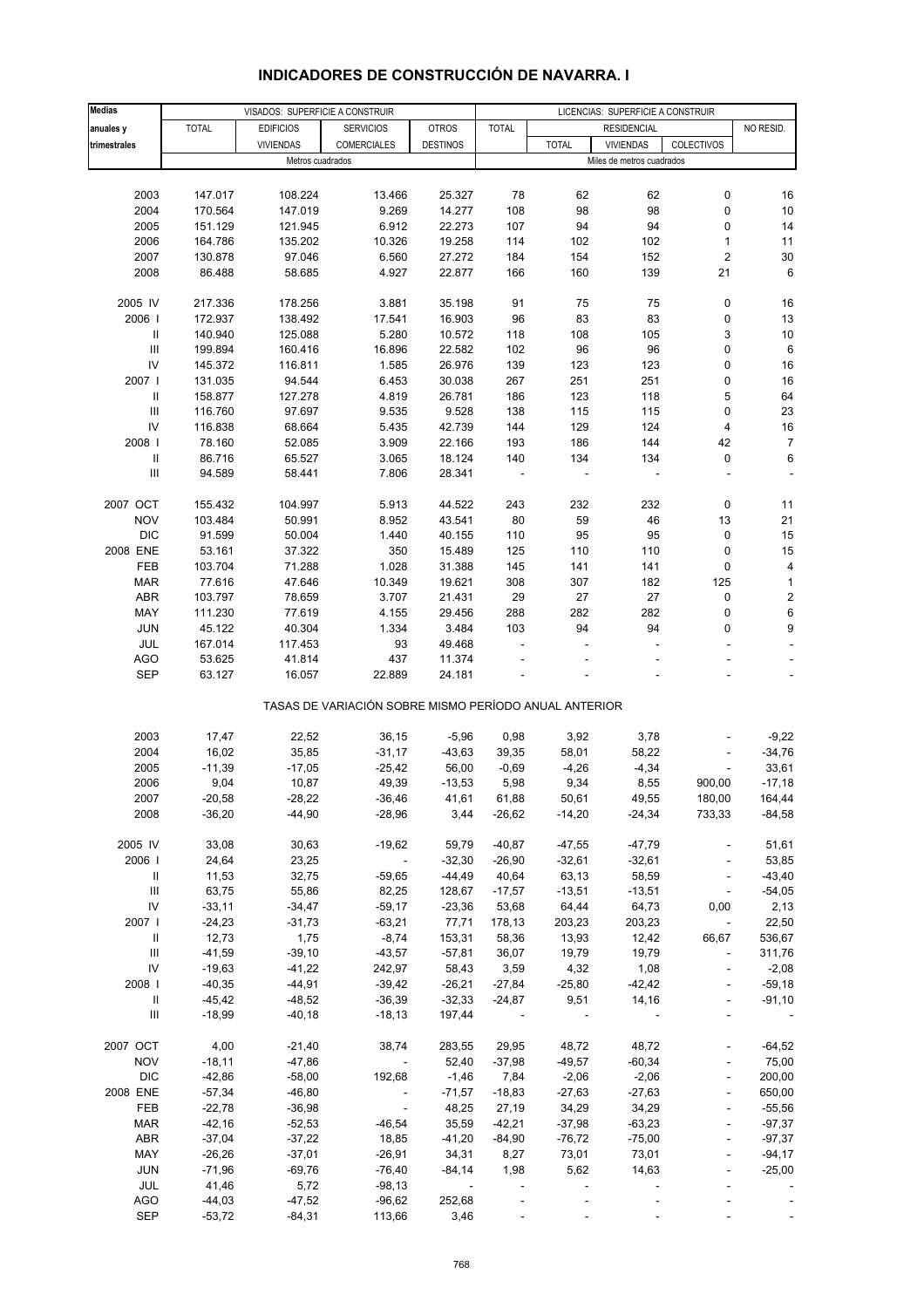| <b>Medias</b>                      |              |                                                     | LICENCIAS: SUPERFICIE A CONSTRUIR                     |                          |              |              |                           |                |                          |
|------------------------------------|--------------|-----------------------------------------------------|-------------------------------------------------------|--------------------------|--------------|--------------|---------------------------|----------------|--------------------------|
| anuales y                          | <b>TOTAL</b> | VISADOS: SUPERFICIE A CONSTRUIR<br><b>EDIFICIOS</b> | <b>SERVICIOS</b>                                      | <b>OTROS</b>             | <b>TOTAL</b> |              | <b>RESIDENCIAL</b>        |                | NO RESID.                |
| trimestrales                       |              | <b>VIVIENDAS</b>                                    | COMERCIALES                                           | <b>DESTINOS</b>          |              | <b>TOTAL</b> | <b>VIVIENDAS</b>          | COLECTIVOS     |                          |
|                                    |              | Metros cuadrados                                    |                                                       |                          |              |              | Miles de metros cuadrados |                |                          |
|                                    |              |                                                     |                                                       |                          |              |              |                           |                |                          |
| 2003                               | 147.017      | 108.224                                             | 13.466                                                | 25.327                   | 78           | 62           | 62                        | 0              | 16                       |
| 2004                               | 170.564      | 147.019                                             | 9.269                                                 | 14.277                   | 108          | 98           | 98                        | 0              | 10                       |
| 2005                               | 151.129      | 121.945                                             | 6.912                                                 | 22.273                   | 107          | 94           | 94                        | 0              | 14                       |
| 2006                               | 164.786      | 135.202                                             | 10.326                                                | 19.258                   | 114          | 102          | 102                       | 1              | 11                       |
| 2007                               | 130.878      | 97.046                                              | 6.560                                                 | 27.272                   | 184          | 154          | 152                       | 2              | 30                       |
| 2008                               | 86.488       | 58.685                                              | 4.927                                                 | 22.877                   | 166          | 160          | 139                       | 21             | 6                        |
|                                    |              |                                                     |                                                       |                          |              |              |                           |                |                          |
| 2005 IV                            | 217.336      | 178.256                                             | 3.881                                                 | 35.198                   | 91           | 75           | 75                        | 0              | 16                       |
| 2006                               | 172.937      | 138.492                                             | 17.541                                                | 16.903                   | 96           | 83           | 83                        | 0              | 13                       |
| Ш                                  | 140.940      | 125.088                                             | 5.280                                                 | 10.572                   | 118          | 108          | 105                       | 3              | 10                       |
| $\ensuremath{\mathsf{III}}\xspace$ | 199.894      | 160.416                                             | 16.896                                                | 22.582                   | 102          | 96           | 96                        | 0              | 6                        |
| IV                                 | 145.372      | 116.811                                             | 1.585                                                 | 26.976                   | 139          | 123          | 123                       | 0              | 16                       |
| 2007 l                             | 131.035      | 94.544                                              | 6.453                                                 | 30.038                   | 267          | 251          | 251                       | 0              | 16                       |
| Ш                                  | 158.877      | 127.278                                             | 4.819                                                 | 26.781                   | 186          | 123          | 118                       | 5              | 64                       |
| $\ensuremath{\mathsf{III}}\xspace$ | 116.760      | 97.697                                              | 9.535                                                 | 9.528                    | 138          | 115          | 115                       | 0              | 23                       |
| IV                                 | 116.838      | 68.664                                              | 5.435                                                 | 42.739                   | 144          | 129          | 124                       | 4              | 16                       |
| 2008                               | 78.160       | 52.085                                              | 3.909                                                 | 22.166                   | 193          | 186          | 144                       | 42             | $\overline{7}$           |
| $\ensuremath{\mathsf{II}}$         | 86.716       | 65.527                                              | 3.065                                                 | 18.124                   | 140          | 134          | 134                       | 0              | 6                        |
| $\ensuremath{\mathsf{III}}\xspace$ | 94.589       | 58.441                                              | 7.806                                                 | 28.341                   | ÷,           |              | ÷,                        |                | $\overline{a}$           |
|                                    |              |                                                     |                                                       |                          |              |              |                           |                |                          |
| 2007 OCT                           | 155.432      | 104.997                                             | 5.913                                                 | 44.522                   | 243          | 232          | 232                       | 0              | 11                       |
| <b>NOV</b>                         | 103.484      | 50.991                                              | 8.952                                                 | 43.541                   | 80           | 59           | 46                        | 13             | 21                       |
| <b>DIC</b>                         | 91.599       | 50.004                                              | 1.440                                                 | 40.155                   | 110          | 95           | 95                        | 0              | 15                       |
| 2008 ENE                           | 53.161       | 37.322                                              | 350                                                   | 15.489                   | 125          | 110          | 110                       | 0              | 15                       |
| FEB                                | 103.704      | 71.288                                              | 1.028                                                 | 31.388                   | 145          | 141          | 141                       | 0              | 4                        |
| <b>MAR</b>                         | 77.616       | 47.646                                              | 10.349                                                | 19.621                   | 308          | 307          | 182                       | 125            | $\mathbf{1}$             |
| ABR                                | 103.797      | 78.659                                              | 3.707                                                 | 21.431                   | 29           | 27           | 27                        | 0              | $\overline{\mathbf{c}}$  |
| MAY                                | 111.230      | 77.619                                              | 4.155                                                 | 29.456                   | 288          | 282          | 282                       | 0              | 6                        |
| <b>JUN</b>                         | 45.122       | 40.304                                              | 1.334                                                 | 3.484                    | 103          | 94           | 94                        | 0              | 9                        |
| JUL                                | 167.014      | 117.453                                             | 93                                                    | 49.468                   |              |              |                           |                |                          |
| <b>AGO</b>                         | 53.625       | 41.814                                              | 437                                                   | 11.374                   |              |              |                           |                |                          |
| <b>SEP</b>                         | 63.127       | 16.057                                              | 22.889                                                | 24.181                   |              |              |                           |                |                          |
|                                    |              |                                                     | TASAS DE VARIACIÓN SOBRE MISMO PERÍODO ANUAL ANTERIOR |                          |              |              |                           |                |                          |
|                                    |              |                                                     |                                                       |                          |              |              |                           |                |                          |
| 2003                               | 17,47        | 22,52                                               | 36,15                                                 | $-5,96$                  | 0,98         | 3,92         | 3,78                      |                | $-9,22$                  |
| 2004                               | 16,02        | 35,85                                               | $-31,17$                                              | $-43,63$                 | 39,35        | 58,01        | 58,22                     |                | $-34,76$                 |
| 2005                               | $-11,39$     | $-17,05$                                            | $-25,42$                                              | 56,00                    | $-0,69$      | $-4,26$      | $-4,34$                   |                | 33,61                    |
| 2006                               | 9,04         | 10,87                                               | 49,39                                                 | $-13,53$                 | 5,98         | 9,34         | 8,55                      | 900,00         | $-17,18$                 |
| 2007                               | $-20,58$     | $-28,22$                                            | $-36,46$                                              | 41,61                    | 61,88        | 50,61        | 49,55                     | 180,00         | 164,44                   |
| 2008                               | $-36,20$     | $-44,90$                                            | $-28,96$                                              | 3,44                     | $-26,62$     | $-14,20$     | $-24,34$                  | 733,33         | $-84,58$                 |
|                                    |              |                                                     |                                                       |                          |              |              |                           |                |                          |
| 2005 IV                            | 33,08        | 30,63                                               | $-19,62$                                              | 59,79                    | $-40,87$     | $-47,55$     | $-47,79$                  |                | 51,61                    |
| 2006                               | 24,64        | 23,25                                               | $\overline{\phantom{a}}$                              | $-32,30$                 | $-26,90$     | $-32,61$     | $-32,61$                  |                | 53,85                    |
| $\ensuremath{\mathsf{II}}$         | 11,53        | 32,75                                               | $-59,65$                                              | $-44,49$                 | 40,64        | 63,13        | 58,59                     |                | $-43,40$                 |
| $\ensuremath{\mathsf{III}}\xspace$ | 63,75        | 55,86                                               | 82,25                                                 | 128,67                   | $-17,57$     | $-13,51$     | $-13,51$                  | $\blacksquare$ | $-54,05$                 |
| IV                                 | $-33,11$     | $-34,47$                                            | $-59,17$                                              | $-23,36$                 | 53,68        | 64,44        | 64,73                     | 0,00           | 2,13                     |
| 2007 l                             | $-24,23$     | $-31,73$                                            | $-63,21$                                              | 77,71                    | 178,13       | 203,23       | 203,23                    |                | 22,50                    |
| Ш                                  | 12,73        | 1,75                                                | $-8,74$                                               | 153,31                   | 58,36        | 13,93        | 12,42                     | 66,67          | 536,67                   |
| Ш                                  | $-41,59$     | $-39,10$                                            | $-43,57$                                              | $-57,81$                 | 36,07        | 19,79        | 19,79                     |                | 311,76                   |
| IV                                 | $-19,63$     | $-41,22$                                            | 242,97                                                | 58,43                    | 3,59         | 4,32         | 1,08                      |                | $-2,08$                  |
| 2008                               | $-40,35$     | $-44,91$                                            | $-39,42$                                              | $-26,21$                 | $-27,84$     | $-25,80$     | $-42,42$                  |                | $-59,18$                 |
| Ш                                  | $-45,42$     | $-48,52$                                            | $-36,39$                                              | $-32,33$                 | -24,87       | 9,51         | 14,16                     |                | $-91,10$                 |
| Ш                                  | $-18,99$     | $-40,18$                                            | $-18,13$                                              | 197,44                   |              |              |                           |                | $\overline{\phantom{a}}$ |
| 2007 OCT                           | 4,00         | $-21,40$                                            | 38,74                                                 | 283,55                   | 29,95        | 48,72        | 48,72                     |                | $-64,52$                 |
| <b>NOV</b>                         | $-18,11$     | $-47,86$                                            | $\blacksquare$                                        | 52,40                    | $-37,98$     | $-49,57$     | $-60,34$                  |                | 75,00                    |
| <b>DIC</b>                         | $-42,86$     | $-58,00$                                            | 192,68                                                | $-1,46$                  | 7,84         | $-2,06$      | $-2,06$                   | ÷,             | 200,00                   |
| 2008 ENE                           | $-57,34$     | $-46,80$                                            |                                                       | $-71,57$                 | $-18,83$     | $-27,63$     | $-27,63$                  |                | 650,00                   |
| FEB                                | $-22,78$     | $-36,98$                                            | $\overline{\phantom{a}}$                              | 48,25                    | 27,19        | 34,29        | 34,29                     | $\overline{a}$ | $-55,56$                 |
| <b>MAR</b>                         | $-42,16$     | $-52,53$                                            | $-46,54$                                              | 35,59                    | $-42,21$     | $-37,98$     | $-63,23$                  |                | $-97,37$                 |
| ABR                                | $-37,04$     | $-37,22$                                            | 18,85                                                 | $-41,20$                 | $-84,90$     | $-76,72$     | $-75,00$                  |                | $-97,37$                 |
| MAY                                | $-26,26$     | $-37,01$                                            | $-26,91$                                              | 34,31                    | 8,27         | 73,01        | 73,01                     | $\overline{a}$ | $-94,17$                 |
| <b>JUN</b>                         | $-71,96$     | $-69,76$                                            | $-76,40$                                              | $-84,14$                 | 1,98         | 5,62         | 14,63                     | ÷,             | $-25,00$                 |
| JUL                                | 41,46        | 5,72                                                | $-98,13$                                              | $\overline{\phantom{a}}$ |              |              |                           |                |                          |
| <b>AGO</b>                         | $-44,03$     | $-47,52$                                            | $-96,62$                                              | 252,68                   |              |              |                           |                |                          |
| <b>SEP</b>                         | $-53,72$     | $-84,31$                                            | 113,66                                                | 3,46                     |              |              |                           |                |                          |

# **INDICADORES DE CONSTRUCCIÓN DE NAVARRA. I**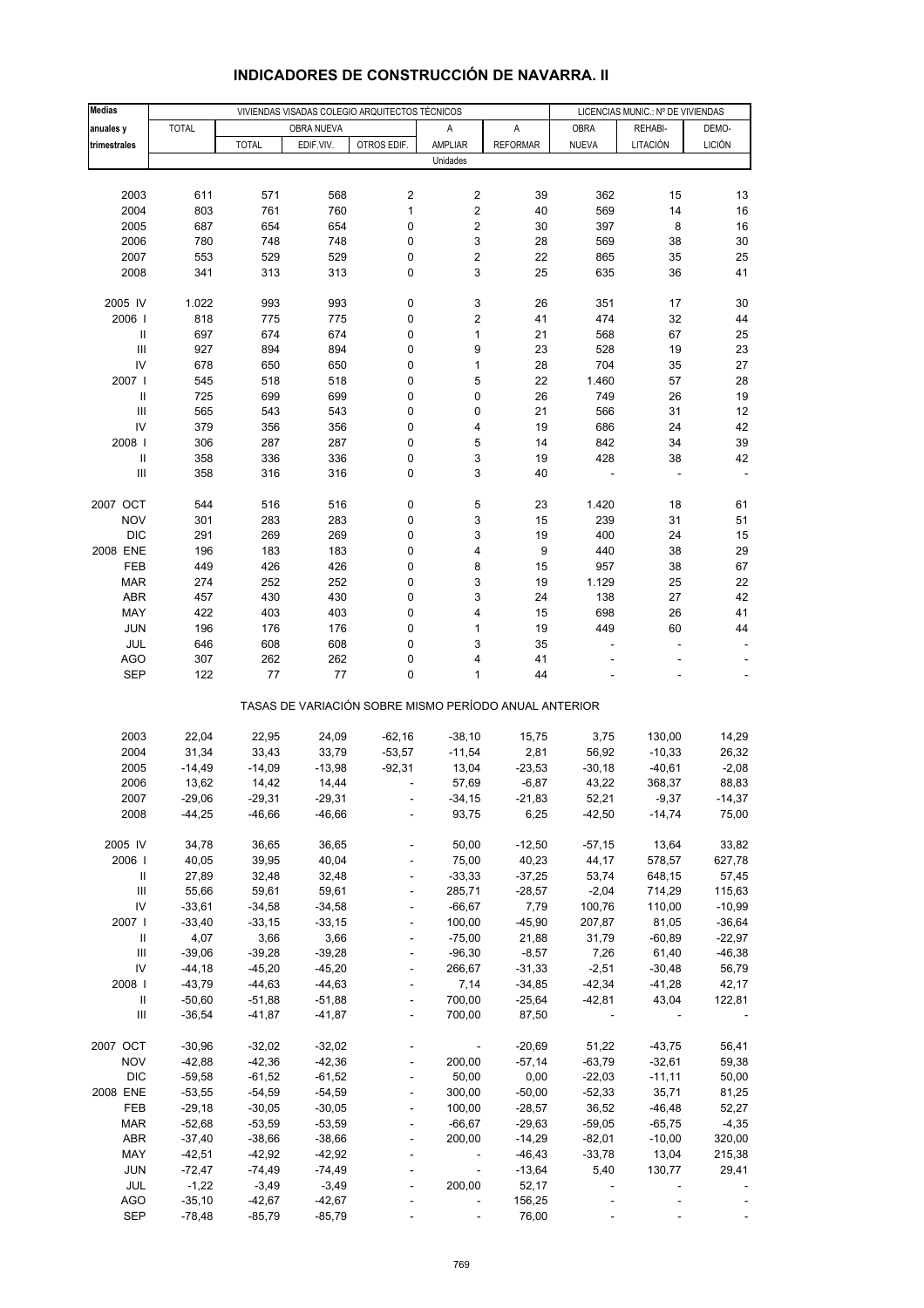| <b>Medias</b>                      |              | VIVIENDAS VISADAS COLEGIO ARQUITECTOS TÉCNICOS |            |                                                       |                          |                 |                | LICENCIAS MUNIC.: Nº DE VIVIENDAS |               |  |  |
|------------------------------------|--------------|------------------------------------------------|------------|-------------------------------------------------------|--------------------------|-----------------|----------------|-----------------------------------|---------------|--|--|
| anuales y                          | <b>TOTAL</b> |                                                | OBRA NUEVA |                                                       | Α                        | A               | <b>OBRA</b>    | REHABI-                           | DEMO-         |  |  |
| trimestrales                       |              | <b>TOTAL</b>                                   | EDIF.VIV.  | OTROS EDIF.                                           | AMPLIAR                  | <b>REFORMAR</b> | <b>NUEVA</b>   | LITACIÓN                          | <b>LICIÓN</b> |  |  |
|                                    |              |                                                |            |                                                       | Unidades                 |                 |                |                                   |               |  |  |
|                                    |              |                                                |            |                                                       |                          |                 |                |                                   |               |  |  |
| 2003                               | 611          | 571                                            | 568        | $\overline{\mathbf{c}}$                               | 2                        | 39              | 362            | 15                                | 13            |  |  |
| 2004                               | 803          | 761                                            | 760        | $\mathbf{1}$                                          | 2                        | 40              | 569            | 14                                | 16            |  |  |
| 2005                               | 687          | 654                                            | 654        | 0                                                     | 2                        | 30              | 397            | 8                                 | 16            |  |  |
| 2006                               | 780          | 748                                            | 748        | 0                                                     | 3                        | 28              | 569            | 38                                | 30            |  |  |
| 2007                               | 553          | 529                                            | 529        | 0                                                     | 2                        | 22              | 865            | 35                                | 25            |  |  |
| 2008                               | 341          | 313                                            | 313        | 0                                                     | 3                        | 25              | 635            | 36                                | 41            |  |  |
|                                    |              |                                                |            |                                                       |                          |                 |                |                                   |               |  |  |
| 2005 IV                            | 1.022        | 993                                            | 993        | 0                                                     | 3                        | 26              | 351            | 17                                | 30            |  |  |
| 2006                               | 818          | 775                                            | 775        | 0                                                     | 2                        | 41              | 474            | 32                                | 44            |  |  |
| $\ensuremath{\mathsf{II}}$         | 697          | 674                                            | 674        | 0                                                     | 1                        | 21              | 568            | 67                                | 25            |  |  |
| $\ensuremath{\mathsf{III}}\xspace$ | 927          | 894                                            | 894        | 0                                                     | 9                        | 23              | 528            | 19                                | 23            |  |  |
| IV                                 | 678          | 650                                            | 650        | 0                                                     | $\mathbf{1}$             | 28              | 704            | 35                                | 27            |  |  |
| 2007 l                             | 545          | 518                                            | 518        | 0                                                     | 5                        | 22              | 1.460          | 57                                | 28            |  |  |
| $\ensuremath{\mathsf{II}}$         | 725          | 699                                            | 699        | 0                                                     | 0                        | 26              | 749            | 26                                | 19            |  |  |
| $\ensuremath{\mathsf{III}}\xspace$ | 565          | 543                                            | 543        | 0                                                     | 0                        | 21              | 566            | 31                                | 12            |  |  |
| IV                                 | 379          | 356                                            | 356        | 0                                                     | 4                        | 19              | 686            | 24                                | 42            |  |  |
| 2008                               | 306          | 287                                            | 287        | 0                                                     | 5                        | 14              | 842            | 34                                | 39            |  |  |
| $\sf II$                           | 358          | 336                                            | 336        | 0                                                     | 3                        | 19              | 428            | 38                                | 42            |  |  |
| Ш                                  | 358          | 316                                            | 316        | 0                                                     | 3                        | 40              |                |                                   |               |  |  |
|                                    |              |                                                |            |                                                       |                          |                 |                |                                   |               |  |  |
| 2007 OCT                           | 544          | 516                                            | 516        | 0                                                     | 5                        | 23              | 1.420          | 18                                | 61            |  |  |
| <b>NOV</b>                         | 301          | 283                                            | 283        | 0                                                     | 3                        | 15              | 239            | 31                                | 51            |  |  |
| <b>DIC</b><br>2008 ENE             | 291          | 269                                            | 269<br>183 | 0                                                     | 3                        | 19              | 400<br>440     | 24                                | 15            |  |  |
|                                    | 196          | 183                                            |            | 0                                                     | 4                        | 9<br>15         |                | 38                                | 29<br>67      |  |  |
| <b>FEB</b><br><b>MAR</b>           | 449<br>274   | 426<br>252                                     | 426<br>252 | 0<br>0                                                | 8<br>3                   | 19              | 957<br>1.129   | 38<br>25                          | 22            |  |  |
| ABR                                | 457          | 430                                            | 430        | 0                                                     | 3                        | 24              | 138            | 27                                | 42            |  |  |
| MAY                                | 422          | 403                                            | 403        | 0                                                     | 4                        | 15              | 698            | 26                                | 41            |  |  |
| <b>JUN</b>                         | 196          | 176                                            | 176        | 0                                                     | 1                        | 19              | 449            | 60                                | 44            |  |  |
| JUL                                | 646          | 608                                            | 608        | 0                                                     | 3                        | 35              |                | ÷                                 |               |  |  |
| <b>AGO</b>                         | 307          | 262                                            | 262        | 0                                                     | 4                        | 41              |                |                                   |               |  |  |
| <b>SEP</b>                         | 122          | 77                                             | 77         | 0                                                     | 1                        | 44              |                |                                   |               |  |  |
|                                    |              |                                                |            | TASAS DE VARIACIÓN SOBRE MISMO PERÍODO ANUAL ANTERIOR |                          |                 |                |                                   |               |  |  |
|                                    |              |                                                |            |                                                       |                          |                 |                |                                   |               |  |  |
| 2003                               | 22,04        | 22,95                                          | 24,09      | $-62,16$                                              | $-38,10$                 | 15,75           | 3,75           | 130,00                            | 14,29         |  |  |
| 2004                               | 31,34        | 33,43                                          | 33,79      | $-53,57$                                              | $-11,54$                 | 2,81            | 56,92          | $-10,33$                          | 26,32         |  |  |
| 2005                               | $-14,49$     | $-14,09$                                       | $-13,98$   | $-92,31$                                              | 13,04                    | $-23,53$        | $-30,18$       | $-40,61$                          | $-2,08$       |  |  |
| 2006                               | 13,62        | 14,42                                          | 14,44      |                                                       | 57,69                    | $-6,87$         | 43,22          | 368,37                            | 88,83         |  |  |
| 2007                               | -29,06       | -29,31                                         | -29,31     |                                                       | $-34,15$                 | -21,83          | 52,21          | -9,37                             | -14,37        |  |  |
| 2008                               | $-44,25$     | $-46,66$                                       | $-46,66$   |                                                       | 93,75                    | 6,25            | $-42,50$       | $-14,74$                          | 75,00         |  |  |
| 2005 IV                            | 34,78        | 36,65                                          | 36,65      |                                                       | 50,00                    | $-12,50$        | $-57,15$       | 13,64                             | 33,82         |  |  |
| 2006                               | 40,05        | 39,95                                          | 40,04      |                                                       | 75,00                    | 40,23           | 44,17          | 578,57                            | 627,78        |  |  |
| Ш                                  | 27,89        | 32,48                                          | 32,48      | $\blacksquare$                                        | $-33,33$                 | $-37,25$        | 53,74          | 648,15                            | 57,45         |  |  |
| $\ensuremath{\mathsf{III}}\xspace$ | 55,66        | 59,61                                          | 59,61      |                                                       | 285,71                   | $-28,57$        | $-2,04$        | 714,29                            | 115,63        |  |  |
| IV                                 | $-33,61$     | $-34,58$                                       | $-34,58$   |                                                       | $-66,67$                 | 7,79            | 100,76         | 110,00                            | $-10,99$      |  |  |
| 2007                               | $-33,40$     | $-33,15$                                       | $-33,15$   | $\blacksquare$                                        | 100,00                   | $-45,90$        | 207,87         | 81,05                             | $-36,64$      |  |  |
| Ш                                  | 4,07         | 3,66                                           | 3,66       |                                                       | $-75,00$                 | 21,88           | 31,79          | $-60,89$                          | $-22,97$      |  |  |
| $\ensuremath{\mathsf{III}}\xspace$ | $-39,06$     | $-39,28$                                       | $-39,28$   | ÷,                                                    | $-96,30$                 | $-8,57$         | 7,26           | 61,40                             | $-46,38$      |  |  |
| IV                                 | $-44,18$     | $-45,20$                                       | $-45,20$   | $\blacksquare$                                        | 266,67                   | $-31,33$        | $-2,51$        | $-30,48$                          | 56,79         |  |  |
| 2008 l                             | $-43,79$     | $-44,63$                                       | $-44,63$   |                                                       | 7,14                     | $-34,85$        | $-42,34$       | $-41,28$                          | 42,17         |  |  |
| $\ensuremath{\mathsf{II}}$         | $-50,60$     | $-51,88$                                       | $-51,88$   | ÷,                                                    | 700,00                   | $-25,64$        | $-42,81$       | 43,04                             | 122,81        |  |  |
| Ш                                  | $-36,54$     | $-41,87$                                       | $-41,87$   | $\overline{\phantom{a}}$                              | 700,00                   | 87,50           |                |                                   |               |  |  |
| 2007 OCT                           | $-30,96$     | $-32,02$                                       | $-32,02$   |                                                       |                          | $-20,69$        | 51,22          | $-43,75$                          | 56,41         |  |  |
| <b>NOV</b>                         | $-42,88$     | $-42,36$                                       | $-42,36$   |                                                       | 200,00                   | $-57,14$        | $-63,79$       | $-32,61$                          | 59,38         |  |  |
| <b>DIC</b>                         | $-59,58$     | $-61,52$                                       | $-61,52$   |                                                       | 50,00                    | 0,00            | $-22,03$       | $-11,11$                          | 50,00         |  |  |
| 2008 ENE                           | $-53,55$     | $-54,59$                                       | $-54,59$   | $\overline{a}$                                        | 300,00                   | $-50,00$        | $-52,33$       | 35,71                             | 81,25         |  |  |
| FEB                                | $-29,18$     | $-30,05$                                       | $-30,05$   | $\blacksquare$                                        | 100,00                   | $-28,57$        | 36,52          | $-46,48$                          | 52,27         |  |  |
| <b>MAR</b>                         | $-52,68$     | $-53,59$                                       | $-53,59$   |                                                       | $-66,67$                 | $-29,63$        | $-59,05$       | $-65,75$                          | $-4,35$       |  |  |
| ABR                                | $-37,40$     | $-38,66$                                       | $-38,66$   | $\blacksquare$                                        | 200,00                   | $-14,29$        | $-82,01$       | $-10,00$                          | 320,00        |  |  |
| MAY                                | $-42,51$     | $-42,92$                                       | $-42,92$   |                                                       | $\blacksquare$           | $-46,43$        | $-33,78$       | 13,04                             | 215,38        |  |  |
| <b>JUN</b>                         | $-72,47$     | $-74,49$                                       | $-74,49$   |                                                       | $\overline{\phantom{a}}$ | $-13,64$        | 5,40           | 130,77                            | 29,41         |  |  |
| JUL                                | $-1,22$      | $-3,49$                                        | $-3,49$    |                                                       | 200,00                   | 52,17           | $\overline{a}$ |                                   |               |  |  |
| <b>AGO</b>                         | $-35,10$     | $-42,67$                                       | $-42,67$   |                                                       |                          | 156,25          |                |                                   |               |  |  |
| SEP                                | $-78,48$     | $-85,79$                                       | $-85,79$   |                                                       |                          | 76,00           |                |                                   |               |  |  |

# **INDICADORES DE CONSTRUCCIÓN DE NAVARRA. II**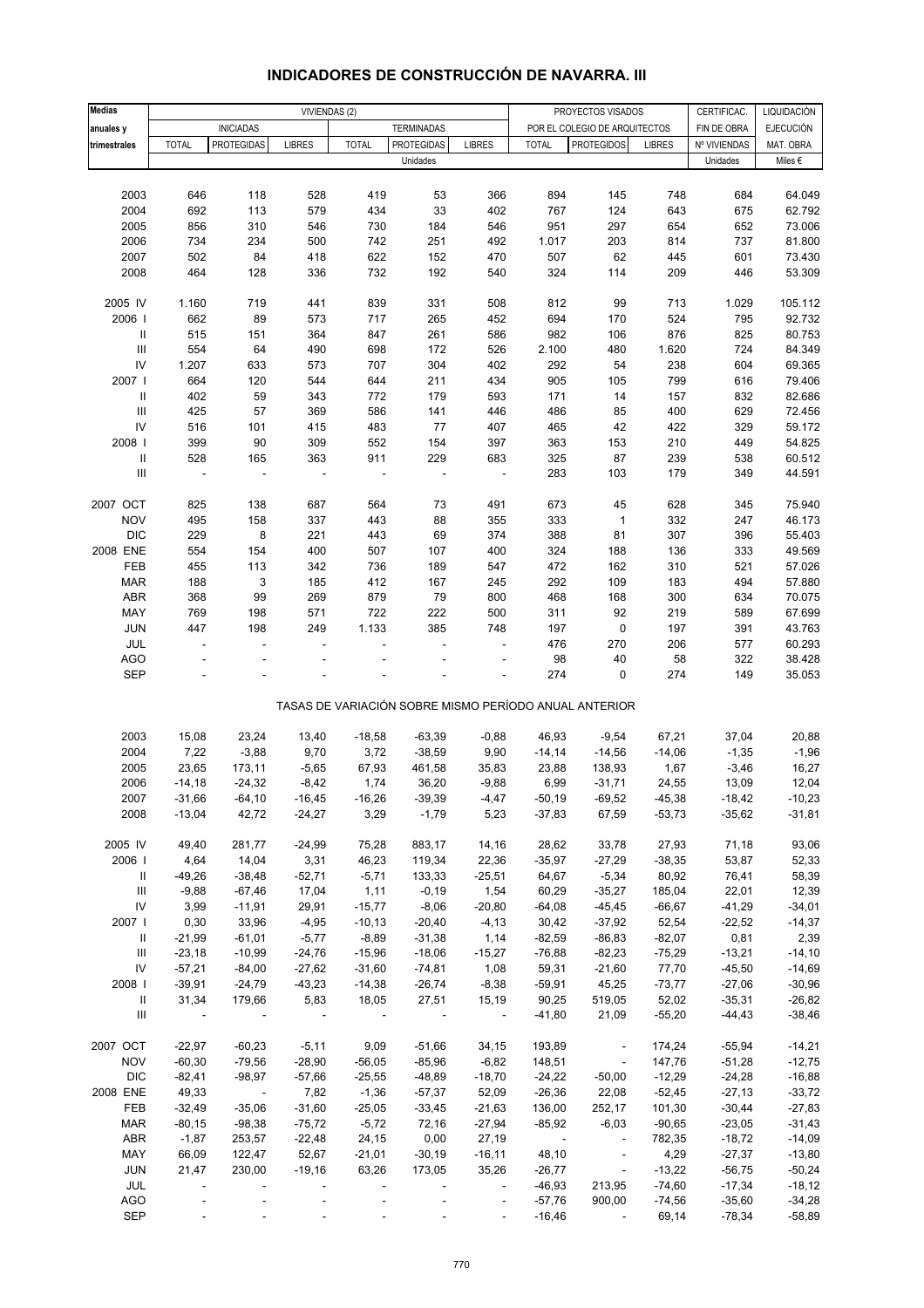| <b>Medias</b>                      |              |                         | VIVIENDAS (2)            |              |                   |                          |                           | PROYECTOS VISADOS                                     |               | CERTIFICAC.  | LIQUIDACIÓN      |
|------------------------------------|--------------|-------------------------|--------------------------|--------------|-------------------|--------------------------|---------------------------|-------------------------------------------------------|---------------|--------------|------------------|
| anuales y                          |              | <b>INICIADAS</b>        |                          |              | <b>TERMINADAS</b> |                          |                           | POR EL COLEGIO DE ARQUITECTOS                         |               | FIN DE OBRA  | <b>EJECUCIÓN</b> |
| trimestrales                       | <b>TOTAL</b> | <b>PROTEGIDAS</b>       | <b>LIBRES</b>            | <b>TOTAL</b> | <b>PROTEGIDAS</b> | <b>LIBRES</b>            | <b>TOTAL</b>              | <b>PROTEGIDOS</b>                                     | <b>LIBRES</b> | Nº VIVIENDAS | MAT. OBRA        |
|                                    |              |                         |                          |              | Unidades          |                          |                           |                                                       |               | Unidades     | Miles €          |
|                                    |              |                         |                          |              |                   |                          |                           |                                                       |               |              |                  |
| 2003                               | 646          | 118                     | 528                      | 419          | 53                | 366                      | 894                       | 145                                                   | 748           | 684          | 64.049           |
| 2004                               | 692          | 113                     | 579                      | 434          | 33                | 402                      | 767                       | 124                                                   | 643           | 675          | 62.792           |
| 2005                               | 856          | 310                     | 546                      | 730          | 184               | 546                      | 951                       | 297                                                   | 654           | 652          | 73.006           |
| 2006                               | 734          | 234                     | 500                      | 742          | 251               | 492                      | 1.017                     | 203                                                   | 814           | 737          | 81.800           |
| 2007                               | 502          | 84                      | 418                      | 622          | 152               | 470                      | 507                       | 62                                                    | 445           | 601          | 73.430           |
| 2008                               | 464          | 128                     | 336                      | 732          | 192               | 540                      | 324                       | 114                                                   | 209           | 446          | 53.309           |
|                                    |              |                         |                          |              |                   |                          |                           |                                                       |               |              |                  |
| 2005 IV                            | 1.160        | 719                     | 441                      | 839          | 331               | 508                      | 812                       | 99                                                    | 713           | 1.029        | 105.112          |
| 2006                               | 662          | 89                      | 573                      | 717          | 265               | 452                      | 694                       | 170                                                   | 524           | 795          | 92.732           |
| $\ensuremath{\mathsf{II}}$         | 515          | 151                     | 364                      | 847          | 261               | 586                      | 982                       | 106                                                   | 876           | 825          | 80.753           |
| $\ensuremath{\mathsf{III}}\xspace$ | 554          | 64                      | 490                      | 698          | 172               | 526                      | 2.100                     | 480                                                   | 1.620         | 724          | 84.349           |
| $\mathsf{IV}$                      | 1.207        | 633                     | 573                      | 707          | 304               | 402                      | 292                       | 54                                                    | 238           | 604          | 69.365           |
| 2007                               | 664          | 120                     | 544                      | 644          | 211               | 434                      | 905                       | 105                                                   | 799           | 616          | 79.406           |
| $\ensuremath{\mathsf{II}}$         | 402          | 59                      | 343                      | 772          | 179               | 593                      | 171                       | 14                                                    | 157           | 832          | 82.686           |
| $\ensuremath{\mathsf{III}}\xspace$ | 425          | 57                      | 369                      | 586          | 141               | 446                      | 486                       | 85                                                    | 400           | 629          | 72.456           |
| IV                                 | 516          | 101                     | 415                      | 483          | 77                | 407                      | 465                       | 42                                                    | 422           | 329          | 59.172           |
| 2008                               | 399          | 90                      | 309                      | 552          | 154               | 397                      | 363                       | 153                                                   | 210           | 449          | 54.825           |
| $\ensuremath{\mathsf{II}}$         | 528          | 165                     | 363                      | 911          | 229               | 683                      | 325                       | 87                                                    | 239           | 538          | 60.512           |
| Ш                                  | ÷,           | ÷,                      | $\overline{\phantom{a}}$ |              | ÷,                | ÷,                       | 283                       | 103                                                   | 179           | 349          | 44.591           |
|                                    |              |                         |                          |              |                   |                          |                           |                                                       |               |              |                  |
| 2007 OCT                           | 825          | 138                     | 687                      | 564          | 73                | 491                      | 673                       | 45                                                    | 628           | 345          | 75.940           |
| <b>NOV</b>                         | 495          | 158                     | 337                      | 443          | 88                | 355                      | 333                       | $\mathbf{1}$                                          | 332           | 247          | 46.173           |
| <b>DIC</b><br>2008 ENE             | 229<br>554   | 8<br>154                | 221<br>400               | 443<br>507   | 69                | 374<br>400               | 388<br>324                | 81                                                    | 307           | 396          | 55.403<br>49.569 |
| FEB                                | 455          | 113                     | 342                      | 736          | 107<br>189        | 547                      | 472                       | 188<br>162                                            | 136<br>310    | 333<br>521   | 57.026           |
| <b>MAR</b>                         | 188          | 3                       | 185                      | 412          | 167               | 245                      | 292                       | 109                                                   | 183           | 494          | 57.880           |
| ABR                                | 368          | 99                      | 269                      | 879          | 79                | 800                      | 468                       | 168                                                   | 300           | 634          | 70.075           |
| MAY                                | 769          | 198                     | 571                      | 722          | 222               | 500                      | 311                       | 92                                                    | 219           | 589          | 67.699           |
| JUN                                | 447          | 198                     | 249                      | 1.133        | 385               | 748                      | 197                       | $\pmb{0}$                                             | 197           | 391          | 43.763           |
| JUL                                |              | ä,                      | ÷.                       |              |                   |                          | 476                       | 270                                                   | 206           | 577          | 60.293           |
| <b>AGO</b>                         |              |                         |                          |              |                   |                          | 98                        | 40                                                    | 58            | 322          | 38.428           |
| <b>SEP</b>                         |              |                         |                          |              |                   |                          | 274                       | $\mathbf 0$                                           | 274           | 149          | 35.053           |
|                                    |              |                         |                          |              |                   |                          |                           |                                                       |               |              |                  |
|                                    |              |                         |                          |              |                   |                          |                           | TASAS DE VARIACIÓN SOBRE MISMO PERÍODO ANUAL ANTERIOR |               |              |                  |
|                                    |              |                         |                          |              |                   |                          |                           |                                                       |               |              |                  |
| 2003                               | 15,08        | 23,24                   | 13,40                    | $-18,58$     | $-63,39$          | $-0,88$                  | 46,93                     | $-9,54$                                               | 67,21         | 37,04        | 20,88            |
| 2004                               | 7,22         | $-3,88$                 | 9,70                     | 3,72         | $-38,59$          | 9,90                     | $-14,14$                  | $-14,56$                                              | $-14,06$      | $-1,35$      | $-1,96$          |
| 2005                               | 23,65        | 173,11                  | $-5,65$                  | 67,93        | 461,58            | 35,83                    | 23,88                     | 138,93                                                | 1,67          | $-3,46$      | 16,27            |
| 2006                               | $-14,18$     | $-24,32$                | $-8,42$                  | 1,74         | 36,20             | $-9,88$                  | 6,99                      | $-31,71$                                              | 24,55         | 13,09        | 12,04            |
| 2007                               | $-31,66$     | $-64, 10$               | $-16,45$                 | $-16,26$     | $-39,39$          | -4,47                    | $-50,19$                  | $-69,52$                                              | $-45,38$      | $-18,42$     | $-10,23$         |
| 2008                               | $-13,04$     | 42,72                   | $-24,27$                 | 3,29         | $-1,79$           | 5,23                     | $-37,83$                  | 67,59                                                 | $-53,73$      | $-35,62$     | $-31,81$         |
| 2005 IV                            | 49,40        | 281,77                  | $-24,99$                 | 75,28        | 883,17            | 14,16                    | 28,62                     | 33,78                                                 | 27,93         | 71,18        | 93,06            |
| 2006                               | 4,64         | 14,04                   | 3,31                     | 46,23        | 119,34            | 22,36                    | $-35,97$                  | $-27,29$                                              | $-38,35$      | 53,87        | 52,33            |
| Ш                                  | $-49,26$     | $-38,48$                | $-52,71$                 | $-5,71$      | 133,33            | $-25,51$                 | 64,67                     | $-5,34$                                               | 80,92         | 76,41        | 58,39            |
| Ш                                  | $-9,88$      | $-67,46$                | 17,04                    | 1, 11        | $-0,19$           | 1,54                     | 60,29                     | $-35,27$                                              | 185,04        | 22,01        | 12,39            |
| ${\sf IV}$                         | 3,99         | $-11,91$                | 29,91                    | $-15,77$     | $-8,06$           | $-20,80$                 | $-64,08$                  | $-45,45$                                              | $-66,67$      | $-41,29$     | $-34,01$         |
| 2007                               | 0,30         | 33,96                   | $-4,95$                  | $-10,13$     | $-20,40$          | $-4, 13$                 | 30,42                     | $-37,92$                                              | 52,54         | $-22,52$     | $-14,37$         |
| Ш                                  | $-21,99$     | $-61,01$                | $-5,77$                  | $-8,89$      | $-31,38$          | 1,14                     | $-82,59$                  | $-86, 83$                                             | $-82,07$      | 0,81         | 2,39             |
| Ш                                  | $-23,18$     | $-10,99$                | $-24,76$                 | $-15,96$     | $-18,06$          | $-15,27$                 | $-76,88$                  | $-82,23$                                              | $-75,29$      | $-13,21$     | $-14,10$         |
| ${\sf IV}$                         | $-57,21$     | $-84,00$                | $-27,62$                 | $-31,60$     | $-74,81$          | 1,08                     | 59,31                     | $-21,60$                                              | 77,70         | $-45,50$     | $-14,69$         |
| 2008                               | $-39,91$     | $-24,79$                | $-43,23$                 | $-14,38$     | $-26,74$          | $-8,38$                  | $-59,91$                  | 45,25                                                 | $-73,77$      | $-27,06$     | $-30,96$         |
| Ш                                  | 31,34        | 179,66                  | 5,83                     | 18,05        | 27,51             | 15,19                    | 90,25                     | 519,05                                                | 52,02         | $-35,31$     | $-26,82$         |
| Ш                                  |              |                         |                          |              |                   | $\overline{\phantom{a}}$ | $-41,80$                  | 21,09                                                 | $-55,20$      | $-44,43$     | $-38,46$         |
|                                    |              |                         |                          |              |                   |                          |                           |                                                       |               |              |                  |
| 2007 OCT                           | $-22,97$     | $-60,23$                | $-5,11$                  | 9,09         | $-51,66$          | 34,15                    | 193,89                    | $\sim$                                                | 174,24        | $-55,94$     | $-14,21$         |
| <b>NOV</b>                         | $-60,30$     | $-79,56$                | $-28,90$                 | $-56,05$     | $-85,96$          | $-6,82$                  | 148,51                    | $\overline{\phantom{a}}$                              | 147,76        | $-51,28$     | $-12,75$         |
| <b>DIC</b>                         | $-82,41$     | $-98,97$                | $-57,66$                 | $-25,55$     | $-48,89$          | $-18,70$                 | $-24,22$                  | $-50,00$                                              | $-12,29$      | $-24,28$     | $-16,88$         |
| 2008 ENE                           | 49,33        | $\sim 100$ km s $^{-1}$ | 7,82                     | $-1,36$      | -57,37            | 52,09                    | $-26,36$                  | 22,08                                                 | $-52,45$      | $-27,13$     | $-33,72$         |
| FEB                                | $-32,49$     | $-35,06$                | $-31,60$                 | $-25,05$     | $-33,45$          | $-21,63$                 | 136,00                    | 252,17                                                | 101,30        | $-30,44$     | $-27,83$         |
| <b>MAR</b>                         | $-80,15$     | $-98,38$                | $-75,72$                 | $-5,72$      | 72,16             | $-27,94$                 | $-85,92$                  | $-6,03$                                               | $-90,65$      | $-23,05$     | $-31,43$         |
| ABR                                | $-1,87$      | 253,57                  | $-22,48$                 | 24,15        | 0,00              | 27,19                    | $\sim 10^{-10}$ m $^{-1}$ | $\Box$                                                | 782,35        | $-18,72$     | $-14,09$         |
| MAY                                | 66,09        | 122,47                  | 52,67                    | $-21,01$     | $-30,19$          | $-16, 11$                | 48,10                     | $\sim$                                                | 4,29          | $-27,37$     | $-13,80$         |
| JUN                                | 21,47        | 230,00                  | $-19,16$                 | 63,26        | 173,05            | 35,26                    | $-26,77$                  | $\sim$                                                | $-13,22$      | $-56,75$     | $-50,24$         |
| JUL                                |              |                         |                          |              |                   | $\overline{\phantom{a}}$ | $-46,93$                  | 213,95                                                | $-74,60$      | $-17,34$     | $-18,12$         |
| <b>AGO</b>                         |              |                         |                          |              |                   | $\Box$                   | $-57,76$                  | 900,00                                                | $-74,56$      | $-35,60$     | $-34,28$         |
| <b>SEP</b>                         |              |                         |                          |              |                   | ÷.                       | $-16,46$                  | $\overline{\phantom{a}}$                              | 69,14         | $-78,34$     | $-58,89$         |

### **INDICADORES DE CONSTRUCCIÓN DE NAVARRA. III**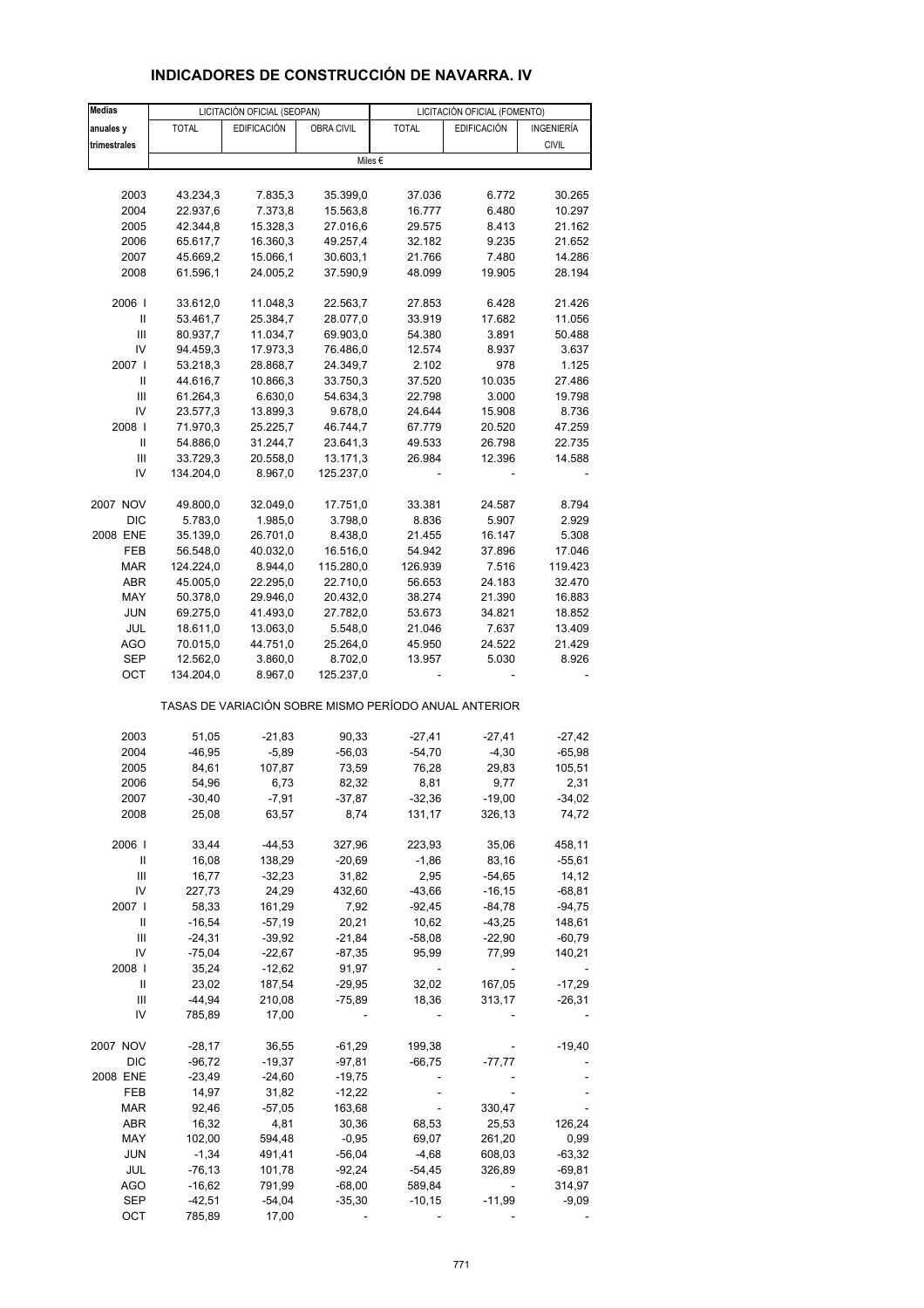| <b>Medias</b> |              | LICITACIÓN OFICIAL (SEOPAN) |            |                                                       | LICITACIÓN OFICIAL (FOMENTO) |              |
|---------------|--------------|-----------------------------|------------|-------------------------------------------------------|------------------------------|--------------|
| anuales y     | <b>TOTAL</b> | <b>EDIFICACIÓN</b>          | OBRA CIVIL | <b>TOTAL</b>                                          | <b>EDIFICACIÓN</b>           | INGENIERÍA   |
| trimestrales  |              |                             |            |                                                       |                              | <b>CIVIL</b> |
|               |              |                             |            | Miles €                                               |                              |              |
|               |              |                             |            |                                                       |                              |              |
|               |              |                             |            |                                                       |                              |              |
| 2003          | 43.234,3     | 7.835,3                     | 35.399,0   | 37.036                                                | 6.772                        | 30.265       |
| 2004          | 22.937,6     | 7.373,8                     | 15.563,8   | 16.777                                                | 6.480                        | 10.297       |
| 2005          | 42.344,8     | 15.328,3                    | 27.016,6   | 29.575                                                | 8.413                        | 21.162       |
| 2006          | 65.617,7     | 16.360,3                    | 49.257,4   | 32.182                                                | 9.235                        | 21.652       |
| 2007          | 45.669,2     | 15.066,1                    | 30.603,1   | 21.766                                                | 7.480                        | 14.286       |
| 2008          | 61.596,1     | 24.005,2                    | 37.590,9   | 48.099                                                | 19.905                       | 28.194       |
|               |              |                             |            |                                                       |                              |              |
| 2006          | 33.612,0     | 11.048,3                    | 22.563,7   | 27.853                                                | 6.428                        | 21.426       |
| Ш             | 53.461,7     | 25.384,7                    | 28.077,0   | 33.919                                                | 17.682                       | 11.056       |
| Ш             | 80.937,7     | 11.034,7                    | 69.903,0   | 54.380                                                | 3.891                        | 50.488       |
| IV            | 94.459,3     | 17.973,3                    | 76.486,0   | 12.574                                                | 8.937                        | 3.637        |
| 2007 l        | 53.218,3     | 28.868,7                    | 24.349,7   | 2.102                                                 | 978                          | 1.125        |
| Ш             | 44.616,7     | 10.866,3                    | 33.750,3   | 37.520                                                | 10.035                       | 27.486       |
| Ш             | 61.264,3     | 6.630,0                     | 54.634,3   |                                                       | 3.000                        | 19.798       |
|               |              |                             |            | 22.798                                                |                              |              |
| IV            | 23.577,3     | 13.899,3                    | 9.678,0    | 24.644                                                | 15.908                       | 8.736        |
| 2008          | 71.970,3     | 25.225,7                    | 46.744,7   | 67.779                                                | 20.520                       | 47.259       |
| $\mathbf{II}$ | 54.886,0     | 31.244,7                    | 23.641,3   | 49.533                                                | 26.798                       | 22.735       |
| Ш             | 33.729,3     | 20.558,0                    | 13.171,3   | 26.984                                                | 12.396                       | 14.588       |
| IV            | 134.204,0    | 8.967,0                     | 125.237,0  |                                                       |                              |              |
|               |              |                             |            |                                                       |                              |              |
| 2007 NOV      | 49.800,0     | 32.049,0                    | 17.751,0   | 33.381                                                | 24.587                       | 8.794        |
| <b>DIC</b>    | 5.783,0      | 1.985,0                     | 3.798,0    | 8.836                                                 | 5.907                        | 2.929        |
| 2008 ENE      | 35.139,0     | 26.701,0                    | 8.438,0    | 21.455                                                | 16.147                       | 5.308        |
| FEB           | 56.548,0     | 40.032,0                    | 16.516,0   | 54.942                                                | 37.896                       | 17.046       |
| <b>MAR</b>    | 124.224,0    | 8.944,0                     | 115.280,0  | 126.939                                               | 7.516                        | 119.423      |
| ABR           | 45.005,0     | 22.295,0                    | 22.710,0   | 56.653                                                | 24.183                       | 32.470       |
| MAY           | 50.378,0     | 29.946,0                    | 20.432,0   | 38.274                                                | 21.390                       | 16.883       |
| <b>JUN</b>    | 69.275,0     | 41.493,0                    | 27.782,0   | 53.673                                                | 34.821                       | 18.852       |
| <b>JUL</b>    |              |                             |            |                                                       |                              |              |
|               | 18.611,0     | 13.063,0                    | 5.548,0    | 21.046                                                | 7.637                        | 13.409       |
| AGO           | 70.015,0     | 44.751,0                    | 25.264,0   | 45.950                                                | 24.522                       | 21.429       |
| SEP           | 12.562,0     | 3.860,0                     | 8.702,0    | 13.957                                                | 5.030                        | 8.926        |
| OCT           | 134.204,0    | 8.967,0                     | 125.237,0  |                                                       |                              |              |
|               |              |                             |            | TASAS DE VARIACIÓN SOBRE MISMO PERÍODO ANUAL ANTERIOR |                              |              |
|               |              |                             |            |                                                       |                              |              |
| 2003          | 51,05        | $-21,83$                    | 90,33      | $-27,41$                                              | $-27,41$                     | $-27,42$     |
| 2004          | $-46,95$     | $-5,89$                     | $-56,03$   | $-54,70$                                              | $-4,30$                      | $-65,98$     |
| 2005          | 84,61        | 107,87                      | 73,59      | 76,28                                                 | 29,83                        | 105,51       |
| 2006          | 54,96        | 6,73                        | 82,32      | 8,81                                                  | 9,77                         | 2,31         |
| 2007          | $-30,40$     | $-7,91$                     | $-37,87$   | $-32,36$                                              | $-19,00$                     | $-34,02$     |
| 2008          | 25,08        | 63,57                       | 8,74       | 131,17                                                | 326,13                       | 74,72        |
|               |              |                             |            |                                                       |                              |              |
| 2006          | 33,44        | $-44,53$                    | 327,96     | 223,93                                                | 35,06                        | 458,11       |
| Ш             | 16,08        | 138,29                      | $-20,69$   | $-1,86$                                               | 83,16                        | $-55,61$     |
| Ш             | 16,77        | $-32,23$                    | 31,82      | 2,95                                                  | $-54,65$                     | 14,12        |
| IV            | 227,73       | 24,29                       | 432,60     | $-43,66$                                              | $-16, 15$                    | $-68,81$     |
| 2007          | 58,33        | 161,29                      | 7,92       | $-92,45$                                              | $-84,78$                     | $-94,75$     |
| Ш             | $-16,54$     | $-57,19$                    | 20,21      | 10,62                                                 | $-43,25$                     | 148,61       |
| Ш             | $-24,31$     | $-39,92$                    | $-21,84$   | $-58,08$                                              | $-22,90$                     | $-60,79$     |
| IV            | $-75,04$     | $-22,67$                    | $-87,35$   | 95,99                                                 | 77,99                        | 140,21       |
|               |              |                             |            |                                                       |                              |              |
| 2008          | 35,24        | $-12,62$                    | 91,97      | $\qquad \qquad \blacksquare$                          |                              |              |
| Ш             | 23,02        | 187,54                      | $-29,95$   | 32,02                                                 | 167,05                       | $-17,29$     |
| Ш             | $-44,94$     | 210,08                      | $-75,89$   | 18,36                                                 | 313,17                       | $-26,31$     |
| IV            | 785,89       | 17,00                       |            |                                                       |                              |              |
|               |              |                             |            |                                                       |                              |              |
| 2007 NOV      | $-28,17$     | 36,55                       | $-61,29$   | 199,38                                                |                              | $-19,40$     |
| <b>DIC</b>    | $-96,72$     | $-19,37$                    | $-97,81$   | $-66,75$                                              | $-77,77$                     |              |
| 2008 ENE      | $-23,49$     | $-24,60$                    | $-19,75$   |                                                       |                              |              |
| FEB           | 14,97        | 31,82                       | $-12,22$   |                                                       |                              |              |
| MAR           | 92,46        | $-57,05$                    | 163,68     |                                                       | 330,47                       |              |
| ABR           | 16,32        | 4,81                        | 30,36      | 68,53                                                 | 25,53                        | 126,24       |
| MAY           | 102,00       | 594,48                      | $-0,95$    | 69,07                                                 | 261,20                       | 0,99         |
| <b>JUN</b>    | $-1,34$      | 491,41                      | $-56,04$   | $-4,68$                                               | 608,03                       | $-63,32$     |
| JUL           | $-76, 13$    | 101,78                      | $-92,24$   | $-54,45$                                              | 326,89                       | $-69,81$     |
| <b>AGO</b>    | $-16,62$     | 791,99                      | $-68,00$   | 589,84                                                |                              | 314,97       |
| <b>SEP</b>    | $-42,51$     | $-54,04$                    | $-35,30$   | $-10,15$                                              | $-11,99$                     | $-9,09$      |
|               |              |                             |            |                                                       |                              |              |
| OCT           | 785,89       | 17,00                       |            |                                                       |                              |              |

# **INDICADORES DE CONSTRUCCIÓN DE NAVARRA. IV**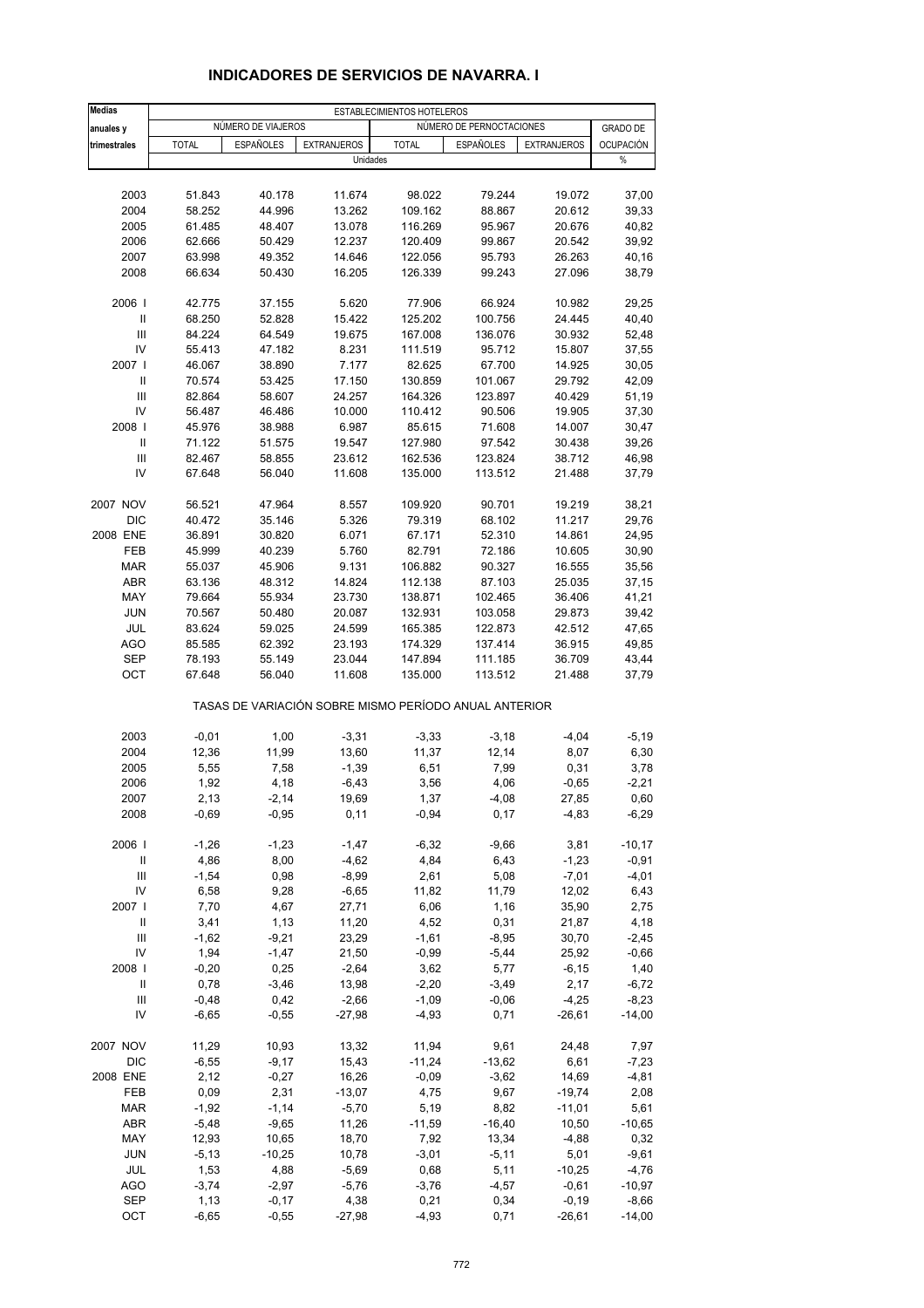| <b>Medias</b>                                |                  |                    |                    | ESTABLECIMIENTOS HOTELEROS                            |                          |                    |                  |
|----------------------------------------------|------------------|--------------------|--------------------|-------------------------------------------------------|--------------------------|--------------------|------------------|
| anuales y                                    |                  | NÚMERO DE VIAJEROS |                    |                                                       | NÚMERO DE PERNOCTACIONES |                    | <b>GRADO DE</b>  |
| trimestrales                                 | <b>TOTAL</b>     | <b>ESPAÑOLES</b>   | <b>EXTRANJEROS</b> | <b>TOTAL</b>                                          | <b>ESPAÑOLES</b>         | <b>EXTRANJEROS</b> | <b>OCUPACIÓN</b> |
|                                              |                  |                    | Unidades           |                                                       |                          |                    | $\%$             |
|                                              |                  |                    |                    |                                                       |                          |                    |                  |
| 2003                                         | 51.843           | 40.178             | 11.674             | 98.022                                                | 79.244                   | 19.072             | 37,00            |
| 2004                                         | 58.252           | 44.996             | 13.262             | 109.162                                               | 88.867                   | 20.612             | 39,33            |
| 2005                                         | 61.485           | 48.407             | 13.078             | 116.269                                               | 95.967                   | 20.676             | 40,82            |
| 2006                                         | 62.666           | 50.429             | 12.237             | 120.409                                               | 99.867                   | 20.542             | 39,92            |
| 2007                                         | 63.998           | 49.352             | 14.646             | 122.056<br>126.339                                    | 95.793                   | 26.263             | 40,16<br>38,79   |
| 2008                                         | 66.634           | 50.430             | 16.205             |                                                       | 99.243                   | 27.096             |                  |
| 2006                                         | 42.775           | 37.155             | 5.620              | 77.906                                                | 66.924                   | 10.982             | 29,25            |
| $\mathbf{II}$                                | 68.250           | 52.828             | 15.422             | 125.202                                               | 100.756                  | 24.445             | 40,40            |
| $\mathbf{III}$                               | 84.224           | 64.549             | 19.675             | 167.008                                               | 136.076                  | 30.932             | 52,48            |
| IV                                           | 55.413           | 47.182             | 8.231              | 111.519                                               | 95.712                   | 15.807             | 37,55            |
| 2007 l                                       | 46.067           | 38.890             | 7.177              | 82.625                                                | 67.700                   | 14.925             | 30,05            |
| $\mathbf{II}$                                | 70.574           | 53.425             | 17.150             | 130.859                                               | 101.067                  | 29.792             | 42,09            |
| $\mathbf{III}$                               | 82.864           | 58.607             | 24.257             | 164.326                                               | 123.897                  | 40.429             | 51,19            |
| IV                                           | 56.487           | 46.486             | 10.000             | 110.412                                               | 90.506                   | 19.905             | 37,30            |
| 2008                                         | 45.976           | 38.988             | 6.987              | 85.615                                                | 71.608                   | 14.007             | 30,47            |
| Ш                                            | 71.122           | 51.575             | 19.547             | 127.980                                               | 97.542                   | 30.438             | 39,26            |
| $\mathbf{III}$<br>IV                         | 82.467<br>67.648 | 58.855<br>56.040   | 23.612<br>11.608   | 162.536<br>135.000                                    | 123.824<br>113.512       | 38.712<br>21.488   | 46,98<br>37,79   |
|                                              |                  |                    |                    |                                                       |                          |                    |                  |
| 2007 NOV                                     | 56.521           | 47.964             | 8.557              | 109.920                                               | 90.701                   | 19.219             | 38,21            |
| <b>DIC</b>                                   | 40.472           | 35.146             | 5.326              | 79.319                                                | 68.102                   | 11.217             | 29,76            |
| 2008 ENE                                     | 36.891           | 30.820             | 6.071              | 67.171                                                | 52.310                   | 14.861             | 24,95            |
| <b>FEB</b>                                   | 45.999           | 40.239             | 5.760              | 82.791                                                | 72.186                   | 10.605             | 30,90            |
| <b>MAR</b>                                   | 55.037           | 45.906             | 9.131              | 106.882                                               | 90.327                   | 16.555             | 35,56            |
| ABR                                          | 63.136           | 48.312             | 14.824             | 112.138                                               | 87.103                   | 25.035             | 37,15            |
| MAY                                          | 79.664           | 55.934             | 23.730             | 138.871                                               | 102.465                  | 36.406             | 41,21            |
| <b>JUN</b>                                   | 70.567           | 50.480             | 20.087             | 132.931                                               | 103.058                  | 29.873             | 39,42            |
| JUL                                          | 83.624           | 59.025             | 24.599             | 165.385                                               | 122.873                  | 42.512             | 47,65            |
| <b>AGO</b>                                   | 85.585           | 62.392             | 23.193             | 174.329                                               | 137.414                  | 36.915             | 49,85            |
| <b>SEP</b><br>OCT                            | 78.193<br>67.648 | 55.149<br>56.040   | 23.044<br>11.608   | 147.894<br>135.000                                    | 111.185<br>113.512       | 36.709<br>21.488   | 43,44<br>37,79   |
|                                              |                  |                    |                    | TASAS DE VARIACIÓN SOBRE MISMO PERÍODO ANUAL ANTERIOR |                          |                    |                  |
|                                              |                  |                    |                    |                                                       |                          |                    |                  |
| 2003                                         | $-0,01$          | 1,00               | $-3,31$            | $-3,33$                                               | $-3,18$                  | $-4,04$            | $-5,19$          |
| 2004                                         | 12,36            | 11,99              | 13,60              | 11,37                                                 | 12,14                    | 8,07               | 6,30             |
| 2005                                         | 5,55             | 7,58               | $-1,39$            | 6,51                                                  | 7,99                     | 0,31               | 3,78             |
| 2006                                         | 1,92             | 4,18               | $-6,43$            | 3,56                                                  | 4,06                     | $-0.65$            | $-2,21$          |
| 2007<br>2008                                 | 2,13<br>$-0,69$  | $-2,14$<br>$-0,95$ | 19,69<br>0,11      | 1,37<br>$-0,94$                                       | $-4,08$<br>0,17          | 27,85<br>$-4,83$   | 0,60<br>$-6,29$  |
|                                              |                  |                    |                    |                                                       |                          |                    |                  |
| 2006                                         | $-1,26$          | $-1,23$            | $-1,47$            | $-6,32$                                               | $-9,66$                  | 3,81               | $-10,17$         |
| $\ensuremath{\mathsf{II}}$<br>$\mathsf{III}$ | 4,86<br>$-1,54$  | 8,00               | $-4,62$            | 4,84                                                  | 6,43                     | $-1,23$            | $-0,91$          |
| IV                                           | 6,58             | 0,98<br>9,28       | $-8,99$<br>$-6,65$ | 2,61<br>11,82                                         | 5,08<br>11,79            | $-7,01$<br>12,02   | $-4,01$<br>6,43  |
| 2007 l                                       | 7,70             | 4,67               | 27,71              | 6,06                                                  | 1,16                     | 35,90              | 2,75             |
| Ш                                            | 3,41             | 1,13               | 11,20              | 4,52                                                  | 0,31                     | 21,87              | 4,18             |
| Ш                                            | $-1,62$          | $-9,21$            | 23,29              | $-1,61$                                               | $-8,95$                  | 30,70              | $-2,45$          |
| IV                                           | 1,94             | $-1,47$            | 21,50              | $-0,99$                                               | $-5,44$                  | 25,92              | $-0,66$          |
| 2008                                         | $-0,20$          | 0,25               | $-2,64$            | 3,62                                                  | 5,77                     | $-6, 15$           | 1,40             |
| Ш                                            | 0,78             | $-3,46$            | 13,98              | $-2,20$                                               | $-3,49$                  | 2,17               | $-6,72$          |
| $\mathbf{III}$                               | $-0,48$          | 0,42               | $-2,66$            | $-1,09$                                               | $-0,06$                  | $-4,25$            | $-8,23$          |
| IV                                           | $-6,65$          | $-0,55$            | $-27,98$           | $-4,93$                                               | 0,71                     | $-26,61$           | $-14,00$         |
| 2007 NOV                                     | 11,29            | 10,93              | 13,32              | 11,94                                                 | 9,61                     | 24,48              | 7,97             |
| DIC                                          | $-6,55$          | $-9,17$            | 15,43              | $-11,24$                                              | $-13,62$                 | 6,61               | $-7,23$          |
| 2008 ENE                                     | 2,12             | $-0,27$            | 16,26              | $-0,09$                                               | $-3,62$                  | 14,69              | $-4,81$          |
| FEB                                          | 0,09             | 2,31               | $-13,07$           | 4,75                                                  | 9,67                     | $-19,74$           | 2,08             |
| <b>MAR</b>                                   | $-1,92$          | $-1,14$            | $-5,70$            | 5,19                                                  | 8,82                     | $-11,01$           | 5,61             |
| ABR                                          | $-5,48$          | $-9,65$            | 11,26              | $-11,59$                                              | $-16,40$                 | 10,50              | -10,65           |
| MAY                                          | 12,93            | 10,65              | 18,70              | 7,92                                                  | 13,34                    | $-4,88$            | 0,32             |
| JUN                                          | $-5,13$          | $-10,25$           | 10,78              | $-3,01$                                               | $-5,11$                  | 5,01               | $-9,61$          |
| JUL                                          | 1,53             | 4,88               | $-5,69$            | 0,68                                                  | 5,11                     | $-10,25$           | $-4,76$          |
| <b>AGO</b>                                   | $-3,74$          | $-2,97$            | $-5,76$            | $-3,76$                                               | $-4,57$                  | $-0,61$            | $-10,97$         |
| SEP                                          | 1,13             | $-0,17$            | 4,38               | 0,21                                                  | 0,34                     | $-0,19$            | $-8,66$          |
| OCT                                          | $-6,65$          | $-0,55$            | $-27,98$           | $-4,93$                                               | 0,71                     | $-26,61$           | $-14,00$         |

### **INDICADORES DE SERVICIOS DE NAVARRA. I**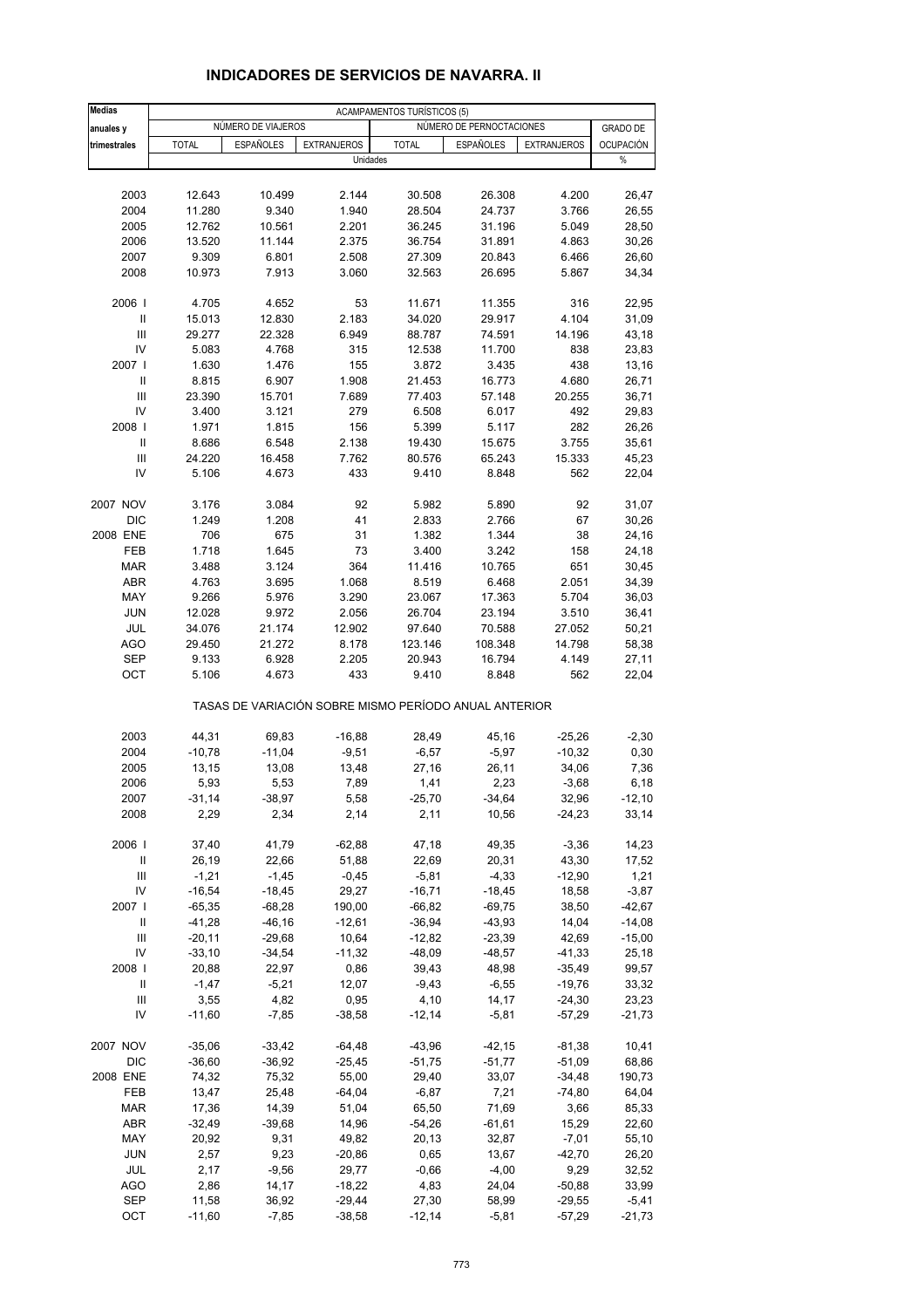| <b>Medias</b>              |                   |                    |                                                       | <b>ACAMPAMENTOS TURÍSTICOS (5)</b> |                          |                      |                     |
|----------------------------|-------------------|--------------------|-------------------------------------------------------|------------------------------------|--------------------------|----------------------|---------------------|
| anuales y                  |                   | NÚMERO DE VIAJEROS |                                                       |                                    | NÚMERO DE PERNOCTACIONES | <b>GRADO DE</b>      |                     |
| trimestrales               | <b>TOTAL</b>      | <b>ESPAÑOLES</b>   | <b>EXTRANJEROS</b>                                    | <b>TOTAL</b>                       | <b>ESPAÑOLES</b>         | <b>EXTRANJEROS</b>   | <b>OCUPACIÓN</b>    |
|                            |                   |                    | Unidades                                              |                                    |                          |                      | $\%$                |
| 2003                       | 12.643            | 10.499             | 2.144                                                 | 30.508                             | 26.308                   | 4.200                | 26,47               |
| 2004                       | 11.280            | 9.340              | 1.940                                                 | 28.504                             | 24.737                   | 3.766                | 26,55               |
| 2005                       | 12.762            | 10.561             | 2.201                                                 | 36.245                             | 31.196                   | 5.049                | 28,50               |
| 2006                       | 13.520            | 11.144             | 2.375                                                 | 36.754                             | 31.891                   | 4.863                | 30,26               |
| 2007                       | 9.309             | 6.801              | 2.508                                                 | 27.309                             | 20.843                   | 6.466                | 26,60               |
| 2008                       | 10.973            | 7.913              | 3.060                                                 | 32.563                             | 26.695                   | 5.867                | 34,34               |
| 2006                       | 4.705             | 4.652              | 53                                                    | 11.671                             | 11.355                   | 316                  | 22,95               |
| Ш                          | 15.013            | 12.830             | 2.183                                                 | 34.020                             | 29.917                   | 4.104                | 31,09               |
| Ш                          | 29.277            | 22.328             | 6.949                                                 | 88.787                             | 74.591                   | 14.196               | 43,18               |
| IV                         | 5.083             | 4.768              | 315                                                   | 12.538                             | 11.700                   | 838                  | 23,83               |
| 2007 l                     | 1.630             | 1.476              | 155                                                   | 3.872                              | 3.435                    | 438                  | 13,16               |
| $\mathbf{II}$              | 8.815             | 6.907              | 1.908                                                 | 21.453                             | 16.773                   | 4.680                | 26,71               |
| $\mathbf{III}$             | 23.390            | 15.701             | 7.689                                                 | 77.403                             | 57.148                   | 20.255               | 36,71               |
| IV                         | 3.400             | 3.121              | 279                                                   | 6.508                              | 6.017                    | 492                  | 29,83               |
| 2008                       | 1.971             | 1.815              | 156                                                   | 5.399                              | 5.117                    | 282                  | 26,26               |
| Ш                          | 8.686             | 6.548              | 2.138                                                 | 19.430                             | 15.675                   | 3.755                | 35,61               |
| Ш                          | 24.220            | 16.458             | 7.762                                                 | 80.576                             | 65.243                   | 15.333               | 45,23               |
| IV                         | 5.106             | 4.673              | 433                                                   | 9.410                              | 8.848                    | 562                  | 22,04               |
| 2007 NOV                   | 3.176             | 3.084              | 92                                                    | 5.982                              | 5.890                    | 92                   | 31,07               |
| DIC                        | 1.249             | 1.208              | 41                                                    | 2.833                              | 2.766                    | 67                   | 30,26               |
| 2008 ENE                   | 706               | 675                | 31                                                    | 1.382                              | 1.344                    | 38                   | 24,16               |
| FEB                        | 1.718             | 1.645              | 73                                                    | 3.400                              | 3.242                    | 158                  | 24,18               |
| <b>MAR</b>                 | 3.488             | 3.124              | 364                                                   | 11.416                             | 10.765                   | 651                  | 30,45               |
| ABR                        | 4.763             | 3.695              | 1.068                                                 | 8.519                              | 6.468                    | 2.051                | 34,39               |
| MAY                        | 9.266             | 5.976              | 3.290                                                 | 23.067                             | 17.363                   | 5.704                | 36,03               |
| <b>JUN</b>                 | 12.028            | 9.972              | 2.056                                                 | 26.704                             | 23.194                   | 3.510                | 36,41               |
| JUL                        | 34.076            | 21.174             | 12.902                                                | 97.640                             | 70.588                   | 27.052               | 50,21               |
| <b>AGO</b>                 | 29.450            | 21.272             | 8.178                                                 | 123.146                            | 108.348                  | 14.798               | 58,38               |
| <b>SEP</b>                 | 9.133             | 6.928              | 2.205                                                 | 20.943                             | 16.794                   | 4.149                | 27,11               |
| OCT                        | 5.106             | 4.673              | 433                                                   | 9.410                              | 8.848                    | 562                  | 22,04               |
|                            |                   |                    | TASAS DE VARIACIÓN SOBRE MISMO PERÍODO ANUAL ANTERIOR |                                    |                          |                      |                     |
| 2003                       | 44,31             | 69,83              | $-16,88$                                              | 28,49                              | 45,16                    | $-25,26$             | $-2,30$             |
| 2004                       | $-10,78$          | $-11,04$           | $-9,51$                                               | $-6,57$                            | $-5,97$                  | $-10,32$             | 0,30                |
| 2005                       | 13,15             | 13,08              | 13,48                                                 | 27,16                              | 26,11                    | 34,06                | 7,36                |
| 2006                       | 5,93              | 5,53               | 7,89                                                  | 1,41                               | 2,23                     | $-3,68$              | 6, 18               |
| 2007                       | $-31,14$          | $-38,97$           | 5,58                                                  | $-25,70$                           | $-34,64$                 | 32,96                | $-12,10$            |
| 2008                       | 2,29              | 2,34               | 2,14                                                  | 2,11                               | 10,56                    | $-24,23$             | 33,14               |
| 2006                       | 37,40             | 41,79              | $-62,88$                                              | 47,18                              | 49,35                    | $-3,36$              | 14,23               |
| $\ensuremath{\mathsf{II}}$ | 26,19             | 22,66              | 51,88                                                 | 22,69                              | 20,31                    | 43,30                | 17,52               |
| $\mathsf{III}$             | $-1,21$           | $-1,45$            | $-0,45$                                               | $-5,81$                            | $-4,33$                  | $-12,90$             | 1,21                |
| IV                         | $-16,54$          | $-18,45$           | 29,27                                                 | $-16,71$                           | $-18,45$                 | 18,58                | $-3,87$             |
| 2007 l                     | $-65,35$          | $-68,28$           | 190,00                                                | $-66,82$                           | $-69,75$                 | 38,50                | $-42,67$            |
| Ш                          | $-41,28$          | $-46, 16$          | $-12,61$                                              | $-36,94$                           | $-43,93$                 | 14,04                | $-14,08$            |
| Ш                          | $-20,11$          | $-29,68$           | 10,64                                                 | $-12,82$                           | $-23,39$                 | 42,69                | $-15,00$            |
| IV                         | $-33,10$          | $-34,54$           | $-11,32$                                              | $-48,09$                           | $-48,57$                 | $-41,33$             | 25,18               |
| 2008                       | 20,88             | 22,97              | 0,86                                                  | 39,43                              | 48,98                    | $-35,49$             | 99,57               |
| Ш                          | $-1,47$           | $-5,21$            | 12,07                                                 | $-9,43$                            | $-6,55$                  | $-19,76$             | 33,32               |
| $\mathsf{III}$             | 3,55              | 4,82               | 0,95                                                  | 4,10                               | 14,17                    | $-24,30$             | 23,23               |
| IV                         | $-11,60$          | $-7,85$            | $-38,58$                                              | $-12,14$                           | $-5,81$                  | $-57,29$             | $-21,73$            |
| 2007 NOV                   | $-35,06$          | $-33,42$           | $-64,48$                                              | $-43,96$                           | $-42, 15$                | $-81,38$             | 10,41               |
| DIC                        | $-36,60$          | $-36,92$           | $-25,45$                                              | $-51,75$                           | $-51,77$                 | $-51,09$             | 68,86               |
| 2008 ENE                   | 74,32             | 75,32              | 55,00                                                 | 29,40                              | 33,07                    | $-34,48$             | 190,73              |
| FEB                        | 13,47             | 25,48              | $-64,04$                                              | $-6,87$                            | 7,21                     | $-74,80$             | 64,04               |
| <b>MAR</b>                 | 17,36             | 14,39              | 51,04                                                 | 65,50                              | 71,69                    | 3,66                 | 85,33               |
| ABR                        | $-32,49$          | $-39,68$           | 14,96                                                 | $-54,26$                           | -61,61                   | 15,29                | 22,60               |
| MAY                        | 20,92             | 9,31               | 49,82                                                 | 20,13                              | 32,87                    | $-7,01$              | 55,10               |
| <b>JUN</b>                 | 2,57              | 9,23               | $-20,86$                                              | 0,65                               | 13,67                    | $-42,70$             | 26,20               |
| JUL                        | 2,17              | $-9,56$            | 29,77                                                 | $-0,66$                            | $-4,00$                  | 9,29                 | 32,52               |
| <b>AGO</b>                 | 2,86              | 14,17              | $-18,22$                                              | 4,83                               | 24,04                    | $-50,88$             | 33,99               |
| SEP<br>OCT                 | 11,58<br>$-11,60$ | 36,92<br>$-7,85$   | $-29,44$<br>$-38,58$                                  | 27,30<br>$-12,14$                  | 58,99<br>$-5,81$         | $-29,55$<br>$-57,29$ | $-5,41$<br>$-21,73$ |
|                            |                   |                    |                                                       |                                    |                          |                      |                     |

### **INDICADORES DE SERVICIOS DE NAVARRA. II**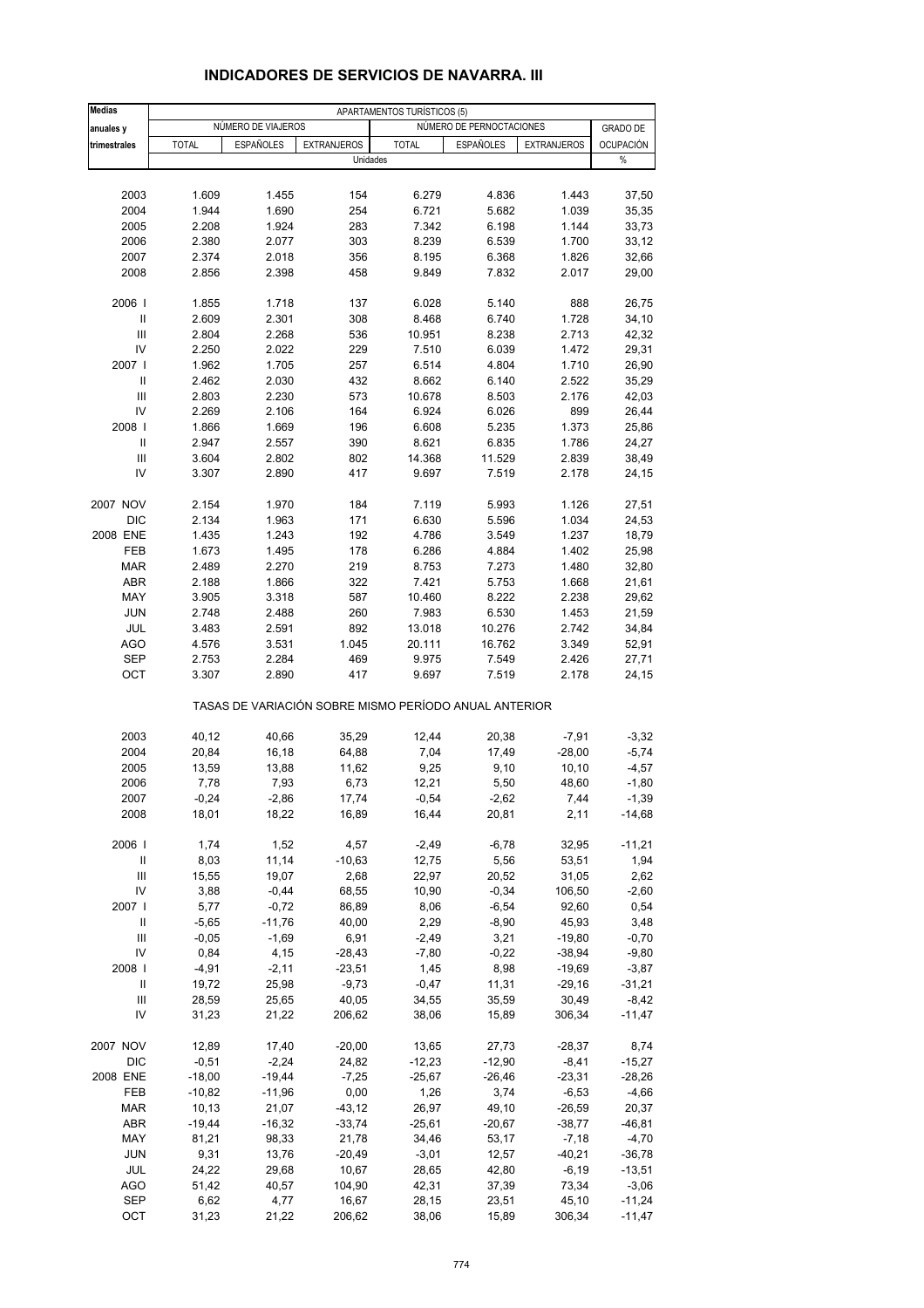| <b>Medias</b>              |              |                    | APARTAMENTOS TURÍSTICOS (5)    |              |                                                       |                    |                          |  |  |
|----------------------------|--------------|--------------------|--------------------------------|--------------|-------------------------------------------------------|--------------------|--------------------------|--|--|
| anuales y                  |              | NÚMERO DE VIAJEROS |                                |              | NÚMERO DE PERNOCTACIONES                              |                    | <b>GRADO DE</b>          |  |  |
| trimestrales               | <b>TOTAL</b> | <b>ESPAÑOLES</b>   | <b>EXTRANJEROS</b><br>Unidades | <b>TOTAL</b> | <b>ESPAÑOLES</b>                                      | <b>EXTRANJEROS</b> | <b>OCUPACIÓN</b><br>$\%$ |  |  |
|                            |              |                    |                                |              |                                                       |                    |                          |  |  |
| 2003                       | 1.609        | 1.455              | 154                            | 6.279        | 4.836                                                 | 1.443              | 37,50                    |  |  |
| 2004                       | 1.944        | 1.690              | 254                            | 6.721        | 5.682                                                 | 1.039              | 35,35                    |  |  |
| 2005                       | 2.208        | 1.924              | 283                            | 7.342        | 6.198                                                 | 1.144              | 33,73                    |  |  |
| 2006                       | 2.380        | 2.077              | 303                            | 8.239        | 6.539                                                 | 1.700              | 33,12                    |  |  |
| 2007                       | 2.374        | 2.018              | 356                            | 8.195        | 6.368                                                 | 1.826              | 32,66                    |  |  |
| 2008                       | 2.856        | 2.398              | 458                            | 9.849        | 7.832                                                 | 2.017              | 29,00                    |  |  |
| 2006                       | 1.855        | 1.718              | 137                            | 6.028        | 5.140                                                 | 888                | 26,75                    |  |  |
| Ш                          | 2.609        | 2.301              | 308                            | 8.468        | 6.740                                                 | 1.728              | 34,10                    |  |  |
| Ш                          | 2.804        | 2.268              | 536                            | 10.951       | 8.238                                                 | 2.713              | 42,32                    |  |  |
| IV                         | 2.250        | 2.022              | 229                            | 7.510        | 6.039                                                 | 1.472              | 29,31                    |  |  |
| 2007 l                     | 1.962        | 1.705              | 257                            | 6.514        | 4.804                                                 | 1.710              | 26,90                    |  |  |
| Ш                          | 2.462        | 2.030              | 432                            | 8.662        | 6.140                                                 | 2.522              | 35,29                    |  |  |
| Ш                          | 2.803        | 2.230              | 573                            | 10.678       | 8.503                                                 | 2.176              | 42,03                    |  |  |
| IV                         | 2.269        | 2.106              | 164                            | 6.924        | 6.026                                                 | 899                | 26,44                    |  |  |
| 2008                       | 1.866        | 1.669              | 196                            | 6.608        | 5.235                                                 | 1.373              | 25,86                    |  |  |
| Ш                          | 2.947        | 2.557              | 390                            | 8.621        | 6.835                                                 | 1.786              | 24,27                    |  |  |
| Ш                          | 3.604        | 2.802              | 802                            | 14.368       | 11.529                                                | 2.839              | 38,49                    |  |  |
| IV                         | 3.307        | 2.890              | 417                            | 9.697        | 7.519                                                 | 2.178              | 24,15                    |  |  |
| 2007 NOV                   | 2.154        | 1.970              | 184                            | 7.119        | 5.993                                                 | 1.126              | 27,51                    |  |  |
| DIC                        | 2.134        | 1.963              | 171                            | 6.630        | 5.596                                                 | 1.034              | 24,53                    |  |  |
| 2008 ENE                   | 1.435        | 1.243              | 192                            | 4.786        | 3.549                                                 | 1.237              | 18,79                    |  |  |
| FEB                        | 1.673        | 1.495              | 178                            | 6.286        | 4.884                                                 | 1.402              | 25,98                    |  |  |
| <b>MAR</b>                 | 2.489        | 2.270              | 219                            | 8.753        | 7.273                                                 | 1.480              | 32,80                    |  |  |
| ABR                        | 2.188        | 1.866              | 322                            | 7.421        | 5.753                                                 | 1.668              | 21,61                    |  |  |
| MAY                        | 3.905        | 3.318              | 587                            | 10.460       | 8.222                                                 | 2.238              | 29,62                    |  |  |
| <b>JUN</b>                 | 2.748        | 2.488              | 260                            | 7.983        | 6.530                                                 | 1.453              | 21,59                    |  |  |
| JUL                        | 3.483        | 2.591              | 892                            | 13.018       | 10.276                                                | 2.742              | 34,84                    |  |  |
| AGO                        | 4.576        | 3.531              | 1.045                          | 20.111       | 16.762                                                | 3.349              | 52,91                    |  |  |
| <b>SEP</b>                 | 2.753        | 2.284              | 469                            | 9.975        | 7.549                                                 | 2.426              | 27,71                    |  |  |
| OCT                        | 3.307        | 2.890              | 417                            | 9.697        | 7.519                                                 | 2.178              | 24,15                    |  |  |
|                            |              |                    |                                |              | TASAS DE VARIACIÓN SOBRE MISMO PERÍODO ANUAL ANTERIOR |                    |                          |  |  |
| 2003                       | 40,12        | 40,66              | 35,29                          | 12,44        | 20,38                                                 | $-7,91$            | $-3,32$                  |  |  |
| 2004                       | 20,84        | 16,18              | 64,88                          | 7,04         | 17,49                                                 | $-28,00$           | $-5,74$                  |  |  |
| 2005                       | 13,59        | 13,88              | 11,62                          | 9,25         | 9,10                                                  | 10, 10             | $-4,57$                  |  |  |
| 2006                       | 7,78         | 7,93               | 6,73                           | 12,21        | 5,50                                                  | 48,60              | $-1,80$                  |  |  |
| 2007                       | $-0,24$      | $-2,86$            | 17,74                          | $-0,54$      | $-2,62$                                               | 7,44               | $-1,39$                  |  |  |
| 2008                       | 18,01        | 18,22              | 16,89                          | 16,44        | 20,81                                                 | 2,11               | $-14,68$                 |  |  |
| 2006                       | 1,74         | 1,52               | 4,57                           | $-2,49$      | $-6,78$                                               | 32,95              | $-11,21$                 |  |  |
| $\ensuremath{\mathsf{II}}$ | 8,03         | 11,14              | $-10,63$                       | 12,75        | 5,56                                                  | 53,51              | 1,94                     |  |  |
| Ш                          | 15,55        | 19,07              | 2,68                           | 22,97        | 20,52                                                 | 31,05              | 2,62                     |  |  |
| IV                         | 3,88         | $-0,44$            | 68,55                          | 10,90        | $-0,34$                                               | 106,50             | $-2,60$                  |  |  |
| 2007                       | 5,77         | $-0,72$            | 86,89                          | 8,06         | $-6,54$                                               | 92,60              | 0,54                     |  |  |
| Ш                          | $-5,65$      | $-11,76$           | 40,00                          | 2,29         | $-8,90$                                               | 45,93              | 3,48                     |  |  |
| Ш                          | $-0,05$      | $-1,69$            | 6,91                           | $-2,49$      | 3,21                                                  | $-19,80$           | $-0,70$                  |  |  |
| IV                         | 0,84         | 4,15               | $-28,43$                       | $-7,80$      | $-0,22$                                               | $-38,94$           | $-9,80$                  |  |  |
| 2008                       | $-4,91$      | $-2,11$            | $-23,51$                       | 1,45         | 8,98                                                  | $-19,69$           | $-3,87$                  |  |  |
| Ш                          | 19,72        | 25,98              | $-9,73$                        | $-0,47$      | 11,31                                                 | $-29,16$           | $-31,21$                 |  |  |
| Ш                          | 28,59        | 25,65              | 40,05                          | 34,55        | 35,59                                                 | 30,49              | $-8,42$                  |  |  |
| IV                         | 31,23        | 21,22              | 206,62                         | 38,06        | 15,89                                                 | 306,34             | $-11,47$                 |  |  |
| 2007 NOV                   | 12,89        | 17,40              | $-20,00$                       | 13,65        | 27,73                                                 | $-28,37$           | 8,74                     |  |  |
| DIC                        | $-0,51$      | $-2,24$            | 24,82                          | $-12,23$     | $-12,90$                                              | $-8,41$            | $-15,27$                 |  |  |
| 2008 ENE                   | $-18,00$     | $-19,44$           | $-7,25$                        | $-25,67$     | $-26,46$                                              | $-23,31$           | $-28,26$                 |  |  |
| FEB                        | $-10,82$     | $-11,96$           | 0,00                           | 1,26         | 3,74                                                  | $-6,53$            | $-4,66$                  |  |  |
| <b>MAR</b>                 | 10,13        | 21,07              | $-43, 12$                      | 26,97        | 49,10                                                 | $-26,59$           | 20,37                    |  |  |
| ABR                        | $-19,44$     | $-16,32$           | $-33,74$                       | $-25,61$     | $-20,67$                                              | $-38,77$           | $-46,81$                 |  |  |
| MAY                        | 81,21        | 98,33              | 21,78                          | 34,46        | 53,17                                                 | $-7,18$            | $-4,70$                  |  |  |
| <b>JUN</b>                 | 9,31         | 13,76              | $-20,49$                       | $-3,01$      | 12,57                                                 | $-40,21$           | $-36,78$                 |  |  |
| JUL                        | 24,22        | 29,68              | 10,67                          | 28,65        | 42,80                                                 | $-6,19$            | $-13,51$                 |  |  |
| <b>AGO</b>                 | 51,42        | 40,57              | 104,90                         | 42,31        | 37,39                                                 | 73,34              | $-3,06$                  |  |  |
| <b>SEP</b>                 | 6,62         | 4,77               | 16,67                          | 28,15        | 23,51                                                 | 45,10              | $-11,24$                 |  |  |
| OCT                        | 31,23        | 21,22              | 206,62                         | 38,06        | 15,89                                                 | 306,34             | $-11,47$                 |  |  |

## **INDICADORES DE SERVICIOS DE NAVARRA. III**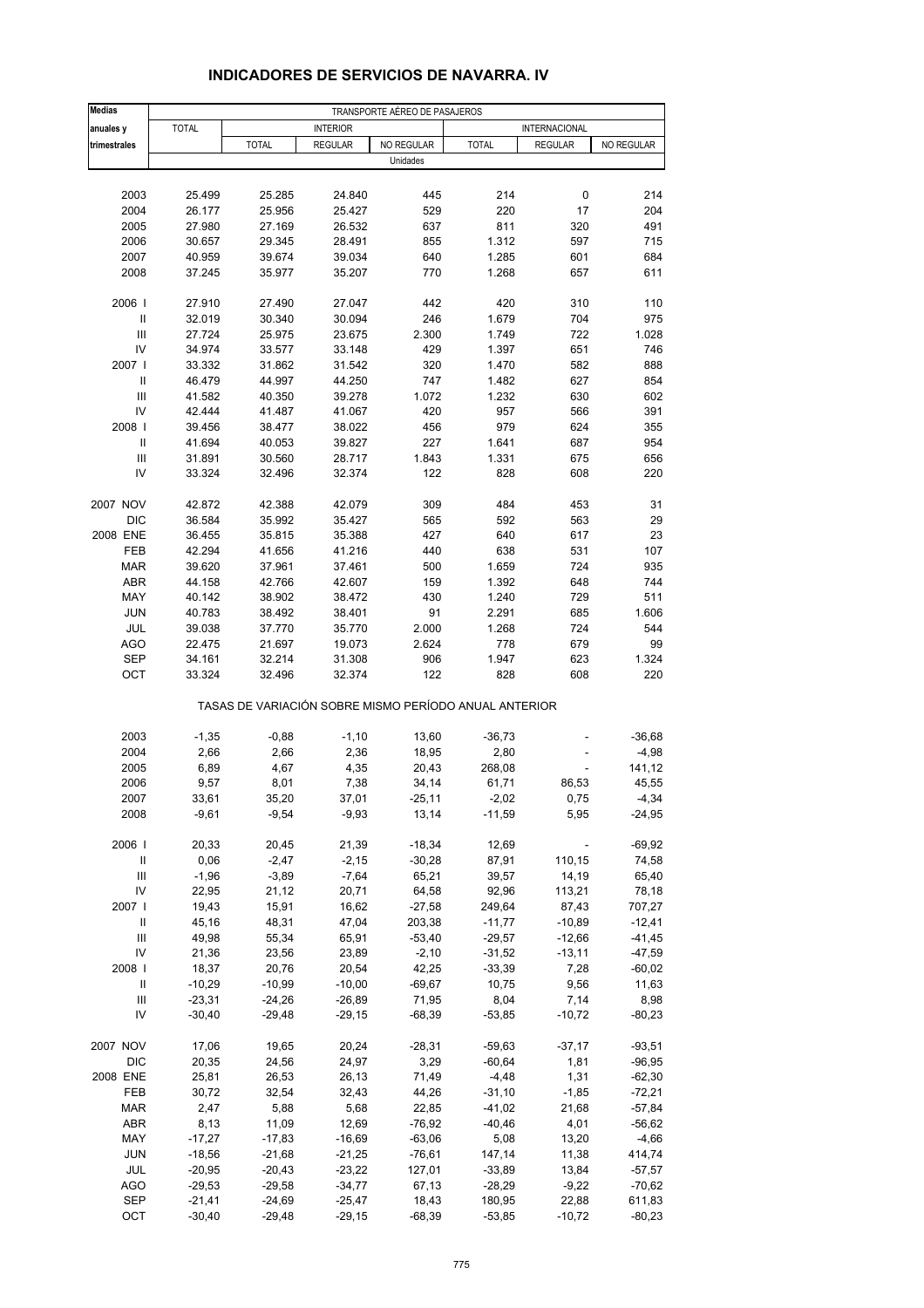| <b>Medias</b>                      | TRANSPORTE AÉREO DE PASAJEROS |                                                       |                  |              |                |                |              |  |
|------------------------------------|-------------------------------|-------------------------------------------------------|------------------|--------------|----------------|----------------|--------------|--|
| anuales y                          | <b>TOTAL</b>                  |                                                       | <b>INTERIOR</b>  |              |                | INTERNACIONAL  |              |  |
| trimestrales                       |                               | <b>TOTAL</b>                                          | <b>REGULAR</b>   | NO REGULAR   | <b>TOTAL</b>   | <b>REGULAR</b> | NO REGULAR   |  |
|                                    |                               |                                                       |                  | Unidades     |                |                |              |  |
|                                    |                               |                                                       |                  |              |                |                |              |  |
| 2003                               | 25.499                        | 25.285                                                | 24.840           | 445          | 214            | 0              | 214          |  |
| 2004                               | 26.177                        | 25.956                                                | 25.427           | 529          | 220            | 17             | 204          |  |
| 2005                               | 27.980                        | 27.169                                                | 26.532           | 637          | 811            | 320            | 491          |  |
| 2006                               | 30.657                        | 29.345                                                | 28.491           | 855          | 1.312          | 597            | 715          |  |
| 2007<br>2008                       | 40.959<br>37.245              | 39.674<br>35.977                                      | 39.034<br>35.207 | 640<br>770   | 1.285<br>1.268 | 601<br>657     | 684<br>611   |  |
|                                    |                               |                                                       |                  |              |                |                |              |  |
| 2006                               | 27.910                        | 27.490                                                | 27.047           | 442          | 420            | 310            | 110          |  |
| Ш                                  | 32.019                        | 30.340                                                | 30.094           | 246          | 1.679          | 704            | 975          |  |
| Ш                                  | 27.724                        | 25.975                                                | 23.675           | 2.300        | 1.749          | 722            | 1.028        |  |
| IV                                 | 34.974                        | 33.577                                                | 33.148           | 429          | 1.397          | 651            | 746          |  |
| 2007 l<br>$\mathbf{I}$             | 33.332                        | 31.862                                                | 31.542           | 320          | 1.470          | 582            | 888<br>854   |  |
| $\mathbf{III}$                     | 46.479                        | 44.997                                                | 44.250           | 747          | 1.482          | 627<br>630     | 602          |  |
| IV                                 | 41.582<br>42.444              | 40.350<br>41.487                                      | 39.278<br>41.067 | 1.072<br>420 | 1.232<br>957   | 566            | 391          |  |
| 2008                               | 39.456                        | 38.477                                                | 38.022           | 456          | 979            | 624            | 355          |  |
| Ш                                  | 41.694                        | 40.053                                                | 39.827           | 227          | 1.641          | 687            | 954          |  |
| Ш                                  | 31.891                        | 30.560                                                | 28.717           | 1.843        | 1.331          | 675            | 656          |  |
| IV                                 | 33.324                        | 32.496                                                | 32.374           | 122          | 828            | 608            | 220          |  |
|                                    |                               |                                                       |                  |              |                |                |              |  |
| 2007 NOV                           | 42.872                        | 42.388                                                | 42.079           | 309          | 484            | 453            | 31           |  |
| <b>DIC</b>                         | 36.584                        | 35.992                                                | 35.427           | 565          | 592            | 563            | 29           |  |
| 2008 ENE                           | 36.455                        | 35.815                                                | 35.388           | 427          | 640            | 617            | 23           |  |
| FEB                                | 42.294                        | 41.656                                                | 41.216           | 440          | 638            | 531            | 107          |  |
| <b>MAR</b>                         | 39.620                        | 37.961                                                | 37.461           | 500          | 1.659          | 724            | 935          |  |
| <b>ABR</b>                         | 44.158                        | 42.766                                                | 42.607           | 159          | 1.392          | 648            | 744<br>511   |  |
| MAY                                | 40.142                        | 38.902                                                | 38.472           | 430<br>91    | 1.240          | 729            |              |  |
| <b>JUN</b><br>JUL                  | 40.783<br>39.038              | 38.492<br>37.770                                      | 38.401<br>35.770 | 2.000        | 2.291<br>1.268 | 685<br>724     | 1.606<br>544 |  |
| AGO                                | 22.475                        | 21.697                                                | 19.073           | 2.624        | 778            | 679            | 99           |  |
| SEP                                | 34.161                        | 32.214                                                | 31.308           | 906          | 1.947          | 623            | 1.324        |  |
| OCT                                | 33.324                        | 32.496                                                | 32.374           | 122          | 828            | 608            | 220          |  |
|                                    |                               | TASAS DE VARIACIÓN SOBRE MISMO PERÍODO ANUAL ANTERIOR |                  |              |                |                |              |  |
| 2003                               | $-1,35$                       | $-0,88$                                               | $-1,10$          | 13,60        | $-36,73$       |                | $-36,68$     |  |
| 2004                               | 2,66                          | 2,66                                                  | 2,36             | 18,95        | 2,80           |                | $-4,98$      |  |
| 2005                               | 6,89                          | 4,67                                                  | 4,35             | 20,43        | 268,08         |                | 141,12       |  |
| 2006                               | 9,57                          | 8,01                                                  | 7,38             | 34,14        | 61,71          | 86,53          | 45,55        |  |
| 2007                               | 33,61                         | 35,20                                                 | 37,01            | $-25,11$     | $-2,02$        | 0,75           | $-4,34$      |  |
| 2008                               | $-9,61$                       | $-9,54$                                               | $-9,93$          | 13,14        | $-11,59$       | 5,95           | $-24,95$     |  |
| 2006                               | 20,33                         | 20,45                                                 | 21,39            | $-18,34$     | 12,69          |                | $-69,92$     |  |
| $\ensuremath{\mathsf{II}}$         | 0,06                          | $-2,47$                                               | $-2,15$          | $-30,28$     | 87,91          | 110,15         | 74,58        |  |
| $\ensuremath{\mathsf{III}}\xspace$ | $-1,96$                       | $-3,89$                                               | $-7,64$          | 65,21        | 39,57          | 14,19          | 65,40        |  |
| IV                                 | 22,95                         | 21,12                                                 | 20,71            | 64,58        | 92,96          | 113,21         | 78,18        |  |
| 2007                               | 19,43                         | 15,91                                                 | 16,62            | $-27,58$     | 249,64         | 87,43          | 707,27       |  |
| Ш                                  | 45,16                         | 48,31                                                 | 47,04            | 203,38       | $-11,77$       | $-10,89$       | $-12,41$     |  |
| Ш                                  | 49,98                         | 55,34                                                 | 65,91            | $-53,40$     | $-29,57$       | $-12,66$       | -41,45       |  |
| IV                                 | 21,36                         | 23,56                                                 | 23,89            | $-2,10$      | $-31,52$       | $-13,11$       | $-47,59$     |  |
| 2008                               | 18,37                         | 20,76                                                 | 20,54            | 42,25        | $-33,39$       | 7,28           | $-60,02$     |  |
| Ш                                  | $-10,29$                      | $-10,99$                                              | $-10,00$         | $-69,67$     | 10,75          | 9,56           | 11,63        |  |
| Ш                                  | $-23,31$                      | $-24,26$                                              | $-26,89$         | 71,95        | 8,04           | 7,14           | 8,98         |  |
| IV                                 | $-30,40$                      | $-29,48$                                              | $-29,15$         | $-68,39$     | $-53,85$       | $-10,72$       | $-80,23$     |  |
| 2007 NOV                           | 17,06                         | 19,65                                                 | 20,24            | $-28,31$     | $-59,63$       | $-37,17$       | $-93,51$     |  |
| DIC                                | 20,35                         | 24,56                                                 | 24,97            | 3,29         | $-60,64$       | 1,81           | $-96,95$     |  |
| 2008 ENE                           | 25,81                         | 26,53                                                 | 26,13            | 71,49        | $-4,48$        | 1,31           | $-62,30$     |  |
| FEB                                | 30,72                         | 32,54                                                 | 32,43            | 44,26        | $-31,10$       | $-1,85$        | $-72,21$     |  |
| <b>MAR</b>                         | 2,47                          | 5,88                                                  | 5,68             | 22,85        | $-41,02$       | 21,68          | $-57,84$     |  |
| ABR                                | 8,13                          | 11,09                                                 | 12,69            | $-76,92$     | $-40,46$       | 4,01           | $-56,62$     |  |
| MAY                                | $-17,27$                      | $-17,83$                                              | $-16,69$         | $-63,06$     | 5,08           | 13,20          | $-4,66$      |  |
| <b>JUN</b>                         | $-18,56$                      | $-21,68$                                              | $-21,25$         | $-76,61$     | 147,14         | 11,38          | 414,74       |  |
| JUL                                | $-20,95$                      | $-20,43$                                              | $-23,22$         | 127,01       | $-33,89$       | 13,84          | $-57,57$     |  |
| <b>AGO</b>                         | $-29,53$                      | $-29,58$                                              | $-34,77$         | 67,13        | $-28,29$       | $-9,22$        | $-70,62$     |  |
| SEP                                | $-21,41$                      | $-24,69$                                              | $-25,47$         | 18,43        | 180,95         | 22,88          | 611,83       |  |
| OCT                                | $-30,40$                      | $-29,48$                                              | $-29,15$         | $-68,39$     | $-53,85$       | $-10,72$       | $-80,23$     |  |

### **INDICADORES DE SERVICIOS DE NAVARRA. IV**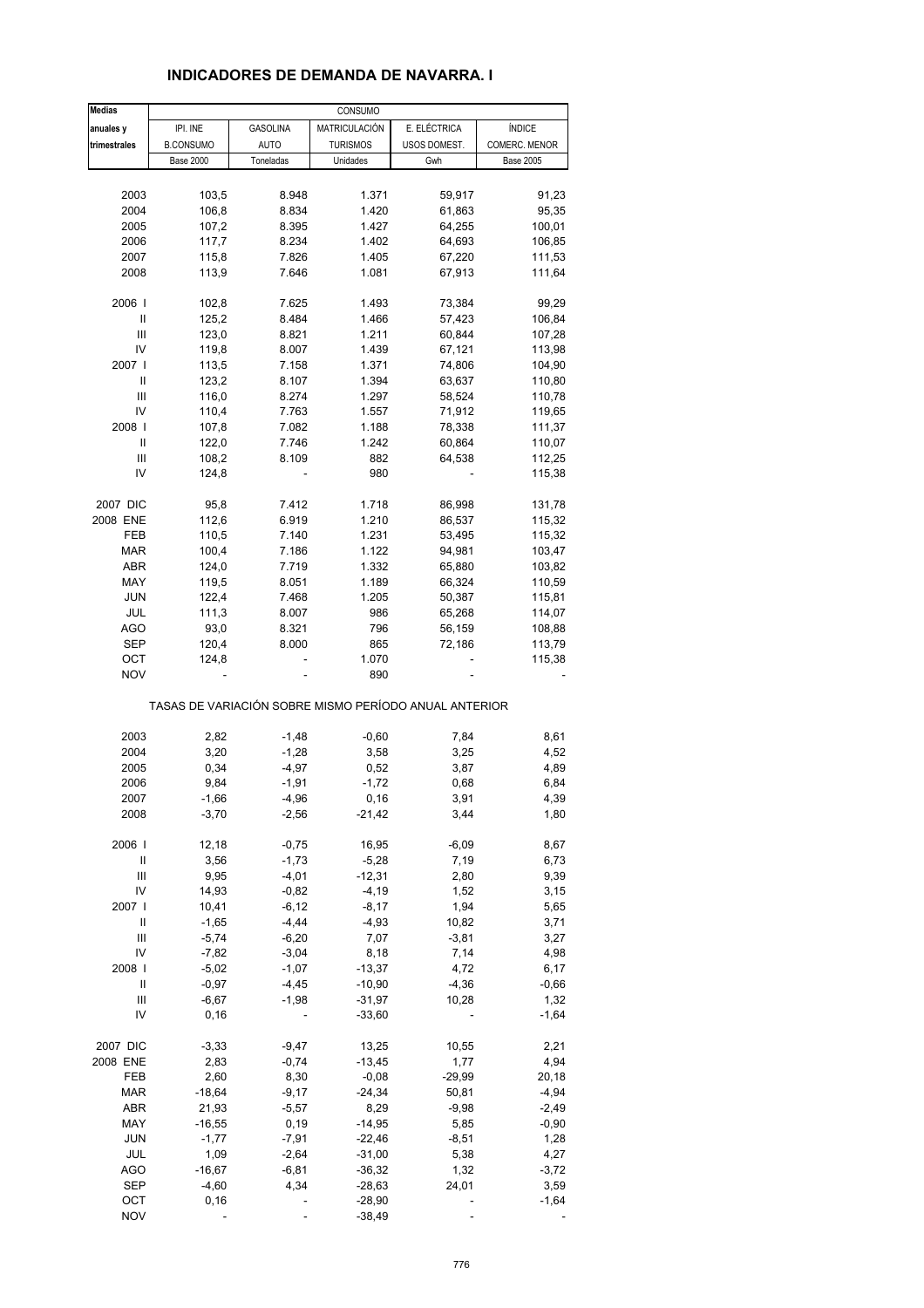| <b>Medias</b>  |                  |                    | CONSUMO         |                                                       |                  |
|----------------|------------------|--------------------|-----------------|-------------------------------------------------------|------------------|
| anuales y      | IPI. INE         | <b>GASOLINA</b>    | MATRICULACIÓN   | E. ELÉCTRICA                                          | <b>ÍNDICE</b>    |
| trimestrales   | <b>B.CONSUMO</b> | <b>AUTO</b>        | <b>TURISMOS</b> | USOS DOMEST.                                          | COMERC. MENOR    |
|                | <b>Base 2000</b> | Toneladas          | Unidades        | Gwh                                                   | <b>Base 2005</b> |
|                |                  |                    |                 |                                                       |                  |
| 2003           | 103,5            | 8.948              | 1.371           | 59,917                                                | 91,23            |
| 2004           | 106,8            | 8.834              | 1.420           | 61,863                                                | 95,35            |
| 2005           | 107,2            | 8.395              | 1.427           | 64,255                                                | 100,01           |
| 2006           | 117,7            | 8.234              | 1.402           | 64,693                                                | 106,85           |
| 2007           | 115,8            | 7.826              | 1.405           | 67,220                                                | 111,53           |
| 2008           | 113,9            | 7.646              | 1.081           | 67,913                                                | 111,64           |
|                |                  |                    |                 |                                                       |                  |
| 2006           | 102,8            | 7.625              | 1.493           | 73,384                                                | 99,29            |
| Ш              | 125,2            | 8.484              | 1.466           | 57,423                                                | 106,84           |
| Ш              | 123,0            | 8.821              | 1.211           | 60,844                                                | 107,28           |
| IV             | 119,8            | 8.007              | 1.439           | 67,121                                                | 113,98           |
| 2007           | 113,5            | 7.158              | 1.371           | 74,806                                                | 104,90           |
| Ш              | 123,2            | 8.107              | 1.394           | 63,637                                                | 110,80           |
| $\mathsf{III}$ | 116,0            | 8.274              | 1.297           |                                                       |                  |
| IV             |                  |                    |                 | 58,524                                                | 110,78           |
|                | 110,4            | 7.763              | 1.557           | 71,912                                                | 119,65           |
| 2008           | 107,8            | 7.082              | 1.188           | 78,338                                                | 111,37           |
| Ш              | 122,0            | 7.746              | 1.242           | 60,864                                                | 110,07           |
| Ш              | 108,2            | 8.109              | 882             | 64,538                                                | 112,25           |
| IV             | 124,8            |                    | 980             |                                                       | 115,38           |
|                |                  |                    |                 |                                                       |                  |
| 2007 DIC       | 95,8             | 7.412              | 1.718           | 86,998                                                | 131,78           |
| 2008 ENE       | 112,6            | 6.919              | 1.210           | 86,537                                                | 115,32           |
| FEB            | 110,5            | 7.140              | 1.231           | 53,495                                                | 115,32           |
| MAR            | 100,4            | 7.186              | 1.122           | 94,981                                                | 103,47           |
| ABR            | 124,0            | 7.719              | 1.332           | 65,880                                                | 103,82           |
| MAY            | 119,5            | 8.051              | 1.189           | 66,324                                                | 110,59           |
| <b>JUN</b>     | 122,4            | 7.468              | 1.205           | 50,387                                                | 115,81           |
| <b>JUL</b>     | 111,3            | 8.007              | 986             | 65,268                                                | 114,07           |
| <b>AGO</b>     | 93,0             | 8.321              | 796             | 56,159                                                | 108,88           |
| <b>SEP</b>     | 120,4            | 8.000              | 865             | 72,186                                                | 113,79           |
| ОСТ            | 124,8            |                    | 1.070           |                                                       | 115,38           |
| <b>NOV</b>     |                  |                    | 890             |                                                       |                  |
|                |                  |                    |                 | TASAS DE VARIACIÓN SOBRE MISMO PERÍODO ANUAL ANTERIOR |                  |
|                |                  |                    |                 |                                                       |                  |
| 2003           | 2,82<br>3,20     | $-1,48$<br>$-1,28$ | $-0,60$         | 7,84                                                  | 8,61<br>4,52     |
| 2004           |                  |                    | 3,58            | 3,25                                                  |                  |
| 2005           | 0,34             | $-4,97$            | 0,52            | 3,87                                                  | 4,89             |
| 2006           | 9,84             | $-1,91$            | $-1,72$         | 0,68                                                  | 6,84             |
| 2007           | $-1,66$          | $-4,96$            | 0,16            | 3,91                                                  | 4,39             |
| 2008           | $-3,70$          | $-2,56$            | -21,42          | 3,44                                                  | 1,80             |
| 2006           | 12,18            | $-0,75$            | 16,95           | $-6,09$                                               | 8,67             |
| Ш              | 3,56             | $-1,73$            | $-5,28$         | 7,19                                                  | 6,73             |
| $\mathsf{III}$ | 9,95             | $-4,01$            | $-12,31$        | 2,80                                                  |                  |
| IV             | 14,93            | $-0,82$            | $-4,19$         | 1,52                                                  | 9,39<br>3,15     |
|                |                  |                    |                 |                                                       |                  |
| 2007 l         | 10,41            | $-6, 12$           | $-8,17$         | 1,94                                                  | 5,65             |
| Ш              | $-1,65$          | $-4,44$            | $-4,93$         | 10,82                                                 | 3,71             |
| Ш              | $-5,74$          | $-6,20$            | 7,07            | $-3,81$                                               | 3,27             |
| IV             | $-7,82$          | $-3,04$            | 8,18            | 7,14                                                  | 4,98             |
| 2008           | $-5,02$          | $-1,07$            | $-13,37$        | 4,72                                                  | 6,17             |
| Ш              | $-0,97$          | $-4,45$            | $-10,90$        | $-4,36$                                               | $-0,66$          |
| Ш              | $-6,67$          | $-1,98$            | -31,97          | 10,28                                                 | 1,32             |
| IV             | 0, 16            |                    | $-33,60$        |                                                       | $-1,64$          |
|                |                  |                    |                 |                                                       |                  |
| 2007 DIC       | $-3,33$          | $-9,47$            | 13,25           | 10,55                                                 | 2,21             |
| 2008 ENE       | 2,83             | $-0,74$            | $-13,45$        | 1,77                                                  | 4,94             |
| FEB            | 2,60             | 8,30               | $-0,08$         | $-29,99$                                              | 20,18            |
| MAR            | $-18,64$         | $-9,17$            | $-24,34$        | 50,81                                                 | $-4,94$          |
| ABR            | 21,93            | $-5,57$            | 8,29            | $-9,98$                                               | $-2,49$          |
| MAY            | $-16,55$         | 0, 19              | $-14,95$        | 5,85                                                  | $-0,90$          |
| <b>JUN</b>     | $-1,77$          | $-7,91$            | $-22,46$        | $-8,51$                                               | 1,28             |
| JUL            | 1,09             | $-2,64$            | $-31,00$        | 5,38                                                  | 4,27             |
| <b>AGO</b>     | $-16,67$         | $-6,81$            |                 | 1,32                                                  | $-3,72$          |
|                |                  |                    | -36,32          |                                                       |                  |
| <b>SEP</b>     | $-4,60$          | 4,34               | $-28,63$        | 24,01                                                 | 3,59             |
| OCT            | 0, 16            |                    | $-28,90$        |                                                       | $-1,64$          |
| <b>NOV</b>     |                  |                    | $-38,49$        |                                                       |                  |

#### **INDICADORES DE DEMANDA DE NAVARRA. I**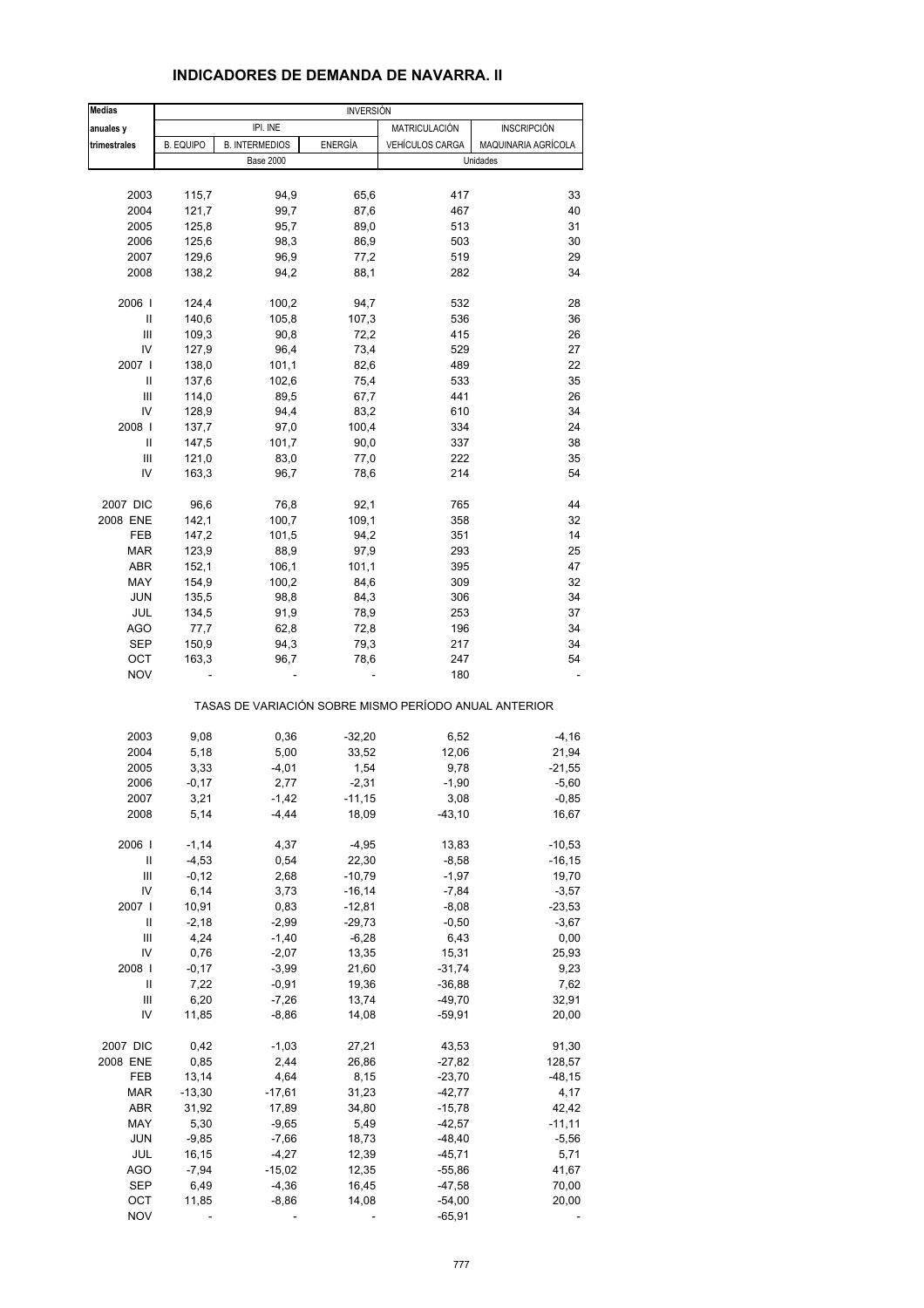| <b>Medias</b> |                  |                       | <b>INVERSIÓN</b> |                                                       |                     |
|---------------|------------------|-----------------------|------------------|-------------------------------------------------------|---------------------|
| anuales y     |                  | IPI. INE              |                  | MATRICULACIÓN                                         | <b>INSCRIPCIÓN</b>  |
| trimestrales  | <b>B. EQUIPO</b> | <b>B. INTERMEDIOS</b> | <b>ENERGÍA</b>   | <b>VEHÍCULOS CARGA</b>                                | MAQUINARIA AGRÍCOLA |
|               |                  | <b>Base 2000</b>      |                  |                                                       | Unidades            |
|               |                  |                       |                  |                                                       |                     |
|               |                  |                       |                  | 417                                                   | 33                  |
| 2003          | 115,7            | 94,9                  | 65,6             |                                                       |                     |
| 2004          | 121,7            | 99,7                  | 87,6             | 467                                                   | 40                  |
| 2005          | 125,8            | 95,7                  | 89,0             | 513                                                   | 31                  |
| 2006          | 125,6            | 98,3                  | 86,9             | 503                                                   | 30                  |
| 2007          | 129,6            | 96,9                  | 77,2             | 519                                                   | 29                  |
| 2008          | 138,2            | 94,2                  | 88,1             | 282                                                   | 34                  |
|               |                  |                       |                  |                                                       |                     |
| 2006          | 124,4            | 100,2                 | 94,7             | 532                                                   | 28                  |
| Ш             | 140,6            | 105,8                 | 107,3            | 536                                                   | 36                  |
|               |                  |                       |                  |                                                       |                     |
| Ш             | 109,3            | 90,8                  | 72,2             | 415                                                   | 26                  |
| IV            | 127,9            | 96,4                  | 73,4             | 529                                                   | 27                  |
| 2007          | 138,0            | 101,1                 | 82,6             | 489                                                   | 22                  |
| Ш             | 137,6            | 102,6                 | 75,4             | 533                                                   | 35                  |
| Ш             | 114,0            | 89,5                  | 67,7             | 441                                                   | 26                  |
| IV            | 128,9            | 94,4                  | 83,2             | 610                                                   | 34                  |
|               |                  |                       |                  |                                                       |                     |
| 2008          | 137,7            | 97,0                  | 100,4            | 334                                                   | 24                  |
| Ш             | 147,5            | 101,7                 | 90,0             | 337                                                   | 38                  |
| Ш             | 121,0            | 83,0                  | 77,0             | 222                                                   | 35                  |
| IV            | 163,3            | 96,7                  | 78,6             | 214                                                   | 54                  |
|               |                  |                       |                  |                                                       |                     |
| 2007 DIC      | 96,6             | 76,8                  | 92,1             | 765                                                   | 44                  |
| 2008 ENE      | 142,1            | 100,7                 | 109,1            | 358                                                   | 32                  |
| FEB           | 147,2            | 101,5                 | 94,2             | 351                                                   | 14                  |
|               |                  |                       |                  |                                                       |                     |
| <b>MAR</b>    | 123,9            | 88,9                  | 97,9             | 293                                                   | 25                  |
| ABR           | 152,1            | 106,1                 | 101,1            | 395                                                   | 47                  |
| MAY           | 154,9            | 100,2                 | 84,6             | 309                                                   | 32                  |
| <b>JUN</b>    | 135,5            | 98,8                  | 84,3             | 306                                                   | 34                  |
| JUL           | 134,5            | 91,9                  | 78,9             | 253                                                   | 37                  |
| AGO           | 77,7             | 62,8                  | 72,8             | 196                                                   | 34                  |
|               |                  |                       |                  |                                                       |                     |
| <b>SEP</b>    | 150,9            | 94,3                  | 79,3             | 217                                                   | 34                  |
| ОСТ           | 163,3            | 96,7                  | 78,6             | 247                                                   | 54                  |
| <b>NOV</b>    |                  |                       |                  | 180                                                   |                     |
|               |                  |                       |                  | TASAS DE VARIACIÓN SOBRE MISMO PERÍODO ANUAL ANTERIOR |                     |
|               |                  |                       |                  |                                                       |                     |
| 2003          | 9,08             | 0,36                  | $-32,20$         | 6,52                                                  | $-4,16$             |
| 2004          | 5,18             | 5,00                  | 33,52            | 12,06                                                 | 21,94               |
| 2005          | 3,33             | $-4,01$               | 1,54             | 9,78                                                  | $-21,55$            |
| 2006          | $-0,17$          | 2,77                  | $-2,31$          | $-1,90$                                               | $-5,60$             |
| 2007          | 3,21             | $-1,42$               | $-11,15$         | 3,08                                                  | $-0,85$             |
| 2008          | 5,14             | $-4,44$               | 18,09            | $-43, 10$                                             | 16,67               |
|               |                  |                       |                  |                                                       |                     |
| 2006          | $-1,14$          | 4,37                  | $-4,95$          | 13,83                                                 | $-10,53$            |
| Ш             | $-4,53$          | 0,54                  | 22,30            | $-8,58$                                               | $-16, 15$           |
| Ш             |                  |                       | $-10,79$         |                                                       |                     |
|               | $-0,12$          | 2,68                  |                  | $-1,97$                                               | 19,70               |
| IV            | 6,14             | 3,73                  | $-16, 14$        | $-7,84$                                               | $-3,57$             |
| 2007          | 10,91            | 0,83                  | $-12,81$         | $-8,08$                                               | $-23,53$            |
| Ш             | $-2,18$          | $-2,99$               | $-29,73$         | $-0,50$                                               | $-3,67$             |
| Ш             | 4,24             | $-1,40$               | $-6,28$          | 6,43                                                  | 0,00                |
| IV            | 0,76             | $-2,07$               | 13,35            | 15,31                                                 | 25,93               |
| 2008          | $-0,17$          | $-3,99$               | 21,60            | $-31,74$                                              | 9,23                |
|               |                  |                       |                  |                                                       |                     |
| Ш             | 7,22             | $-0,91$               | 19,36            | $-36,88$                                              | 7,62                |
| Ш             | 6,20             | $-7,26$               | 13,74            | $-49,70$                                              | 32,91               |
| IV            | 11,85            | $-8,86$               | 14,08            | $-59,91$                                              | 20,00               |
|               |                  |                       |                  |                                                       |                     |
| 2007 DIC      | 0,42             | $-1,03$               | 27,21            | 43,53                                                 | 91,30               |
| 2008 ENE      | 0,85             | 2,44                  | 26,86            | $-27,82$                                              | 128,57              |
| FEB           | 13,14            | 4,64                  | 8,15             | $-23,70$                                              | $-48,15$            |
| <b>MAR</b>    | $-13,30$         | $-17,61$              | 31,23            | $-42,77$                                              | 4,17                |
|               |                  |                       |                  |                                                       |                     |
| ABR           | 31,92            | 17,89                 | 34,80            | $-15,78$                                              | 42,42               |
| MAY           | 5,30             | $-9,65$               | 5,49             | $-42,57$                                              | $-11,11$            |
| <b>JUN</b>    | $-9,85$          | $-7,66$               | 18,73            | $-48,40$                                              | $-5,56$             |
| JUL           | 16,15            | $-4,27$               | 12,39            | $-45,71$                                              | 5,71                |
| AGO           | $-7,94$          | $-15,02$              | 12,35            | $-55,86$                                              | 41,67               |
| <b>SEP</b>    | 6,49             | $-4,36$               | 16,45            | $-47,58$                                              | 70,00               |
|               |                  |                       |                  |                                                       |                     |
| OCT           | 11,85            | $-8,86$               | 14,08            | $-54,00$                                              | 20,00               |
| <b>NOV</b>    |                  |                       |                  | $-65,91$                                              |                     |

## **INDICADORES DE DEMANDA DE NAVARRA. II**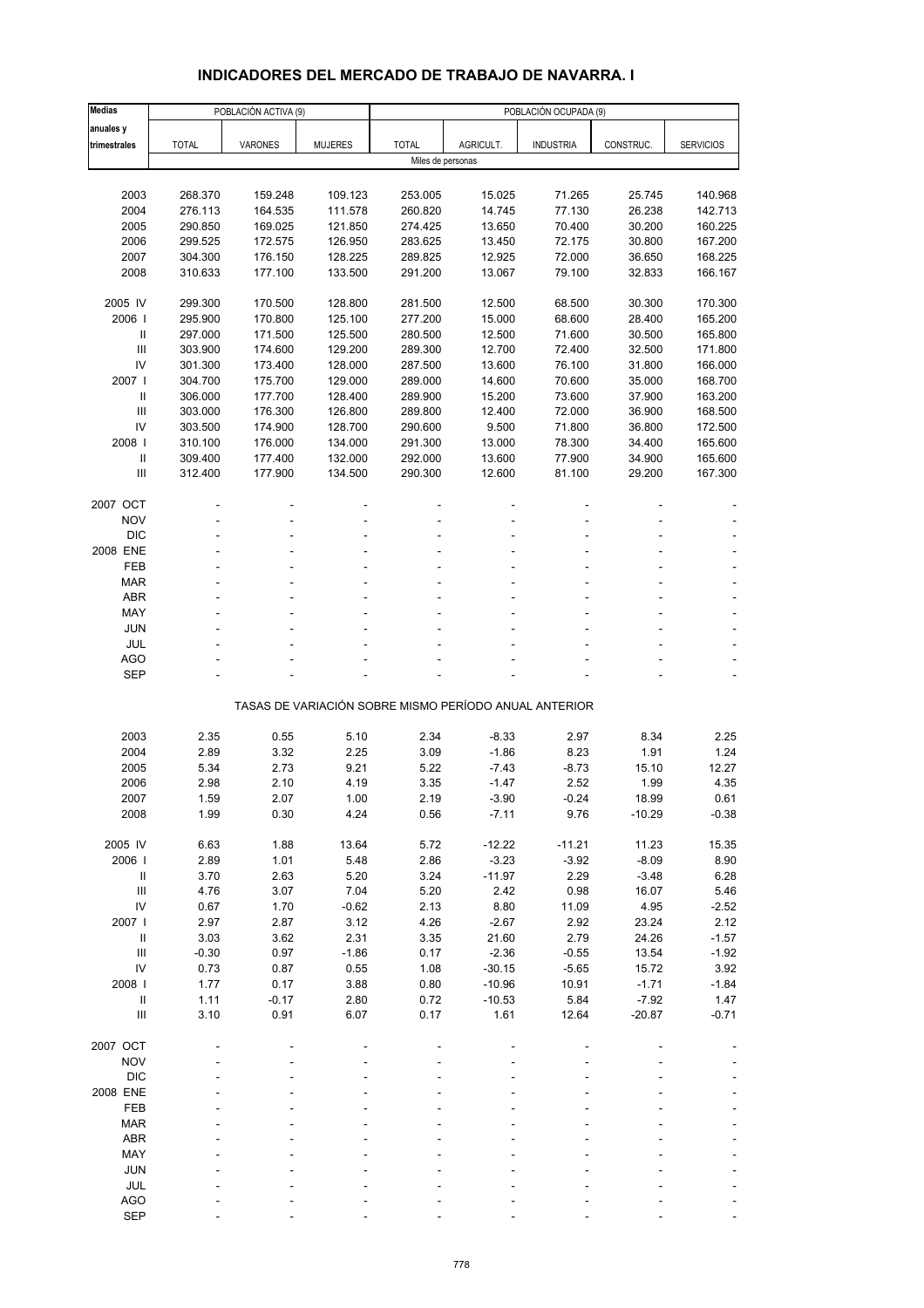# **INDICADORES DEL MERCADO DE TRABAJO DE NAVARRA. I**

| <b>Medias</b>                          | POBLACIÓN OCUPADA (9)<br>POBLACIÓN ACTIVA (9) |              |                 |                   |                                                       |                  |               |                  |
|----------------------------------------|-----------------------------------------------|--------------|-----------------|-------------------|-------------------------------------------------------|------------------|---------------|------------------|
| anuales y                              |                                               |              |                 |                   |                                                       |                  |               |                  |
| trimestrales                           | <b>TOTAL</b>                                  | VARONES      | <b>MUJERES</b>  | <b>TOTAL</b>      | AGRICULT.                                             | <b>INDUSTRIA</b> | CONSTRUC.     | <b>SERVICIOS</b> |
|                                        |                                               |              |                 | Miles de personas |                                                       |                  |               |                  |
|                                        |                                               |              |                 |                   |                                                       |                  |               |                  |
| 2003                                   | 268.370                                       | 159.248      | 109.123         | 253.005           | 15.025                                                | 71.265           | 25.745        | 140.968          |
| 2004                                   | 276.113                                       | 164.535      | 111.578         | 260.820           | 14.745                                                | 77.130           | 26.238        | 142.713          |
| 2005                                   | 290.850                                       | 169.025      | 121.850         | 274.425           | 13.650                                                | 70.400           | 30.200        | 160.225          |
| 2006                                   | 299.525                                       | 172.575      | 126.950         | 283.625           | 13.450                                                | 72.175           | 30.800        | 167.200          |
| 2007                                   | 304.300                                       | 176.150      | 128.225         | 289.825           | 12.925                                                | 72.000           | 36.650        | 168.225          |
| 2008                                   | 310.633                                       | 177.100      | 133.500         | 291.200           | 13.067                                                | 79.100           | 32.833        | 166.167          |
|                                        |                                               |              |                 |                   |                                                       |                  |               |                  |
| 2005 IV                                | 299.300                                       | 170.500      | 128.800         | 281.500           | 12.500                                                | 68.500           | 30.300        | 170.300          |
| 2006                                   | 295.900                                       | 170.800      | 125.100         | 277.200           | 15.000                                                | 68.600           | 28.400        | 165.200          |
| Ш                                      | 297.000                                       | 171.500      | 125.500         | 280.500           | 12.500                                                | 71.600           | 30.500        | 165.800          |
| $\mathbf{III}$                         | 303.900                                       | 174.600      | 129.200         | 289.300           | 12.700                                                | 72.400           | 32.500        | 171.800          |
| IV                                     | 301.300                                       | 173.400      | 128.000         | 287.500           | 13.600                                                | 76.100           | 31.800        | 166.000          |
| 2007 l                                 | 304.700                                       | 175.700      | 129.000         | 289.000           | 14.600                                                | 70.600           | 35.000        | 168.700          |
| $\mathbf{II}$                          | 306.000                                       | 177.700      | 128.400         | 289.900           | 15.200                                                | 73.600           | 37.900        | 163.200          |
| III                                    | 303.000                                       | 176.300      | 126.800         | 289.800           | 12.400                                                | 72.000           | 36.900        | 168.500          |
| IV                                     | 303.500                                       | 174.900      | 128.700         | 290.600           | 9.500                                                 | 71.800           | 36.800        | 172.500          |
| 2008                                   | 310.100                                       | 176.000      | 134.000         | 291.300           | 13.000                                                | 78.300           | 34.400        | 165.600          |
| $\, \parallel$                         | 309.400                                       | 177.400      | 132.000         | 292.000           | 13.600                                                | 77.900           | 34.900        | 165.600          |
| Ш                                      | 312.400                                       | 177.900      | 134.500         | 290.300           | 12.600                                                | 81.100           | 29.200        | 167.300          |
|                                        |                                               |              |                 |                   |                                                       |                  |               |                  |
| 2007 OCT<br><b>NOV</b>                 |                                               |              |                 |                   |                                                       |                  |               |                  |
| <b>DIC</b>                             |                                               |              |                 |                   |                                                       |                  |               |                  |
| 2008 ENE                               |                                               |              |                 |                   |                                                       |                  |               |                  |
| FEB                                    |                                               |              |                 |                   |                                                       |                  |               |                  |
| <b>MAR</b>                             |                                               |              |                 |                   |                                                       |                  |               |                  |
| <b>ABR</b>                             |                                               |              |                 |                   |                                                       |                  |               |                  |
| MAY                                    |                                               |              |                 |                   |                                                       |                  |               |                  |
| JUN                                    |                                               |              |                 |                   |                                                       |                  |               |                  |
| JUL                                    |                                               |              |                 |                   |                                                       |                  |               |                  |
| <b>AGO</b>                             |                                               |              |                 |                   |                                                       |                  |               |                  |
| <b>SEP</b>                             |                                               |              |                 |                   |                                                       |                  |               |                  |
|                                        |                                               |              |                 |                   |                                                       |                  |               |                  |
|                                        |                                               |              |                 |                   | TASAS DE VARIACIÓN SOBRE MISMO PERÍODO ANUAL ANTERIOR |                  |               |                  |
|                                        |                                               |              |                 |                   |                                                       |                  |               |                  |
| 2003                                   | 2.35                                          | 0.55         | 5.10            | 2.34              | $-8.33$                                               | 2.97             | 8.34          | 2.25             |
| 2004                                   | 2.89                                          | 3.32         | 2.25            | 3.09              | $-1.86$                                               | 8.23             | 1.91          | 1.24             |
| 2005                                   | 5.34                                          | 2.73         | 9.21            | 5.22              | $-7.43$                                               | $-8.73$          | 15.10         | 12.27            |
| 2006                                   | 2.98                                          | 2.10         | 4.19            | 3.35              | $-1.47$                                               | 2.52             | 1.99          | 4.35             |
| 2007                                   | 1.59                                          | 2.07         | 1.00            | 2.19              | $-3.90$                                               | $-0.24$          | 18.99         | 0.61             |
| 2008                                   | 1.99                                          | 0.30         | 4.24            | 0.56              | $-7.11$                                               | 9.76             | $-10.29$      | $-0.38$          |
|                                        |                                               |              |                 |                   |                                                       |                  |               |                  |
| 2005 IV                                | 6.63                                          | 1.88         | 13.64           | 5.72              | $-12.22$                                              | $-11.21$         | 11.23         | 15.35            |
| 2006                                   | 2.89                                          | 1.01         | 5.48            | 2.86              | $-3.23$                                               | $-3.92$          | $-8.09$       | 8.90             |
| Ш                                      | 3.70                                          | 2.63         | 5.20            | 3.24              | $-11.97$                                              | 2.29             | $-3.48$       | 6.28             |
| $\mathop{\mathrm{III}}\nolimits$<br>IV | 4.76                                          | 3.07         | 7.04            | 5.20              | 2.42                                                  | 0.98             | 16.07         | 5.46             |
| 2007 l                                 | 0.67<br>2.97                                  | 1.70<br>2.87 | $-0.62$<br>3.12 | 2.13<br>4.26      | 8.80<br>$-2.67$                                       | 11.09<br>2.92    | 4.95<br>23.24 | $-2.52$<br>2.12  |
| $\ensuremath{\mathsf{II}}$             | 3.03                                          | 3.62         | 2.31            | 3.35              | 21.60                                                 | 2.79             | 24.26         | $-1.57$          |
| $\ensuremath{\mathsf{III}}\xspace$     | $-0.30$                                       | 0.97         | $-1.86$         | 0.17              | $-2.36$                                               | $-0.55$          | 13.54         | $-1.92$          |
| IV                                     | 0.73                                          | 0.87         | 0.55            | 1.08              | $-30.15$                                              | $-5.65$          | 15.72         | 3.92             |
| 2008                                   | 1.77                                          | 0.17         | 3.88            | 0.80              | $-10.96$                                              | 10.91            | $-1.71$       | $-1.84$          |
| $\mathbf{II}$                          | 1.11                                          | $-0.17$      | 2.80            | 0.72              | $-10.53$                                              | 5.84             | $-7.92$       | 1.47             |
| Ш                                      | 3.10                                          | 0.91         | 6.07            | 0.17              | 1.61                                                  | 12.64            | $-20.87$      | $-0.71$          |
|                                        |                                               |              |                 |                   |                                                       |                  |               |                  |
| 2007 OCT                               |                                               |              |                 |                   |                                                       |                  |               |                  |
| <b>NOV</b>                             |                                               |              |                 |                   |                                                       |                  |               |                  |
| <b>DIC</b>                             |                                               |              |                 |                   |                                                       |                  |               |                  |
| 2008 ENE                               |                                               |              |                 |                   |                                                       |                  |               |                  |
| FEB                                    |                                               |              |                 |                   |                                                       |                  |               |                  |
| <b>MAR</b>                             |                                               |              |                 |                   |                                                       |                  |               |                  |
| <b>ABR</b>                             |                                               |              |                 |                   |                                                       |                  |               |                  |
| MAY                                    |                                               |              |                 |                   |                                                       |                  |               |                  |
| <b>JUN</b>                             |                                               |              |                 |                   |                                                       |                  |               |                  |
| JUL                                    |                                               |              |                 |                   |                                                       |                  |               |                  |
| <b>AGO</b>                             |                                               |              |                 |                   |                                                       |                  |               |                  |
| <b>SEP</b>                             |                                               |              |                 |                   |                                                       |                  |               |                  |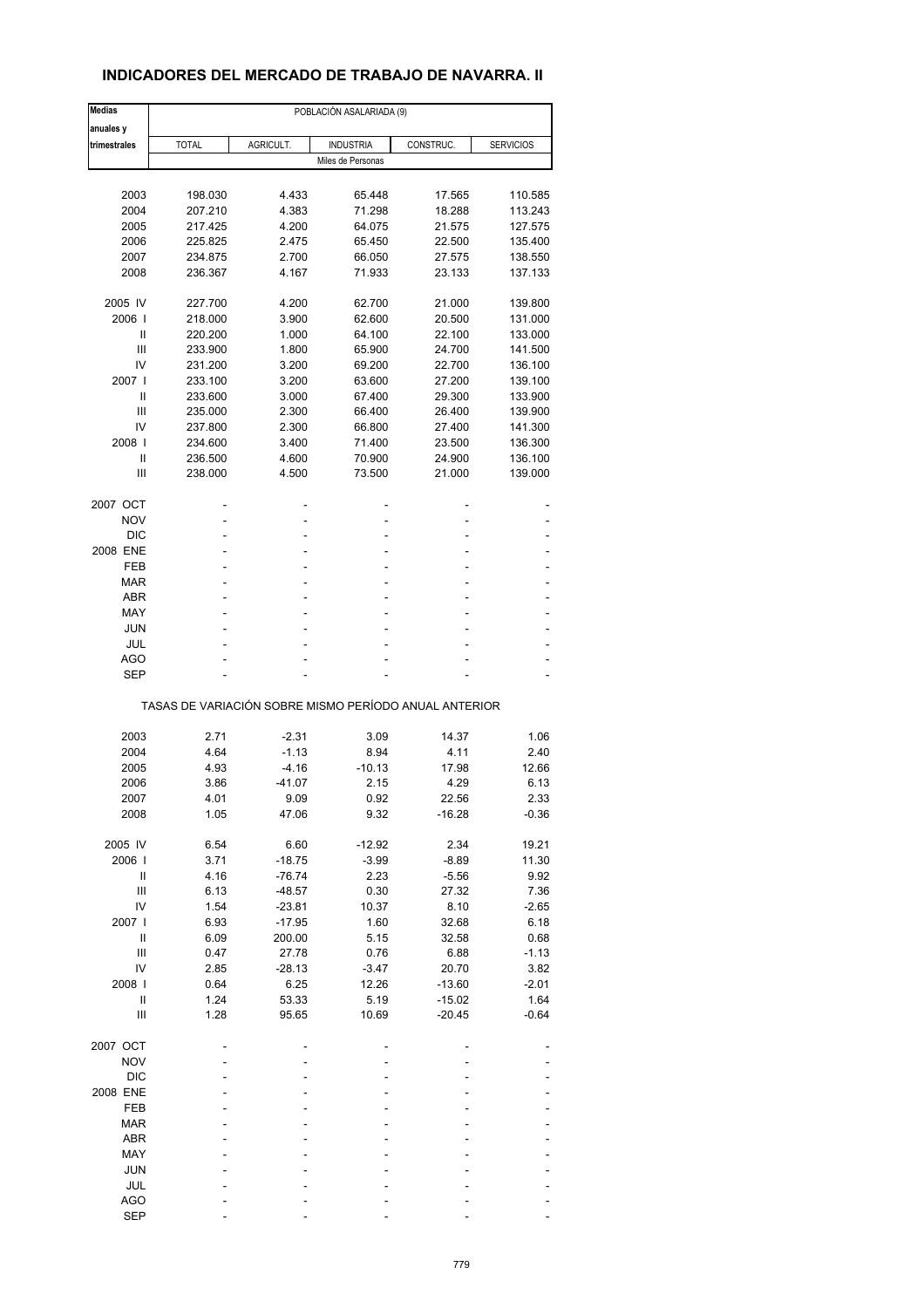# **INDICADORES DEL MERCADO DE TRABAJO DE NAVARRA. II**

| <b>Medias</b>                      |              | POBLACIÓN ASALARIADA (9) |                                                       |           |                  |
|------------------------------------|--------------|--------------------------|-------------------------------------------------------|-----------|------------------|
| anuales y                          |              |                          |                                                       |           |                  |
| trimestrales                       | <b>TOTAL</b> | AGRICULT.                | <b>INDUSTRIA</b>                                      | CONSTRUC. | <b>SERVICIOS</b> |
|                                    |              |                          | Miles de Personas                                     |           |                  |
|                                    |              |                          |                                                       |           |                  |
| 2003                               | 198.030      | 4.433                    | 65.448                                                | 17.565    | 110.585          |
| 2004                               | 207.210      | 4.383                    | 71.298                                                | 18.288    | 113.243          |
| 2005                               | 217.425      | 4.200                    | 64.075                                                | 21.575    | 127.575          |
| 2006                               | 225.825      | 2.475                    | 65.450                                                | 22.500    | 135.400          |
| 2007                               | 234.875      | 2.700                    | 66.050                                                | 27.575    | 138.550          |
| 2008                               | 236.367      | 4.167                    | 71.933                                                | 23.133    | 137.133          |
| 2005 IV                            | 227.700      | 4.200                    | 62.700                                                | 21.000    | 139.800          |
| 2006                               | 218.000      | 3.900                    | 62.600                                                | 20.500    | 131.000          |
| Ш                                  | 220.200      | 1.000                    | 64.100                                                | 22.100    | 133.000          |
| Ш                                  | 233.900      | 1.800                    | 65.900                                                | 24.700    | 141.500          |
| IV                                 | 231.200      | 3.200                    | 69.200                                                | 22.700    | 136.100          |
| 2007 l                             | 233.100      | 3.200                    | 63.600                                                | 27.200    | 139.100          |
| Ш                                  | 233.600      | 3.000                    | 67.400                                                | 29.300    | 133.900          |
| Ш                                  | 235.000      | 2.300                    | 66.400                                                | 26.400    | 139.900          |
| IV                                 | 237.800      | 2.300                    | 66.800                                                | 27.400    | 141.300          |
| 2008                               | 234.600      | 3.400                    | 71.400                                                | 23.500    | 136.300          |
| Ш                                  | 236.500      | 4.600                    | 70.900                                                |           |                  |
|                                    |              |                          |                                                       | 24.900    | 136.100          |
| Ш                                  | 238.000      | 4.500                    | 73.500                                                | 21.000    | 139.000          |
| 2007 OCT                           |              |                          |                                                       |           |                  |
| <b>NOV</b>                         |              | Ĭ.                       | Ĭ.                                                    |           |                  |
| <b>DIC</b>                         |              |                          |                                                       |           |                  |
| 2008 ENE                           | ä,           | ٠                        | ä,                                                    | ä,        |                  |
| <b>FEB</b>                         | ۰            |                          | Ĭ.                                                    |           |                  |
| <b>MAR</b>                         |              |                          |                                                       |           |                  |
| <b>ABR</b>                         | ä,           | ۰                        | ä,                                                    | ۰         | ٠                |
| MAY                                | ۰            |                          | L,                                                    |           |                  |
| <b>JUN</b>                         |              |                          |                                                       |           |                  |
| JUL                                | ä,           | ٠                        | L,                                                    | ä,        |                  |
|                                    |              |                          |                                                       |           |                  |
| AGO                                |              |                          |                                                       |           |                  |
| <b>SEP</b>                         |              |                          |                                                       |           |                  |
|                                    |              |                          | TASAS DE VARIACIÓN SOBRE MISMO PERÍODO ANUAL ANTERIOR |           |                  |
|                                    |              |                          |                                                       |           |                  |
| 2003                               | 2.71         | $-2.31$                  | 3.09                                                  | 14.37     | 1.06             |
| 2004                               | 4.64         | $-1.13$                  | 8.94                                                  | 4.11      | 2.40             |
| 2005                               | 4.93         | $-4.16$                  | $-10.13$                                              | 17.98     | 12.66            |
| 2006                               | 3.86         | $-41.07$                 | 2.15                                                  | 4.29      | 6.13             |
| 2007                               | 4.01         | 9.09                     | 0.92                                                  | 22.56     | 2.33             |
| 2008                               | 1.05         | 47.06                    | 9.32                                                  | $-16.28$  | $-0.36$          |
| 2005 IV                            | 6.54         | 6.60                     | $-12.92$                                              | 2.34      | 19.21            |
| 2006                               | 3.71         | $-18.75$                 | $-3.99$                                               | $-8.89$   | 11.30            |
| Ш                                  | 4.16         | $-76.74$                 | 2.23                                                  | $-5.56$   | 9.92             |
| $\ensuremath{\mathsf{III}}\xspace$ | 6.13         | $-48.57$                 | 0.30                                                  | 27.32     | 7.36             |
| IV                                 | 1.54         | $-23.81$                 | 10.37                                                 | 8.10      | $-2.65$          |
| 2007 l                             | 6.93         | $-17.95$                 | 1.60                                                  | 32.68     | 6.18             |
| Ш                                  | 6.09         |                          | 5.15                                                  | 32.58     | 0.68             |
|                                    |              | 200.00                   |                                                       |           |                  |
| $\ensuremath{\mathsf{III}}\xspace$ | 0.47         | 27.78                    | 0.76                                                  | 6.88      | $-1.13$          |
| IV                                 | 2.85         | $-28.13$                 | $-3.47$                                               | 20.70     | 3.82             |
| 2008                               | 0.64         | 6.25                     | 12.26                                                 | $-13.60$  | $-2.01$          |
| Ш                                  | 1.24         | 53.33                    | 5.19                                                  | $-15.02$  | 1.64             |
| Ш                                  | 1.28         | 95.65                    | 10.69                                                 | $-20.45$  | $-0.64$          |
| 2007 OCT                           |              |                          |                                                       |           |                  |
| <b>NOV</b>                         |              |                          |                                                       |           |                  |
| DIC                                |              |                          |                                                       |           |                  |
| 2008 ENE                           |              |                          |                                                       |           |                  |
| FEB                                |              |                          |                                                       |           |                  |
|                                    |              |                          |                                                       |           |                  |
| <b>MAR</b>                         |              |                          |                                                       |           |                  |
| <b>ABR</b>                         |              |                          |                                                       |           |                  |
| MAY                                |              |                          |                                                       |           |                  |
| <b>JUN</b>                         |              |                          |                                                       |           |                  |
| JUL                                |              |                          |                                                       |           |                  |
| <b>AGO</b>                         |              |                          |                                                       |           |                  |
| <b>SEP</b>                         |              |                          |                                                       |           |                  |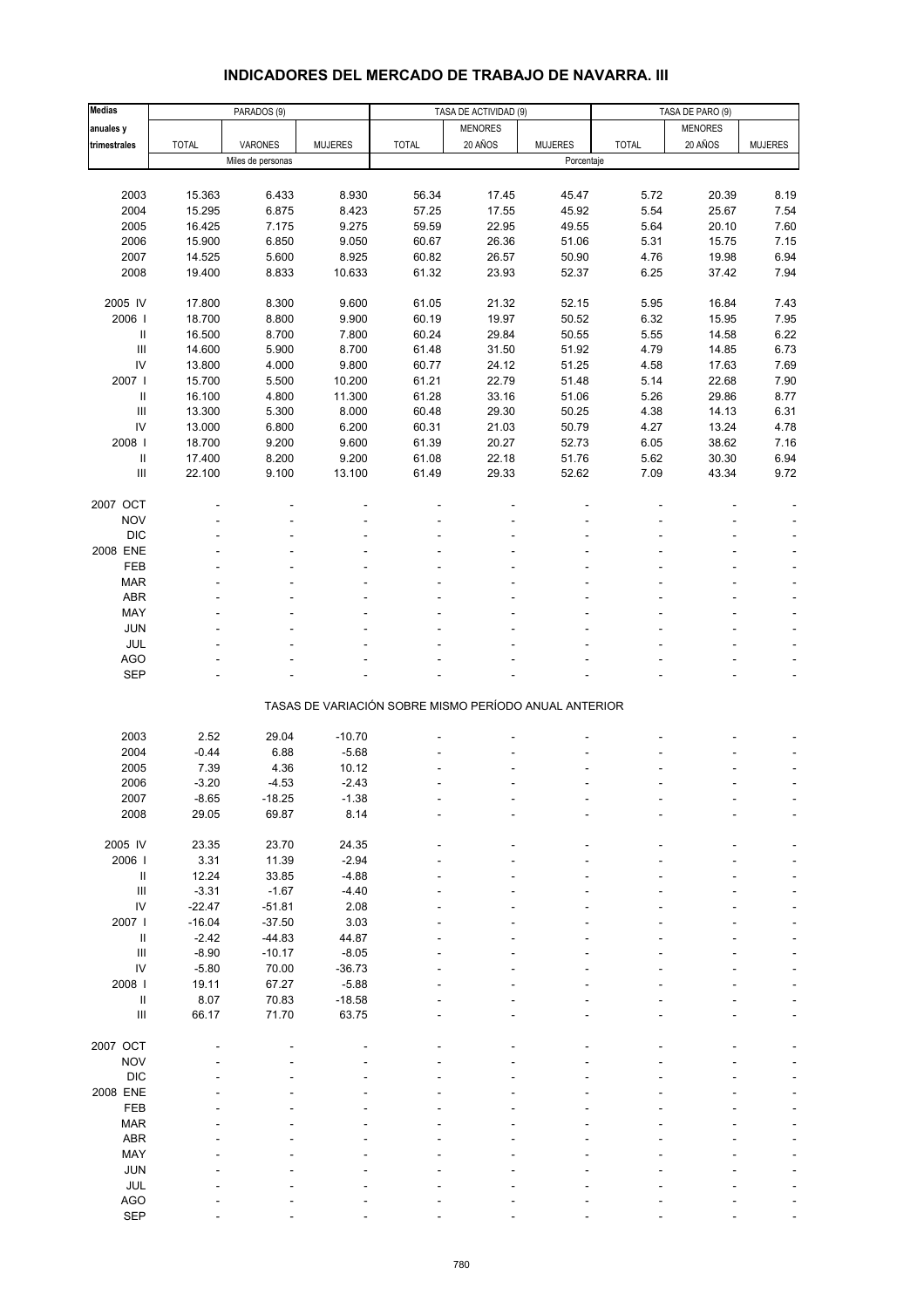# **INDICADORES DEL MERCADO DE TRABAJO DE NAVARRA. III**

| <b>Medias</b>                      |              | PARADOS (9)       |                |                                                       | TASA DE ACTIVIDAD (9) |                | TASA DE PARO (9) |                |                |
|------------------------------------|--------------|-------------------|----------------|-------------------------------------------------------|-----------------------|----------------|------------------|----------------|----------------|
| anuales y                          |              |                   |                |                                                       | <b>MENORES</b>        |                |                  | <b>MENORES</b> |                |
| trimestrales                       | <b>TOTAL</b> | VARONES           | <b>MUJERES</b> | <b>TOTAL</b>                                          | 20 AÑOS               | <b>MUJERES</b> | <b>TOTAL</b>     | 20 AÑOS        | <b>MUJERES</b> |
|                                    |              | Miles de personas |                |                                                       |                       | Porcentaje     |                  |                |                |
|                                    |              |                   |                |                                                       |                       |                |                  |                |                |
| 2003                               | 15.363       | 6.433             | 8.930          | 56.34                                                 | 17.45                 | 45.47          | 5.72             | 20.39          | 8.19           |
| 2004                               | 15.295       | 6.875             | 8.423          | 57.25                                                 | 17.55                 | 45.92          | 5.54             | 25.67          | 7.54           |
| 2005                               | 16.425       | 7.175             | 9.275          | 59.59                                                 | 22.95                 | 49.55          | 5.64             | 20.10          | 7.60           |
| 2006                               | 15.900       | 6.850             | 9.050          | 60.67                                                 | 26.36                 | 51.06          | 5.31             | 15.75          | 7.15           |
| 2007                               | 14.525       | 5.600             | 8.925          | 60.82                                                 | 26.57                 | 50.90          | 4.76             | 19.98          | 6.94           |
| 2008                               | 19.400       | 8.833             | 10.633         | 61.32                                                 | 23.93                 | 52.37          | 6.25             | 37.42          | 7.94           |
|                                    |              |                   |                |                                                       |                       |                |                  |                |                |
| 2005 IV                            | 17.800       | 8.300             | 9.600          | 61.05                                                 | 21.32                 | 52.15          | 5.95             | 16.84          | 7.43           |
| 2006                               | 18.700       | 8.800             | 9.900          | 60.19                                                 | 19.97                 | 50.52          | 6.32             | 15.95          | 7.95           |
| Ш                                  | 16.500       | 8.700             | 7.800          | 60.24                                                 | 29.84                 | 50.55          | 5.55             | 14.58          | 6.22           |
| $\ensuremath{\mathsf{III}}\xspace$ | 14.600       | 5.900             | 8.700          | 61.48                                                 | 31.50                 | 51.92          | 4.79             | 14.85          | 6.73           |
| ${\sf IV}$                         | 13.800       | 4.000             | 9.800          | 60.77                                                 | 24.12                 | 51.25          | 4.58             | 17.63          | 7.69           |
| 2007                               | 15.700       | 5.500             | 10.200         |                                                       | 22.79                 |                | 5.14             | 22.68          |                |
|                                    |              |                   |                | 61.21                                                 |                       | 51.48          |                  |                | 7.90           |
| Ш                                  | 16.100       | 4.800             | 11.300         | 61.28                                                 | 33.16                 | 51.06<br>50.25 | 5.26             | 29.86          | 8.77           |
| $\ensuremath{\mathsf{III}}\xspace$ | 13.300       | 5.300             | 8.000          | 60.48                                                 | 29.30                 |                | 4.38             | 14.13          | 6.31           |
| IV                                 | 13.000       | 6.800             | 6.200          | 60.31                                                 | 21.03                 | 50.79          | 4.27             | 13.24          | 4.78           |
| 2008                               | 18.700       | 9.200             | 9.600          | 61.39                                                 | 20.27                 | 52.73          | 6.05             | 38.62          | 7.16           |
| Ш                                  | 17.400       | 8.200             | 9.200          | 61.08                                                 | 22.18                 | 51.76          | 5.62             | 30.30          | 6.94           |
| Ш                                  | 22.100       | 9.100             | 13.100         | 61.49                                                 | 29.33                 | 52.62          | 7.09             | 43.34          | 9.72           |
|                                    |              |                   |                |                                                       |                       |                |                  |                |                |
| 2007 OCT                           |              |                   |                |                                                       |                       |                |                  |                |                |
| <b>NOV</b>                         |              |                   |                |                                                       |                       |                |                  |                |                |
| <b>DIC</b>                         |              |                   |                |                                                       |                       |                |                  |                |                |
| 2008 ENE                           |              |                   |                |                                                       |                       |                |                  |                |                |
| FEB                                |              |                   |                |                                                       |                       |                |                  |                |                |
| <b>MAR</b>                         |              |                   |                |                                                       |                       |                |                  |                |                |
| ABR                                |              |                   |                |                                                       |                       |                |                  |                |                |
| MAY                                |              |                   |                |                                                       |                       |                |                  |                |                |
| JUN                                |              |                   |                |                                                       |                       |                |                  |                |                |
| JUL                                |              |                   |                |                                                       |                       |                |                  |                |                |
| AGO                                |              |                   |                |                                                       |                       |                |                  |                |                |
| SEP                                |              |                   |                |                                                       |                       |                |                  |                |                |
|                                    |              |                   |                |                                                       |                       |                |                  |                |                |
|                                    |              |                   |                | TASAS DE VARIACIÓN SOBRE MISMO PERÍODO ANUAL ANTERIOR |                       |                |                  |                |                |
|                                    |              |                   |                |                                                       |                       |                |                  |                |                |
| 2003                               | 2.52         | 29.04             | $-10.70$       |                                                       |                       |                |                  |                |                |
| 2004                               | $-0.44$      | 6.88              | $-5.68$        |                                                       |                       |                |                  |                |                |
| 2005                               | 7.39         | 4.36              | 10.12          |                                                       |                       |                |                  |                |                |
| 2006                               | $-3.20$      | $-4.53$           | $-2.43$        |                                                       |                       |                |                  |                |                |
| 2007                               | -8.65        | $-18.25$          | -1.38          |                                                       |                       |                |                  |                |                |
| 2008                               | 29.05        | 69.87             | 8.14           |                                                       |                       |                |                  |                |                |
|                                    |              |                   |                |                                                       |                       |                |                  |                |                |
| 2005 IV                            | 23.35        | 23.70             | 24.35          |                                                       |                       |                |                  |                |                |
| 2006                               | 3.31         | 11.39             | $-2.94$        |                                                       |                       |                |                  |                |                |
| $\ensuremath{\mathsf{II}}$         | 12.24        | 33.85             | $-4.88$        |                                                       |                       |                |                  |                |                |
| $\ensuremath{\mathsf{III}}\xspace$ | $-3.31$      | $-1.67$           | $-4.40$        |                                                       |                       |                |                  |                |                |
| IV                                 | $-22.47$     | $-51.81$          | 2.08           |                                                       |                       |                |                  |                |                |
| 2007                               | $-16.04$     | $-37.50$          | 3.03           |                                                       |                       |                |                  |                |                |
| Ш                                  | $-2.42$      | $-44.83$          | 44.87          |                                                       |                       |                |                  |                |                |
| $\ensuremath{\mathsf{III}}\xspace$ | $-8.90$      | $-10.17$          | $-8.05$        |                                                       |                       |                |                  |                |                |
| IV                                 | $-5.80$      | 70.00             | $-36.73$       |                                                       |                       |                |                  |                |                |
| 2008                               | 19.11        | 67.27             | $-5.88$        |                                                       |                       |                |                  |                |                |
| Ш                                  | 8.07         | 70.83             | $-18.58$       |                                                       |                       |                |                  |                |                |
| $\ensuremath{\mathsf{III}}\xspace$ | 66.17        | 71.70             | 63.75          |                                                       |                       |                |                  |                |                |
|                                    |              |                   |                |                                                       |                       |                |                  |                |                |
| 2007 OCT                           |              |                   |                |                                                       |                       |                |                  |                |                |
| <b>NOV</b>                         |              |                   |                |                                                       |                       |                |                  |                |                |
| <b>DIC</b>                         |              |                   |                |                                                       |                       |                |                  |                |                |
| 2008 ENE                           |              |                   |                |                                                       |                       |                |                  |                |                |
| FEB                                |              |                   |                |                                                       |                       |                |                  |                |                |
| <b>MAR</b>                         |              |                   |                |                                                       |                       |                |                  |                |                |
| ABR                                |              |                   |                |                                                       |                       |                |                  |                |                |
| MAY                                |              |                   |                |                                                       |                       |                |                  |                |                |
| JUN                                |              |                   |                |                                                       |                       |                |                  |                |                |
| JUL                                |              |                   |                |                                                       |                       |                |                  |                |                |
| AGO                                |              |                   |                |                                                       |                       |                |                  |                |                |
| SEP                                |              |                   |                |                                                       |                       |                |                  |                |                |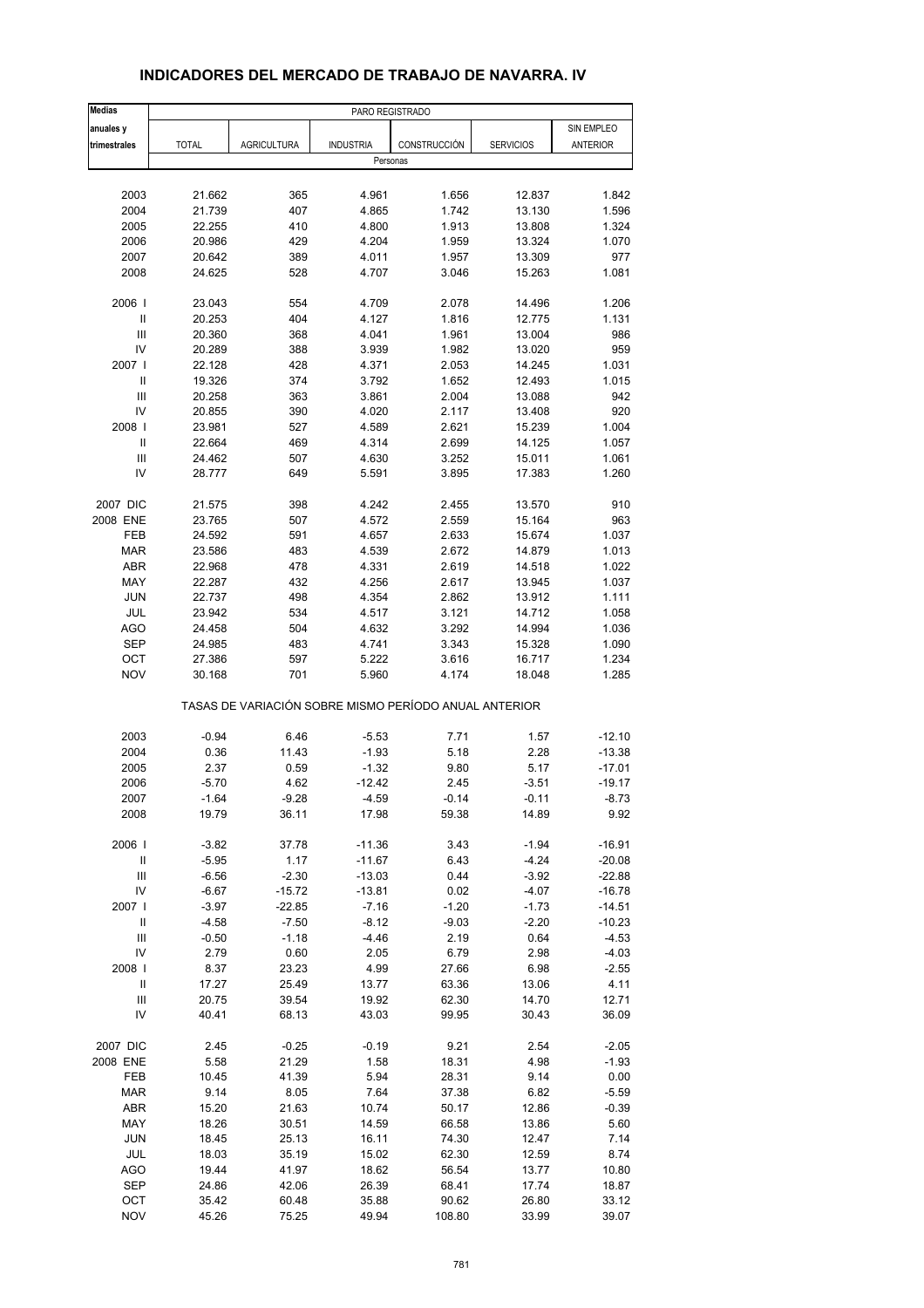| <b>Medias</b>                        | PARO REGISTRADO |                                                       |                  |              |                  |            |
|--------------------------------------|-----------------|-------------------------------------------------------|------------------|--------------|------------------|------------|
| anuales y                            |                 |                                                       |                  |              |                  | SIN EMPLEO |
| trimestrales                         | <b>TOTAL</b>    | <b>AGRICULTURA</b>                                    | <b>INDUSTRIA</b> | CONSTRUCCIÓN | <b>SERVICIOS</b> | ANTERIOR   |
|                                      |                 |                                                       | Personas         |              |                  |            |
|                                      |                 |                                                       |                  |              |                  |            |
| 2003                                 | 21.662          | 365                                                   | 4.961            | 1.656        | 12.837           | 1.842      |
| 2004                                 | 21.739          | 407                                                   | 4.865            | 1.742        | 13.130           | 1.596      |
| 2005                                 | 22.255          | 410                                                   | 4.800            | 1.913        | 13.808           | 1.324      |
| 2006                                 | 20.986          | 429                                                   | 4.204            | 1.959        | 13.324           | 1.070      |
| 2007                                 | 20.642          | 389                                                   | 4.011            | 1.957        | 13.309           | 977        |
| 2008                                 | 24.625          | 528                                                   | 4.707            | 3.046        | 15.263           | 1.081      |
| 2006                                 | 23.043          | 554                                                   | 4.709            | 2.078        | 14.496           | 1.206      |
| Ш                                    | 20.253          | 404                                                   | 4.127            | 1.816        | 12.775           | 1.131      |
| Ш                                    | 20.360          | 368                                                   | 4.041            | 1.961        | 13.004           | 986        |
| IV                                   | 20.289          | 388                                                   | 3.939            | 1.982        | 13.020           | 959        |
| 2007 l                               | 22.128          | 428                                                   | 4.371            | 2.053        | 14.245           | 1.031      |
| Ш                                    | 19.326          | 374                                                   | 3.792            | 1.652        | 12.493           | 1.015      |
| $\ensuremath{\mathsf{III}}\xspace$   | 20.258          | 363                                                   | 3.861            | 2.004        | 13.088           | 942        |
| IV                                   | 20.855          | 390                                                   | 4.020            | 2.117        | 13.408           | 920        |
|                                      |                 |                                                       |                  |              | 15.239           |            |
| 2008  <br>$\ensuremath{\mathsf{II}}$ | 23.981          | 527                                                   | 4.589            | 2.621        |                  | 1.004      |
|                                      | 22.664          | 469                                                   | 4.314            | 2.699        | 14.125           | 1.057      |
| Ш                                    | 24.462          | 507                                                   | 4.630            | 3.252        | 15.011           | 1.061      |
| IV                                   | 28.777          | 649                                                   | 5.591            | 3.895        | 17.383           | 1.260      |
| 2007 DIC                             | 21.575          | 398                                                   | 4.242            | 2.455        | 13.570           | 910        |
| 2008 ENE                             | 23.765          | 507                                                   | 4.572            | 2.559        | 15.164           | 963        |
| FEB                                  | 24.592          | 591                                                   | 4.657            | 2.633        | 15.674           | 1.037      |
| <b>MAR</b>                           | 23.586          | 483                                                   | 4.539            | 2.672        | 14.879           | 1.013      |
| <b>ABR</b>                           | 22.968          | 478                                                   | 4.331            | 2.619        | 14.518           | 1.022      |
| MAY                                  | 22.287          | 432                                                   | 4.256            | 2.617        | 13.945           | 1.037      |
| <b>JUN</b>                           | 22.737          | 498                                                   | 4.354            | 2.862        | 13.912           | 1.111      |
| JUL                                  |                 | 534                                                   | 4.517            | 3.121        | 14.712           | 1.058      |
|                                      | 23.942          |                                                       |                  |              |                  |            |
| <b>AGO</b>                           | 24.458          | 504                                                   | 4.632            | 3.292        | 14.994           | 1.036      |
| SEP                                  | 24.985          | 483                                                   | 4.741            | 3.343        | 15.328           | 1.090      |
| OCT<br><b>NOV</b>                    | 27.386          | 597                                                   | 5.222            | 3.616        | 16.717           | 1.234      |
|                                      | 30.168          | 701                                                   | 5.960            | 4.174        | 18.048           | 1.285      |
|                                      |                 | TASAS DE VARIACIÓN SOBRE MISMO PERÍODO ANUAL ANTERIOR |                  |              |                  |            |
| 2003                                 | $-0.94$         | 6.46                                                  | $-5.53$          | 7.71         | 1.57             | $-12.10$   |
| 2004                                 | 0.36            | 11.43                                                 | $-1.93$          | 5.18         | 2.28             | $-13.38$   |
| 2005                                 | 2.37            | 0.59                                                  | $-1.32$          | 9.80         | 5.17             | $-17.01$   |
| 2006                                 | $-5.70$         | 4.62                                                  | -12.42           | 2.45         | $-3.51$          | $-19.17$   |
| 2007                                 | -1.64           | -9.28                                                 | -4.59            | -0.14        | -0.11            | -8.73      |
| 2008                                 | 19.79           | 36.11                                                 | 17.98            | 59.38        | 14.89            | 9.92       |
|                                      |                 |                                                       |                  |              |                  |            |
| 2006  <br>$\ensuremath{\mathsf{II}}$ | $-3.82$         | 37.78                                                 | $-11.36$         | 3.43         | $-1.94$          | $-16.91$   |
| $\ensuremath{\mathsf{III}}\xspace$   | $-5.95$         | 1.17                                                  | $-11.67$         | 6.43         | $-4.24$          | $-20.08$   |
|                                      | $-6.56$         | $-2.30$                                               | $-13.03$         | 0.44         | $-3.92$          | $-22.88$   |
| IV                                   | $-6.67$         | $-15.72$                                              | $-13.81$         | 0.02         | $-4.07$          | $-16.78$   |
| 2007                                 | $-3.97$         | $-22.85$                                              | $-7.16$          | $-1.20$      | $-1.73$          | $-14.51$   |
| $\ensuremath{\mathsf{II}}$           | $-4.58$         | $-7.50$                                               | $-8.12$          | $-9.03$      | $-2.20$          | $-10.23$   |
| $\ensuremath{\mathsf{III}}\xspace$   | $-0.50$         | $-1.18$                                               | $-4.46$          | 2.19         | 0.64             | $-4.53$    |
| IV                                   | 2.79            | 0.60                                                  | 2.05             | 6.79         | 2.98             | $-4.03$    |
| 2008                                 | 8.37            | 23.23                                                 | 4.99             | 27.66        | 6.98             | $-2.55$    |
| Ш                                    | 17.27           | 25.49                                                 | 13.77            | 63.36        | 13.06            | 4.11       |
| $\ensuremath{\mathsf{III}}\xspace$   | 20.75           | 39.54                                                 | 19.92            | 62.30        | 14.70            | 12.71      |
| IV                                   | 40.41           | 68.13                                                 | 43.03            | 99.95        | 30.43            | 36.09      |
| 2007 DIC                             | 2.45            | $-0.25$                                               | $-0.19$          | 9.21         | 2.54             | $-2.05$    |
| 2008 ENE                             | 5.58            | 21.29                                                 | 1.58             | 18.31        | 4.98             | $-1.93$    |
| FEB                                  | 10.45           | 41.39                                                 | 5.94             | 28.31        | 9.14             | 0.00       |
| <b>MAR</b>                           | 9.14            | 8.05                                                  | 7.64             | 37.38        | 6.82             | $-5.59$    |
| ABR                                  | 15.20           | 21.63                                                 | 10.74            | 50.17        | 12.86            | $-0.39$    |
| MAY                                  | 18.26           | 30.51                                                 | 14.59            | 66.58        | 13.86            | 5.60       |
| <b>JUN</b>                           |                 |                                                       |                  | 74.30        |                  | 7.14       |
|                                      | 18.45           | 25.13                                                 | 16.11            |              | 12.47            |            |
| JUL                                  | 18.03           | 35.19                                                 | 15.02            | 62.30        | 12.59            | 8.74       |
| AGO                                  | 19.44           | 41.97                                                 | 18.62            | 56.54        | 13.77            | 10.80      |
| SEP                                  | 24.86           | 42.06                                                 | 26.39            | 68.41        | 17.74            | 18.87      |
| OCT                                  | 35.42           | 60.48                                                 | 35.88            | 90.62        | 26.80            | 33.12      |
| <b>NOV</b>                           | 45.26           | 75.25                                                 | 49.94            | 108.80       | 33.99            | 39.07      |

### **INDICADORES DEL MERCADO DE TRABAJO DE NAVARRA. IV**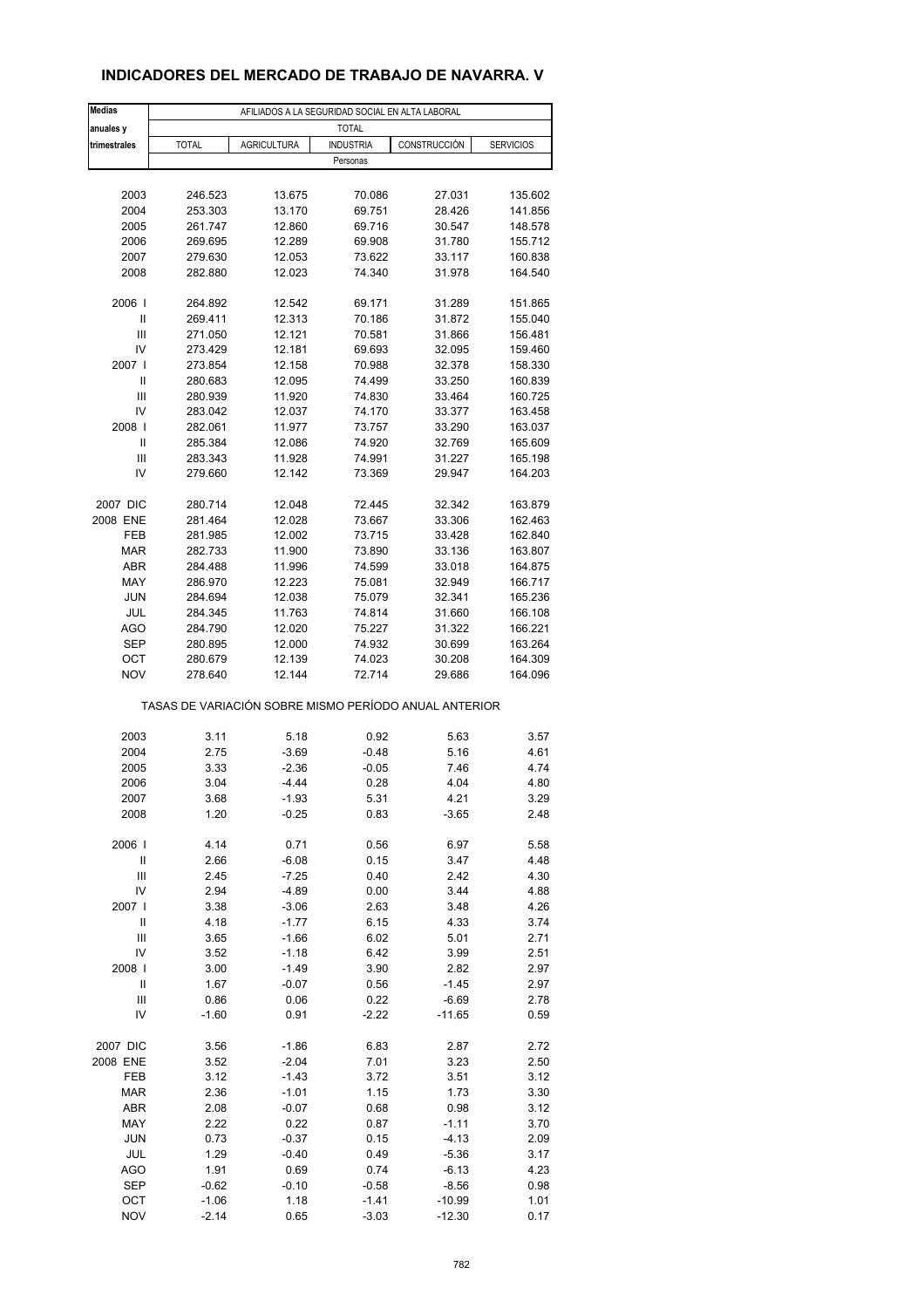# **INDICADORES DEL MERCADO DE TRABAJO DE NAVARRA. V**

| <b>Medias</b>  | AFILIADOS A LA SEGURIDAD SOCIAL EN ALTA LABORAL |                                                       |                    |                  |                    |  |  |  |  |
|----------------|-------------------------------------------------|-------------------------------------------------------|--------------------|------------------|--------------------|--|--|--|--|
| anuales y      |                                                 |                                                       | <b>TOTAL</b>       |                  |                    |  |  |  |  |
| trimestrales   | <b>TOTAL</b>                                    | <b>AGRICULTURA</b>                                    | <b>INDUSTRIA</b>   | CONSTRUCCIÓN     | <b>SERVICIOS</b>   |  |  |  |  |
|                |                                                 |                                                       | Personas           |                  |                    |  |  |  |  |
|                |                                                 |                                                       |                    |                  |                    |  |  |  |  |
| 2003<br>2004   | 246.523                                         | 13.675                                                | 70.086<br>69.751   | 27.031           | 135.602<br>141.856 |  |  |  |  |
| 2005           | 253.303<br>261.747                              | 13.170<br>12.860                                      | 69.716             | 28.426<br>30.547 | 148.578            |  |  |  |  |
| 2006           | 269.695                                         | 12.289                                                | 69.908             | 31.780           | 155.712            |  |  |  |  |
| 2007           | 279.630                                         | 12.053                                                | 73.622             | 33.117           | 160.838            |  |  |  |  |
| 2008           | 282.880                                         | 12.023                                                | 74.340             | 31.978           | 164.540            |  |  |  |  |
|                |                                                 |                                                       |                    |                  |                    |  |  |  |  |
| 2006           | 264.892                                         | 12.542                                                | 69.171             | 31.289           | 151.865            |  |  |  |  |
| Ш              | 269.411                                         | 12.313                                                | 70.186             | 31.872           | 155.040            |  |  |  |  |
| Ш              | 271.050                                         | 12.121                                                | 70.581             | 31.866           | 156.481            |  |  |  |  |
| IV             | 273.429                                         | 12.181                                                | 69.693             | 32.095           | 159.460            |  |  |  |  |
| 2007 l         | 273.854                                         | 12.158                                                | 70.988             | 32.378           | 158.330            |  |  |  |  |
| Ш              | 280.683                                         | 12.095                                                | 74.499             | 33.250           | 160.839            |  |  |  |  |
| Ш              | 280.939                                         | 11.920                                                | 74.830             | 33.464           | 160.725            |  |  |  |  |
| IV             | 283.042                                         | 12.037                                                | 74.170             | 33.377           | 163.458            |  |  |  |  |
| 2008           | 282.061                                         | 11.977                                                | 73.757             | 33.290           | 163.037            |  |  |  |  |
| Ш              | 285.384                                         | 12.086                                                | 74.920             | 32.769           | 165.609            |  |  |  |  |
| Ш              | 283.343                                         | 11.928                                                | 74.991             | 31.227           | 165.198            |  |  |  |  |
| IV             | 279.660                                         | 12.142                                                | 73.369             | 29.947           | 164.203            |  |  |  |  |
|                |                                                 |                                                       |                    |                  |                    |  |  |  |  |
| 2007 DIC       | 280.714                                         | 12.048                                                | 72.445             | 32.342           | 163.879            |  |  |  |  |
| 2008 ENE       | 281.464                                         | 12.028                                                | 73.667             | 33.306           | 162.463            |  |  |  |  |
| FEB            | 281.985                                         | 12.002                                                | 73.715             | 33.428           | 162.840            |  |  |  |  |
| <b>MAR</b>     | 282.733                                         | 11.900                                                | 73.890             | 33.136           | 163.807            |  |  |  |  |
| ABR            | 284.488                                         | 11.996                                                | 74.599             | 33.018           | 164.875            |  |  |  |  |
| MAY            | 286.970                                         | 12.223                                                | 75.081             | 32.949           | 166.717            |  |  |  |  |
| <b>JUN</b>     | 284.694                                         | 12.038                                                | 75.079             | 32.341           | 165.236            |  |  |  |  |
| JUL            | 284.345                                         | 11.763                                                | 74.814             | 31.660           | 166.108            |  |  |  |  |
| AGO            | 284.790                                         | 12.020                                                | 75.227             | 31.322           | 166.221            |  |  |  |  |
| <b>SEP</b>     | 280.895                                         | 12.000                                                | 74.932             | 30.699           | 163.264            |  |  |  |  |
| OCT            | 280.679                                         | 12.139                                                | 74.023             | 30.208           | 164.309            |  |  |  |  |
| <b>NOV</b>     | 278.640                                         | 12.144                                                | 72.714             | 29.686           | 164.096            |  |  |  |  |
|                |                                                 | TASAS DE VARIACIÓN SOBRE MISMO PERÍODO ANUAL ANTERIOR |                    |                  |                    |  |  |  |  |
|                |                                                 |                                                       |                    |                  |                    |  |  |  |  |
| 2003<br>2004   | 3.11<br>2.75                                    | 5.18<br>$-3.69$                                       | 0.92               | 5.63<br>5.16     | 3.57               |  |  |  |  |
| 2005           | 3.33                                            | $-2.36$                                               | $-0.48$<br>$-0.05$ | 7.46             | 4.61<br>4.74       |  |  |  |  |
| 2006           | 3.04                                            | $-4.44$                                               | 0.28               | 4.04             | 4.80               |  |  |  |  |
| 2007           | 3.68                                            | $-1.93$                                               | 5.31               | 4.21             | 3.29               |  |  |  |  |
| 2008           | 1.20                                            | $-0.25$                                               | 0.83               | $-3.65$          | 2.48               |  |  |  |  |
|                |                                                 |                                                       |                    |                  |                    |  |  |  |  |
| 2006           | 4.14                                            | 0.71                                                  | 0.56               | 6.97             | 5.58               |  |  |  |  |
| $\sf II$       | 2.66                                            | $-6.08$                                               | 0.15               | 3.47             | 4.48               |  |  |  |  |
| Ш              | 2.45                                            | $-7.25$                                               | 0.40               | 2.42             | 4.30               |  |  |  |  |
| IV             | 2.94                                            | $-4.89$                                               | 0.00               | 3.44             | 4.88               |  |  |  |  |
| 2007 l         | 3.38                                            | $-3.06$                                               | 2.63               | 3.48             | 4.26               |  |  |  |  |
| $\mathsf{I}$   | 4.18                                            | $-1.77$                                               | 6.15               | 4.33             | 3.74               |  |  |  |  |
| $\mathsf{III}$ | 3.65                                            | $-1.66$                                               | 6.02               | 5.01             | 2.71               |  |  |  |  |
| IV             | 3.52                                            | $-1.18$                                               | 6.42               | 3.99             | 2.51               |  |  |  |  |
| 2008           | 3.00                                            | $-1.49$                                               | 3.90               | 2.82             | 2.97               |  |  |  |  |
| Ш              | 1.67                                            | $-0.07$                                               | 0.56               | $-1.45$          | 2.97               |  |  |  |  |
| Ш              | 0.86                                            | 0.06                                                  | 0.22               | $-6.69$          | 2.78               |  |  |  |  |
| IV             | $-1.60$                                         | 0.91                                                  | $-2.22$            | $-11.65$         | 0.59               |  |  |  |  |
| 2007 DIC       | 3.56                                            | $-1.86$                                               | 6.83               | 2.87             | 2.72               |  |  |  |  |
| 2008 ENE       | 3.52                                            | $-2.04$                                               | 7.01               | 3.23             | 2.50               |  |  |  |  |
| FEB            | 3.12                                            | $-1.43$                                               | 3.72               | 3.51             | 3.12               |  |  |  |  |
| <b>MAR</b>     | 2.36                                            | $-1.01$                                               | 1.15               | 1.73             | 3.30               |  |  |  |  |
| ABR            | 2.08                                            | $-0.07$                                               | 0.68               | 0.98             | 3.12               |  |  |  |  |
| MAY            | 2.22                                            | 0.22                                                  | 0.87               | $-1.11$          | 3.70               |  |  |  |  |
| <b>JUN</b>     | 0.73                                            | $-0.37$                                               | 0.15               | $-4.13$          | 2.09               |  |  |  |  |
| JUL            | 1.29                                            | $-0.40$                                               | 0.49               | $-5.36$          | 3.17               |  |  |  |  |
| AGO            | 1.91                                            | 0.69                                                  | 0.74               | $-6.13$          | 4.23               |  |  |  |  |
| <b>SEP</b>     | $-0.62$                                         | $-0.10$                                               | $-0.58$            | $-8.56$          | 0.98               |  |  |  |  |
| OCT            | $-1.06$                                         | 1.18                                                  | $-1.41$            | $-10.99$         | 1.01               |  |  |  |  |
| <b>NOV</b>     | $-2.14$                                         | 0.65                                                  | $-3.03$            | $-12.30$         | 0.17               |  |  |  |  |
|                |                                                 |                                                       |                    |                  |                    |  |  |  |  |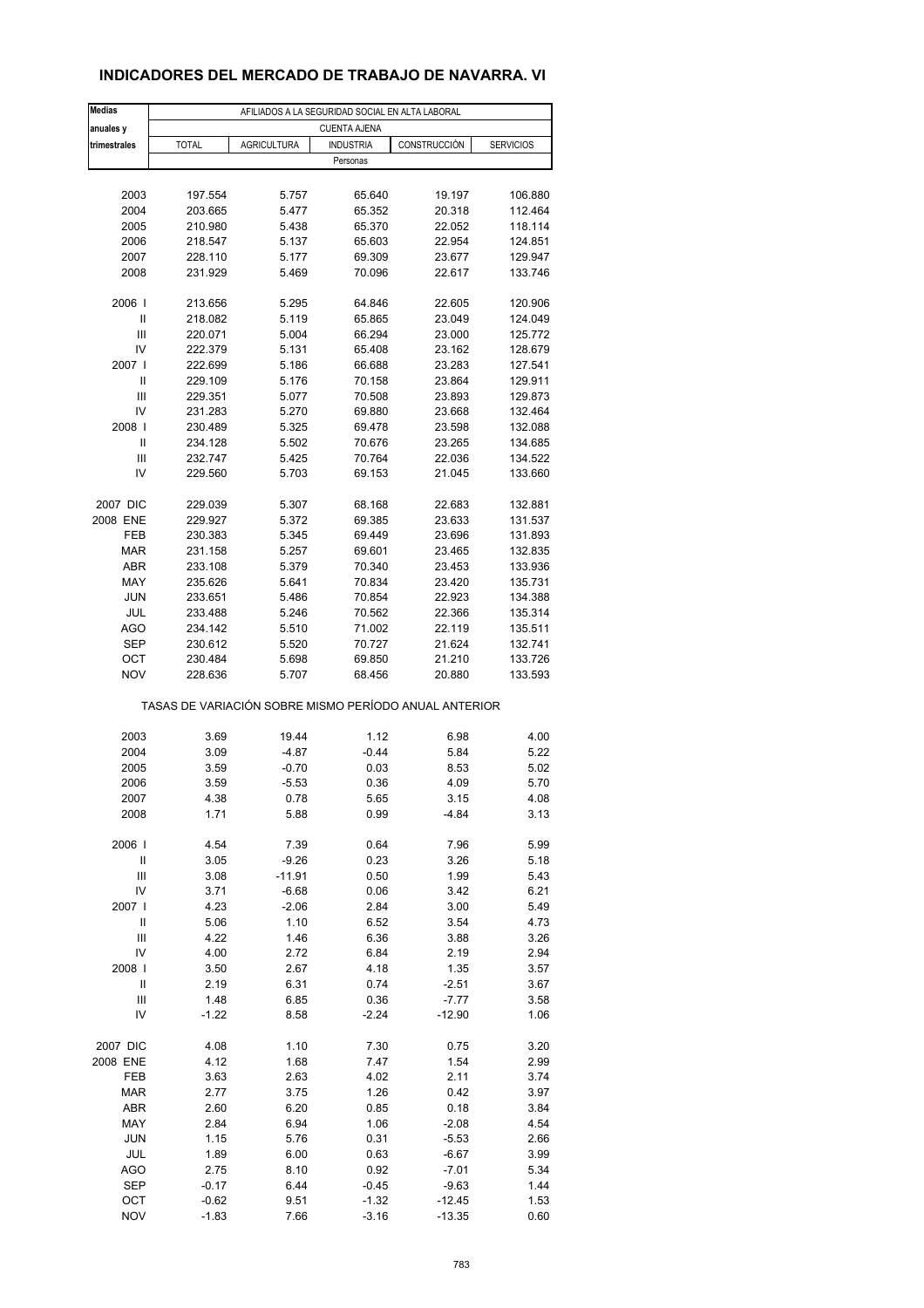# **INDICADORES DEL MERCADO DE TRABAJO DE NAVARRA. VI**

| <b>Medias</b>                      |                                                       |                    | AFILIADOS A LA SEGURIDAD SOCIAL EN ALTA LABORAL |                  |                    |
|------------------------------------|-------------------------------------------------------|--------------------|-------------------------------------------------|------------------|--------------------|
| anuales y                          |                                                       |                    | <b>CUENTA AJENA</b>                             |                  |                    |
| trimestrales                       | <b>TOTAL</b>                                          | <b>AGRICULTURA</b> | <b>INDUSTRIA</b>                                | CONSTRUCCIÓN     | <b>SERVICIOS</b>   |
|                                    |                                                       |                    | Personas                                        |                  |                    |
|                                    |                                                       |                    |                                                 |                  |                    |
| 2003                               | 197.554                                               | 5.757              | 65.640                                          | 19.197           | 106.880            |
| 2004                               | 203.665                                               | 5.477              | 65.352                                          | 20.318           | 112.464            |
| 2005                               | 210.980                                               | 5.438              | 65.370                                          | 22.052           | 118.114            |
| 2006                               | 218.547                                               | 5.137              | 65.603                                          | 22.954           | 124.851            |
| 2007<br>2008                       | 228.110<br>231.929                                    | 5.177<br>5.469     | 69.309<br>70.096                                | 23.677<br>22.617 | 129.947<br>133.746 |
|                                    |                                                       |                    |                                                 |                  |                    |
| 2006                               | 213.656                                               | 5.295              | 64.846                                          | 22.605           | 120.906            |
| Ш                                  | 218.082                                               | 5.119              | 65.865                                          | 23.049           | 124.049            |
| Ш                                  | 220.071                                               | 5.004              | 66.294                                          | 23.000           | 125.772            |
| IV                                 | 222.379                                               | 5.131              | 65.408                                          | 23.162           | 128.679            |
| 2007 I                             | 222.699                                               | 5.186              | 66.688                                          | 23.283           | 127.541            |
| Ш                                  | 229.109                                               | 5.176              | 70.158                                          | 23.864           | 129.911            |
| Ш                                  | 229.351                                               | 5.077              | 70.508                                          | 23.893           | 129.873            |
| IV                                 | 231.283                                               | 5.270              | 69.880                                          | 23.668           | 132.464            |
| 2008                               | 230.489                                               | 5.325              | 69.478                                          | 23.598           | 132.088            |
| Ш                                  | 234.128                                               | 5.502              | 70.676                                          | 23.265           | 134.685            |
| Ш<br>IV                            | 232.747                                               | 5.425<br>5.703     | 70.764                                          | 22.036           | 134.522            |
|                                    | 229.560                                               |                    | 69.153                                          | 21.045           | 133.660            |
| 2007 DIC                           | 229.039                                               | 5.307              | 68.168                                          | 22.683           | 132.881            |
| 2008 ENE                           | 229.927                                               | 5.372              | 69.385                                          | 23.633           | 131.537            |
| FEB                                | 230.383                                               | 5.345              | 69.449                                          | 23.696           | 131.893            |
| <b>MAR</b>                         | 231.158                                               | 5.257              | 69.601                                          | 23.465           | 132.835            |
| <b>ABR</b>                         | 233.108                                               | 5.379              | 70.340                                          | 23.453           | 133.936            |
| MAY                                | 235.626                                               | 5.641              | 70.834                                          | 23.420           | 135.731            |
| <b>JUN</b>                         | 233.651                                               | 5.486              | 70.854                                          | 22.923           | 134.388            |
| JUL                                | 233.488                                               | 5.246              | 70.562                                          | 22.366           | 135.314            |
| AGO                                | 234.142                                               | 5.510              | 71.002                                          | 22.119           | 135.511            |
| <b>SEP</b>                         | 230.612                                               | 5.520              | 70.727                                          | 21.624           | 132.741            |
| OCT                                | 230.484                                               | 5.698              | 69.850                                          | 21.210           | 133.726            |
| <b>NOV</b>                         | 228.636                                               | 5.707              | 68.456                                          | 20.880           | 133.593            |
|                                    | TASAS DE VARIACIÓN SOBRE MISMO PERÍODO ANUAL ANTERIOR |                    |                                                 |                  |                    |
|                                    |                                                       |                    |                                                 |                  |                    |
| 2003                               | 3.69                                                  | 19.44              | 1.12                                            | 6.98             | 4.00               |
| 2004                               | 3.09                                                  | $-4.87$            | $-0.44$                                         | 5.84             | 5.22               |
| 2005                               | 3.59                                                  | $-0.70$            | 0.03                                            | 8.53             | 5.02               |
| 2006                               | 3.59                                                  | $-5.53$            | 0.36                                            | 4.09             | 5.70               |
| 2007                               | 4.38                                                  | 0.78               | 5.65                                            | 3.15             | 4.08               |
| 2008                               | 1.71                                                  | 5.88               | 0.99                                            | $-4.84$          | 3.13               |
| 2006                               | 4.54                                                  | 7.39               | 0.64                                            | 7.96             | 5.99               |
| Ш                                  | 3.05                                                  | $-9.26$            | 0.23                                            | 3.26             | 5.18               |
| $\ensuremath{\mathsf{III}}\xspace$ | 3.08                                                  | $-11.91$           | 0.50                                            | 1.99             | 5.43               |
| IV                                 | 3.71                                                  | $-6.68$            | 0.06                                            | 3.42             | 6.21               |
| 2007 l                             | 4.23                                                  | $-2.06$            | 2.84                                            | 3.00             | 5.49               |
| Ш                                  | 5.06                                                  | 1.10               | 6.52                                            | 3.54             | 4.73               |
| $\ensuremath{\mathsf{III}}\xspace$ | 4.22                                                  | 1.46               | 6.36                                            | 3.88             | 3.26               |
| IV                                 | 4.00                                                  | 2.72               | 6.84                                            | 2.19             | 2.94               |
| 2008                               | 3.50                                                  | 2.67               | 4.18                                            | 1.35             | 3.57               |
| Ш                                  | 2.19                                                  | 6.31               | 0.74                                            | $-2.51$          | 3.67               |
| Ш                                  | 1.48                                                  | 6.85               | 0.36                                            | $-7.77$          | 3.58               |
| IV                                 | $-1.22$                                               | 8.58               | $-2.24$                                         | $-12.90$         | 1.06               |
| 2007 DIC                           | 4.08                                                  | 1.10               | 7.30                                            | 0.75             | 3.20               |
| 2008 ENE                           | 4.12                                                  | 1.68               | 7.47                                            | 1.54             | 2.99               |
| FEB                                | 3.63                                                  | 2.63               | 4.02                                            | 2.11             | 3.74               |
| MAR                                | 2.77                                                  | 3.75               | 1.26                                            | 0.42             | 3.97               |
| <b>ABR</b>                         | 2.60                                                  | 6.20               | 0.85                                            | 0.18             | 3.84               |
| MAY                                | 2.84                                                  | 6.94               | 1.06                                            | $-2.08$          | 4.54               |
| <b>JUN</b>                         | 1.15                                                  | 5.76               | 0.31                                            | $-5.53$          | 2.66               |
| JUL                                | 1.89                                                  | 6.00               | 0.63                                            | $-6.67$          | 3.99               |
| AGO                                | 2.75                                                  | 8.10               | 0.92                                            | $-7.01$          | 5.34               |
| <b>SEP</b>                         | $-0.17$                                               | 6.44               | $-0.45$                                         | $-9.63$          | 1.44               |
| OCT                                | $-0.62$                                               | 9.51               | $-1.32$                                         | $-12.45$         | 1.53               |
| <b>NOV</b>                         | $-1.83$                                               | 7.66               | $-3.16$                                         | $-13.35$         | 0.60               |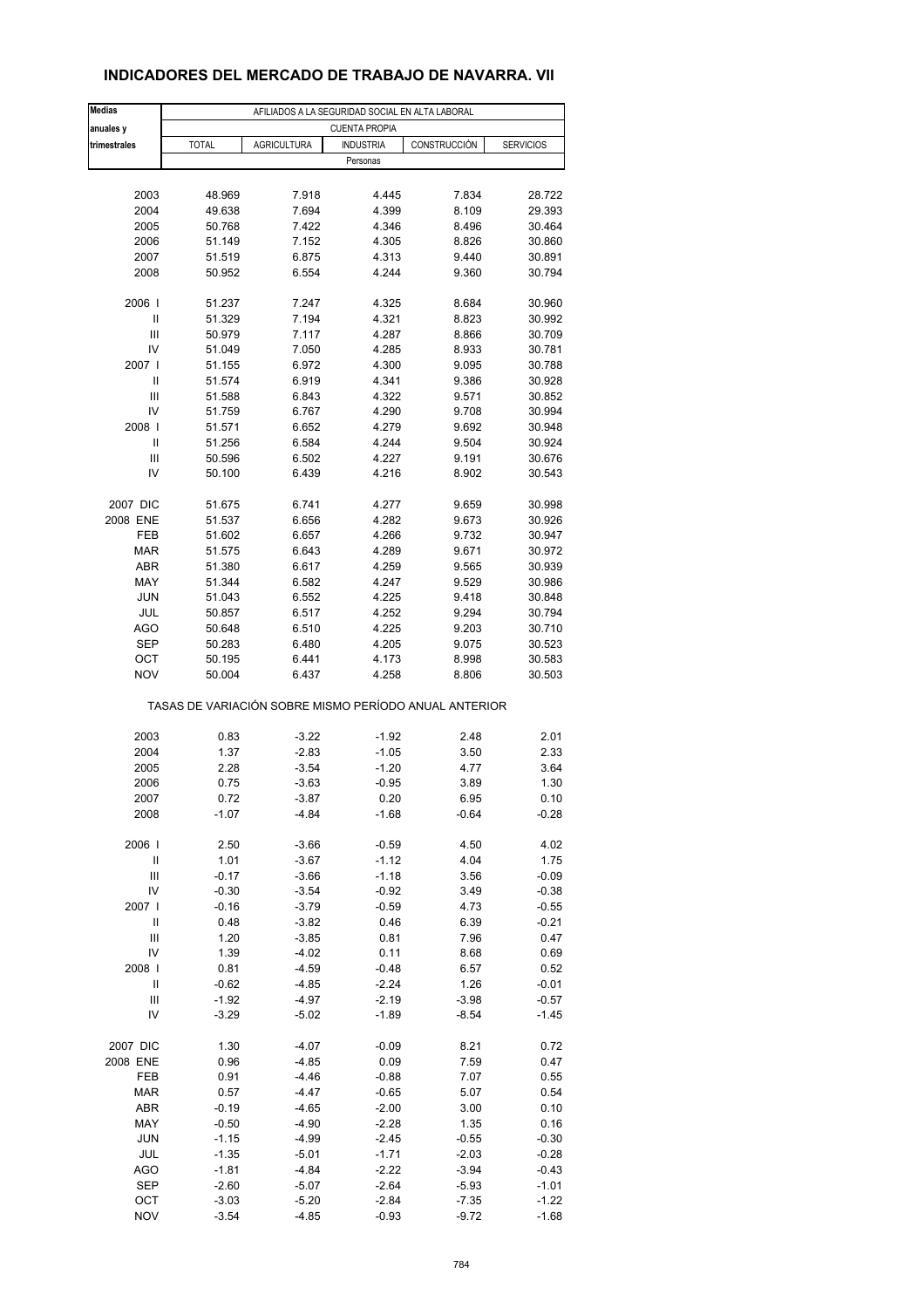# **INDICADORES DEL MERCADO DE TRABAJO DE NAVARRA. VII**

| <b>Medias</b>                      |                                                       |                    | AFILIADOS A LA SEGURIDAD SOCIAL EN ALTA LABORAL |              |                  |
|------------------------------------|-------------------------------------------------------|--------------------|-------------------------------------------------|--------------|------------------|
| anuales y                          |                                                       |                    | <b>CUENTA PROPIA</b>                            |              |                  |
| trimestrales                       | <b>TOTAL</b>                                          | <b>AGRICULTURA</b> | <b>INDUSTRIA</b>                                | CONSTRUCCIÓN | <b>SERVICIOS</b> |
|                                    |                                                       |                    | Personas                                        |              |                  |
|                                    |                                                       |                    |                                                 |              |                  |
|                                    |                                                       |                    |                                                 |              |                  |
| 2003                               | 48.969                                                | 7.918              | 4.445                                           | 7.834        | 28.722           |
| 2004                               | 49.638                                                | 7.694              | 4.399                                           | 8.109        | 29.393           |
| 2005                               | 50.768                                                | 7.422              | 4.346                                           | 8.496        | 30.464           |
| 2006<br>2007                       | 51.149                                                | 7.152              | 4.305                                           | 8.826        | 30.860           |
|                                    | 51.519                                                | 6.875              | 4.313                                           | 9.440        | 30.891           |
| 2008                               | 50.952                                                | 6.554              | 4.244                                           | 9.360        | 30.794           |
|                                    |                                                       |                    |                                                 |              |                  |
| 2006 l                             | 51.237                                                | 7.247              | 4.325                                           | 8.684        | 30.960           |
| Ш                                  | 51.329                                                | 7.194              | 4.321                                           | 8.823        | 30.992           |
| Ш                                  | 50.979                                                | 7.117              | 4.287                                           | 8.866        | 30.709           |
| IV                                 | 51.049                                                | 7.050              | 4.285                                           | 8.933        | 30.781           |
| 2007 l                             | 51.155                                                | 6.972              | 4.300                                           | 9.095        | 30.788           |
| Ш                                  | 51.574                                                | 6.919              | 4.341                                           | 9.386        | 30.928           |
| Ш                                  | 51.588                                                | 6.843              | 4.322                                           | 9.571        | 30.852           |
| IV                                 | 51.759                                                | 6.767              | 4.290                                           | 9.708        | 30.994           |
| 2008                               | 51.571                                                | 6.652              | 4.279                                           | 9.692        | 30.948           |
| Ш                                  | 51.256                                                | 6.584              | 4.244                                           | 9.504        | 30.924           |
| Ш                                  | 50.596                                                | 6.502              | 4.227                                           | 9.191        | 30.676           |
| IV                                 | 50.100                                                | 6.439              | 4.216                                           | 8.902        | 30.543           |
|                                    |                                                       |                    |                                                 |              |                  |
| 2007 DIC                           | 51.675                                                | 6.741              | 4.277                                           | 9.659        | 30.998           |
| 2008 ENE                           | 51.537                                                | 6.656              | 4.282                                           | 9.673        | 30.926           |
| FEB                                | 51.602                                                | 6.657              | 4.266                                           | 9.732        | 30.947           |
| <b>MAR</b>                         | 51.575                                                | 6.643              | 4.289                                           | 9.671        | 30.972           |
| ABR                                | 51.380                                                | 6.617              | 4.259                                           | 9.565        | 30.939           |
| MAY                                | 51.344                                                | 6.582              | 4.247                                           | 9.529        | 30.986           |
| <b>JUN</b>                         | 51.043                                                | 6.552              | 4.225                                           | 9.418        | 30.848           |
| JUL                                | 50.857                                                | 6.517              | 4.252                                           | 9.294        | 30.794           |
| <b>AGO</b>                         | 50.648                                                | 6.510              | 4.225                                           | 9.203        | 30.710           |
| <b>SEP</b>                         | 50.283                                                | 6.480              | 4.205                                           | 9.075        | 30.523           |
| ОСТ                                | 50.195                                                | 6.441              | 4.173                                           | 8.998        | 30.583           |
| <b>NOV</b>                         | 50.004                                                | 6.437              | 4.258                                           | 8.806        | 30.503           |
|                                    | TASAS DE VARIACIÓN SOBRE MISMO PERÍODO ANUAL ANTERIOR |                    |                                                 |              |                  |
| 2003                               | 0.83                                                  | $-3.22$            | $-1.92$                                         | 2.48         | 2.01             |
| 2004                               | 1.37                                                  | $-2.83$            | $-1.05$                                         | 3.50         | 2.33             |
| 2005                               | 2.28                                                  | $-3.54$            | $-1.20$                                         | 4.77         | 3.64             |
| 2006                               | 0.75                                                  | $-3.63$            | $-0.95$                                         | 3.89         | 1.30             |
| 2007                               | 0.72                                                  | -3.87              | 0.20                                            | 6.95         | 0.10             |
| 2008                               | $-1.07$                                               | -4.84              | $-1.68$                                         | $-0.64$      | $-0.28$          |
|                                    |                                                       |                    |                                                 |              |                  |
| 2006                               | 2.50                                                  | $-3.66$            | $-0.59$                                         | 4.50         | 4.02             |
| $\ensuremath{\mathsf{II}}$         | 1.01                                                  | $-3.67$            | $-1.12$                                         | 4.04         | 1.75             |
| Ш                                  | $-0.17$                                               | $-3.66$            | $-1.18$                                         | 3.56         | $-0.09$          |
| IV                                 | $-0.30$                                               | $-3.54$            | $-0.92$                                         | 3.49         | $-0.38$          |
| 2007 l                             | $-0.16$                                               | $-3.79$            | $-0.59$                                         | 4.73         | $-0.55$          |
| $\ensuremath{\mathsf{II}}$         | 0.48                                                  | $-3.82$            | 0.46                                            | 6.39         | $-0.21$          |
| $\ensuremath{\mathsf{III}}\xspace$ | 1.20                                                  | $-3.85$            | 0.81                                            | 7.96         | 0.47             |
| IV                                 | 1.39                                                  | $-4.02$            | 0.11                                            | 8.68         | 0.69             |
| 2008                               | 0.81                                                  | $-4.59$            | $-0.48$                                         | 6.57         | 0.52             |
| $\ensuremath{\mathsf{II}}$         | $-0.62$                                               | $-4.85$            | $-2.24$                                         | 1.26         | $-0.01$          |
| $\ensuremath{\mathsf{III}}\xspace$ | $-1.92$                                               | $-4.97$            | $-2.19$                                         | $-3.98$      | $-0.57$          |
| IV                                 | $-3.29$                                               | -5.02              | $-1.89$                                         | $-8.54$      | -1.45            |
|                                    |                                                       |                    |                                                 |              |                  |
| 2007 DIC                           | 1.30                                                  | $-4.07$            | $-0.09$                                         | 8.21         | 0.72             |
| 2008 ENE                           | 0.96                                                  | $-4.85$            | 0.09                                            | 7.59         | 0.47             |
| FEB                                | 0.91                                                  | $-4.46$            | $-0.88$                                         | 7.07         | 0.55             |
| <b>MAR</b>                         | 0.57                                                  | $-4.47$            | $-0.65$                                         | 5.07         | 0.54             |
| ABR                                | $-0.19$                                               | $-4.65$            | $-2.00$                                         | 3.00         | 0.10             |
| MAY                                | $-0.50$                                               | $-4.90$            | $-2.28$                                         | 1.35         | 0.16             |
| <b>JUN</b>                         | $-1.15$                                               | $-4.99$            | $-2.45$                                         | $-0.55$      | $-0.30$          |
| JUL                                | $-1.35$                                               | $-5.01$            | $-1.71$                                         | $-2.03$      | $-0.28$          |
| <b>AGO</b>                         | $-1.81$                                               | $-4.84$            | $-2.22$                                         | $-3.94$      | $-0.43$          |
| <b>SEP</b>                         | $-2.60$                                               | $-5.07$            | $-2.64$                                         | $-5.93$      | $-1.01$          |
| OCT                                | $-3.03$                                               | $-5.20$            | $-2.84$                                         | $-7.35$      | $-1.22$          |
| <b>NOV</b>                         | $-3.54$                                               | $-4.85$            | $-0.93$                                         | $-9.72$      | $-1.68$          |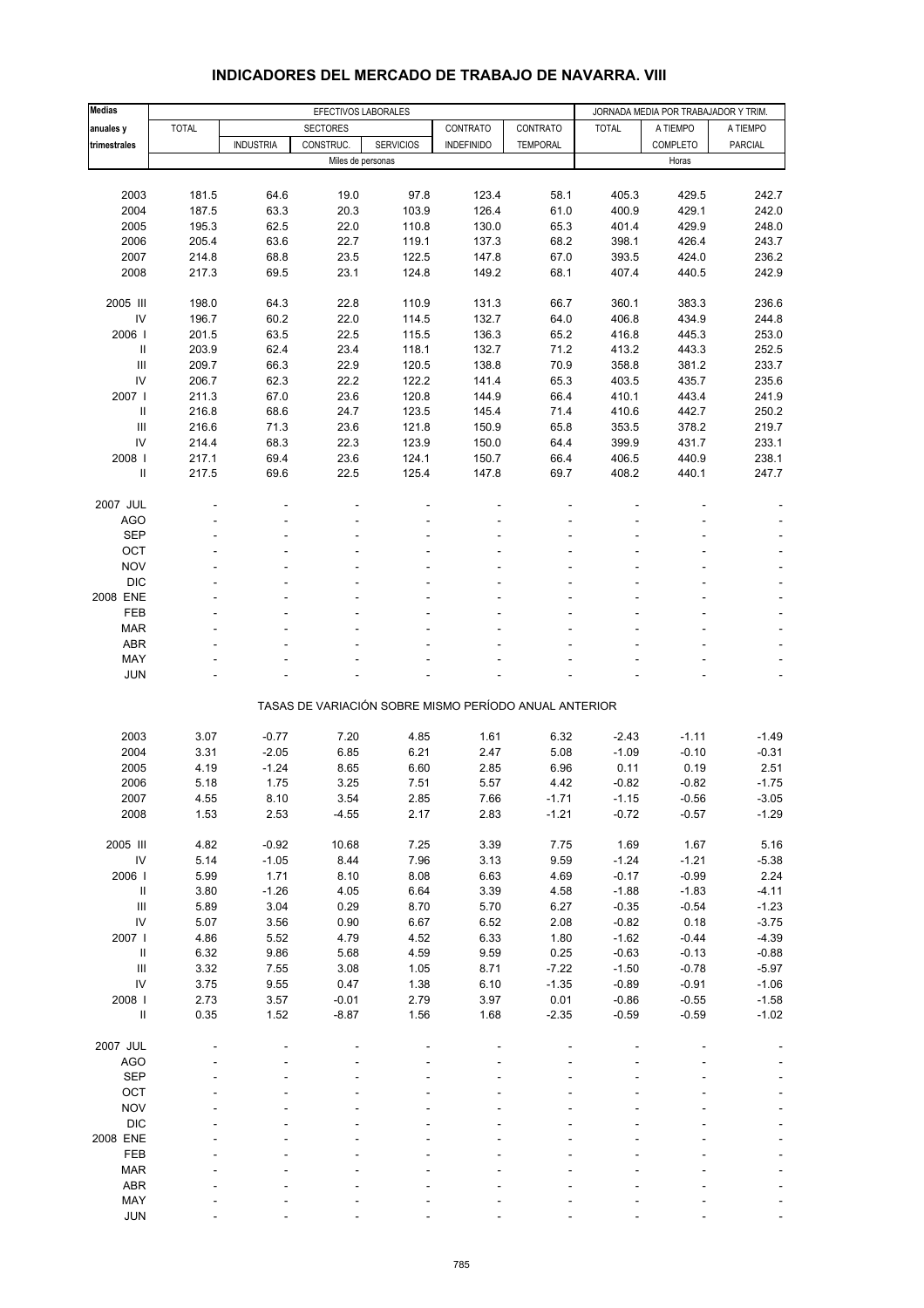| <b>Medias</b>                      |              |                  | EFECTIVOS LABORALES |                  |                                                       |                 |              | JORNADA MEDIA POR TRABAJADOR Y TRIM. |                          |
|------------------------------------|--------------|------------------|---------------------|------------------|-------------------------------------------------------|-----------------|--------------|--------------------------------------|--------------------------|
| anuales y                          | <b>TOTAL</b> |                  | <b>SECTORES</b>     |                  | CONTRATO                                              | CONTRATO        | <b>TOTAL</b> | A TIEMPO                             | A TIEMPO                 |
| trimestrales                       |              | <b>INDUSTRIA</b> | CONSTRUC.           | <b>SERVICIOS</b> | <b>INDEFINIDO</b>                                     | <b>TEMPORAL</b> |              | COMPLETO                             | <b>PARCIAL</b>           |
|                                    |              |                  | Miles de personas   |                  |                                                       |                 |              | Horas                                |                          |
|                                    |              |                  |                     |                  |                                                       |                 |              |                                      |                          |
| 2003                               | 181.5        | 64.6             | 19.0                | 97.8             | 123.4                                                 | 58.1            | 405.3        | 429.5                                | 242.7                    |
| 2004                               | 187.5        | 63.3             | 20.3                | 103.9            | 126.4                                                 | 61.0            | 400.9        | 429.1                                | 242.0                    |
| 2005                               | 195.3        | 62.5             | 22.0                | 110.8            | 130.0                                                 | 65.3            | 401.4        | 429.9                                | 248.0                    |
| 2006                               | 205.4        | 63.6             | 22.7                | 119.1            | 137.3                                                 | 68.2            | 398.1        | 426.4                                | 243.7                    |
| 2007                               | 214.8        | 68.8             | 23.5                | 122.5            | 147.8                                                 | 67.0            | 393.5        | 424.0                                | 236.2                    |
|                                    |              |                  |                     |                  |                                                       |                 |              |                                      |                          |
| 2008                               | 217.3        | 69.5             | 23.1                | 124.8            | 149.2                                                 | 68.1            | 407.4        | 440.5                                | 242.9                    |
|                                    |              |                  |                     |                  |                                                       |                 |              |                                      |                          |
| 2005 III                           | 198.0        | 64.3             | 22.8                | 110.9            | 131.3                                                 | 66.7            | 360.1        | 383.3                                | 236.6                    |
| IV                                 | 196.7        | 60.2             | 22.0                | 114.5            | 132.7                                                 | 64.0            | 406.8        | 434.9                                | 244.8                    |
| 2006                               | 201.5        | 63.5             | 22.5                | 115.5            | 136.3                                                 | 65.2            | 416.8        | 445.3                                | 253.0                    |
| Ш                                  | 203.9        | 62.4             | 23.4                | 118.1            | 132.7                                                 | 71.2            | 413.2        | 443.3                                | 252.5                    |
| $\mathsf{III}$                     | 209.7        | 66.3             | 22.9                | 120.5            | 138.8                                                 | 70.9            | 358.8        | 381.2                                | 233.7                    |
| IV                                 | 206.7        | 62.3             | 22.2                | 122.2            | 141.4                                                 | 65.3            | 403.5        | 435.7                                | 235.6                    |
| 2007                               | 211.3        | 67.0             | 23.6                | 120.8            | 144.9                                                 | 66.4            | 410.1        | 443.4                                | 241.9                    |
| Ш                                  | 216.8        | 68.6             | 24.7                | 123.5            | 145.4                                                 | 71.4            | 410.6        | 442.7                                | 250.2                    |
| $\ensuremath{\mathsf{III}}\xspace$ | 216.6        | 71.3             | 23.6                | 121.8            | 150.9                                                 | 65.8            | 353.5        | 378.2                                | 219.7                    |
| IV                                 | 214.4        | 68.3             | 22.3                | 123.9            | 150.0                                                 | 64.4            | 399.9        | 431.7                                | 233.1                    |
| 2008                               | 217.1        | 69.4             | 23.6                | 124.1            | 150.7                                                 | 66.4            | 406.5        | 440.9                                | 238.1                    |
| $\ensuremath{\mathsf{II}}$         | 217.5        | 69.6             | 22.5                | 125.4            | 147.8                                                 | 69.7            | 408.2        | 440.1                                | 247.7                    |
|                                    |              |                  |                     |                  |                                                       |                 |              |                                      |                          |
| 2007 JUL                           |              |                  |                     |                  |                                                       |                 |              |                                      |                          |
| AGO                                |              |                  |                     |                  |                                                       |                 |              |                                      |                          |
| <b>SEP</b>                         |              |                  |                     |                  |                                                       |                 |              |                                      |                          |
| OCT                                |              |                  |                     |                  |                                                       |                 |              |                                      |                          |
| <b>NOV</b>                         |              |                  |                     |                  |                                                       |                 |              |                                      |                          |
| <b>DIC</b>                         |              |                  |                     |                  |                                                       |                 |              |                                      |                          |
|                                    |              |                  |                     |                  |                                                       |                 |              |                                      | $\blacksquare$           |
| 2008 ENE                           |              |                  |                     |                  |                                                       |                 |              |                                      | $\Box$                   |
| FEB                                |              |                  |                     |                  |                                                       |                 |              |                                      | ÷,                       |
| <b>MAR</b>                         |              |                  |                     |                  |                                                       |                 |              |                                      | $\overline{\phantom{a}}$ |
| <b>ABR</b>                         |              |                  |                     |                  |                                                       |                 |              |                                      |                          |
| MAY                                |              |                  |                     |                  |                                                       |                 |              |                                      |                          |
| <b>JUN</b>                         |              |                  |                     |                  |                                                       |                 |              |                                      | $\overline{\phantom{a}}$ |
|                                    |              |                  |                     |                  |                                                       |                 |              |                                      |                          |
|                                    |              |                  |                     |                  | TASAS DE VARIACIÓN SOBRE MISMO PERÍODO ANUAL ANTERIOR |                 |              |                                      |                          |
|                                    |              |                  |                     |                  |                                                       |                 |              |                                      |                          |
| 2003                               | 3.07         | $-0.77$          | 7.20                | 4.85             | 1.61                                                  | 6.32            | $-2.43$      | $-1.11$                              | $-1.49$                  |
| 2004                               | 3.31         | $-2.05$          | 6.85                | 6.21             | 2.47                                                  | 5.08            | $-1.09$      | $-0.10$                              | $-0.31$                  |
| 2005                               | 4.19         | $-1.24$          | 8.65                | 6.60             | 2.85                                                  | 6.96            | 0.11         | 0.19                                 | 2.51                     |
| 2006                               | 5.18         | 1.75             | 3.25                | 7.51             | 5.57                                                  | 4.42            | $-0.82$      | $-0.82$                              | $-1.75$                  |
| 2007                               | 4.55         | 8.10             | 3.54                | 2.85             | 7.66                                                  | $-1.71$         | $-1.15$      | $-0.56$                              | $-3.05$                  |
| 2008                               | 1.53         | 2.53             | $-4.55$             | 2.17             | 2.83                                                  | $-1.21$         | $-0.72$      | $-0.57$                              | $-1.29$                  |
|                                    |              |                  |                     |                  |                                                       |                 |              |                                      |                          |
| 2005 III                           | 4.82         | $-0.92$          | 10.68               | 7.25             | 3.39                                                  | 7.75            | 1.69         | 1.67                                 | 5.16                     |
| ${\sf IV}$                         | 5.14         | $-1.05$          | 8.44                | 7.96             | 3.13                                                  | 9.59            | $-1.24$      | $-1.21$                              | $-5.38$                  |
| 2006                               | 5.99         | 1.71             | 8.10                | 8.08             | 6.63                                                  | 4.69            | $-0.17$      | $-0.99$                              | 2.24                     |
| Ш                                  | 3.80         | $-1.26$          | 4.05                | 6.64             | 3.39                                                  | 4.58            | $-1.88$      | $-1.83$                              | $-4.11$                  |
| $\ensuremath{\mathsf{III}}\xspace$ |              | 3.04             | 0.29                |                  |                                                       |                 | $-0.35$      |                                      |                          |
|                                    | 5.89         |                  |                     | 8.70             | 5.70                                                  | 6.27            |              | $-0.54$                              | $-1.23$                  |
| ${\sf IV}$                         | 5.07         | 3.56             | 0.90                | 6.67             | 6.52                                                  | 2.08            | $-0.82$      | 0.18                                 | $-3.75$                  |
| 2007                               | 4.86         | 5.52             | 4.79                | 4.52             | 6.33                                                  | 1.80            | $-1.62$      | $-0.44$                              | $-4.39$                  |
| Ш.                                 | 6.32         | 9.86             | 5.68                | 4.59             | 9.59                                                  | 0.25            | $-0.63$      | $-0.13$                              | $-0.88$                  |
| $\ensuremath{\mathsf{III}}\xspace$ | 3.32         | 7.55             | 3.08                | 1.05             | 8.71                                                  | $-7.22$         | $-1.50$      | $-0.78$                              | $-5.97$                  |
| IV                                 | 3.75         | 9.55             | 0.47                | 1.38             | 6.10                                                  | $-1.35$         | $-0.89$      | $-0.91$                              | $-1.06$                  |
| 2008                               | 2.73         | 3.57             | $-0.01$             | 2.79             | 3.97                                                  | 0.01            | $-0.86$      | $-0.55$                              | $-1.58$                  |
| $\ensuremath{\mathsf{II}}$         | 0.35         | 1.52             | $-8.87$             | 1.56             | 1.68                                                  | $-2.35$         | $-0.59$      | $-0.59$                              | $-1.02$                  |
|                                    |              |                  |                     |                  |                                                       |                 |              |                                      |                          |
| 2007 JUL                           |              |                  |                     |                  |                                                       |                 |              |                                      |                          |
| AGO                                |              |                  |                     |                  |                                                       |                 |              |                                      |                          |
| <b>SEP</b>                         |              |                  |                     |                  |                                                       |                 |              |                                      |                          |
| OCT                                |              |                  |                     |                  |                                                       |                 |              |                                      |                          |
| <b>NOV</b>                         |              |                  |                     |                  |                                                       |                 |              |                                      |                          |
| <b>DIC</b>                         |              |                  |                     |                  |                                                       |                 |              |                                      |                          |
| 2008 ENE                           |              |                  |                     |                  |                                                       |                 |              |                                      |                          |
| FEB                                |              |                  |                     |                  |                                                       |                 |              |                                      |                          |
| <b>MAR</b>                         |              |                  |                     |                  |                                                       |                 |              |                                      |                          |
| ABR                                |              |                  |                     |                  |                                                       |                 |              |                                      |                          |
|                                    |              |                  |                     |                  |                                                       |                 |              |                                      |                          |

#### **INDICADORES DEL MERCADO DE TRABAJO DE NAVARRA. VIII**

 MAY - - - - - - - - - JUN - - - - - - - - -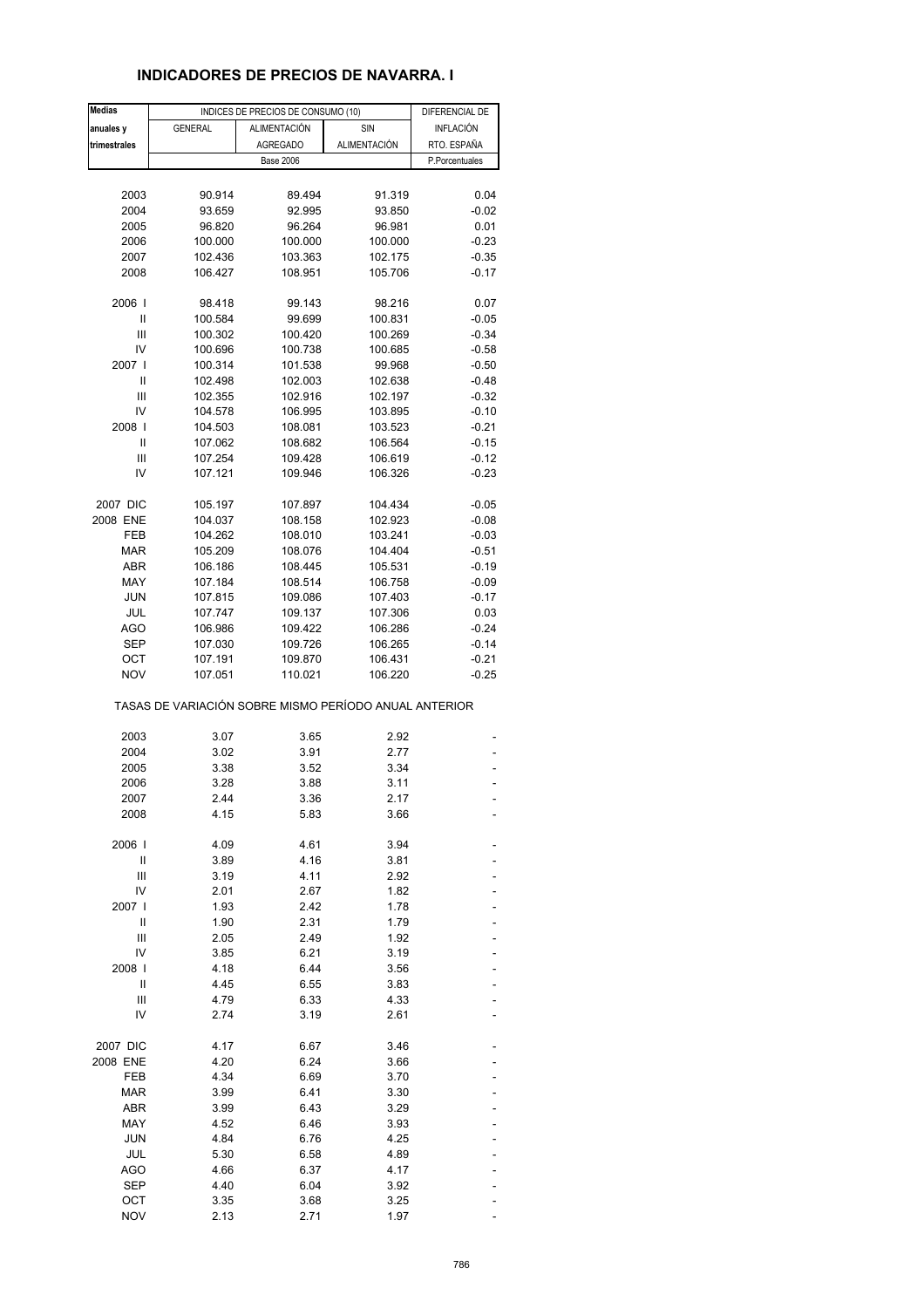# **INDICADORES DE PRECIOS DE NAVARRA. I**

| <b>Medias</b> |                                                       | INDICES DE PRECIOS DE CONSUMO (10) |                     | DIFERENCIAL DE |
|---------------|-------------------------------------------------------|------------------------------------|---------------------|----------------|
| anuales y     | <b>GENERAL</b>                                        | <b>ALIMENTACIÓN</b>                | SIN                 | INFLACIÓN      |
| trimestrales  |                                                       | <b>AGREGADO</b>                    | <b>ALIMENTACIÓN</b> | RTO. ESPAÑA    |
|               |                                                       | <b>Base 2006</b>                   |                     | P.Porcentuales |
|               |                                                       |                                    |                     |                |
| 2003          | 90.914                                                | 89.494                             | 91.319              | 0.04           |
| 2004          | 93.659                                                | 92.995                             | 93.850              | $-0.02$        |
| 2005          | 96.820                                                | 96.264                             | 96.981              | 0.01           |
| 2006          | 100.000                                               | 100.000                            | 100.000             | $-0.23$        |
| 2007          | 102.436                                               | 103.363                            | 102.175             | $-0.35$        |
| 2008          | 106.427                                               | 108.951                            | 105.706             | $-0.17$        |
|               |                                                       |                                    |                     |                |
| 2006          | 98.418                                                | 99.143                             | 98.216              | 0.07           |
| Ш             | 100.584                                               | 99.699                             | 100.831             | $-0.05$        |
| Ш             | 100.302                                               | 100.420                            | 100.269             | $-0.34$        |
| IV            | 100.696                                               | 100.738                            | 100.685             | $-0.58$        |
| 2007 l        | 100.314                                               | 101.538                            | 99.968              | $-0.50$        |
| Ш             | 102.498                                               | 102.003                            | 102.638             | $-0.48$        |
| Ш             | 102.355                                               | 102.916                            | 102.197             | $-0.32$        |
| IV            | 104.578                                               | 106.995                            | 103.895             | $-0.10$        |
| 2008          | 104.503                                               | 108.081                            | 103.523             | $-0.21$        |
| Ш             | 107.062                                               | 108.682                            | 106.564             | $-0.15$        |
| Ш             | 107.254                                               | 109.428                            | 106.619             | $-0.12$        |
| IV            | 107.121                                               | 109.946                            | 106.326             | $-0.23$        |
|               |                                                       |                                    |                     |                |
| 2007 DIC      | 105.197                                               | 107.897                            | 104.434             | $-0.05$        |
| 2008 ENE      | 104.037                                               | 108.158                            | 102.923             | $-0.08$        |
| FEB           | 104.262                                               | 108.010                            | 103.241             | $-0.03$        |
| <b>MAR</b>    | 105.209                                               | 108.076                            | 104.404             | $-0.51$        |
| ABR           | 106.186                                               | 108.445                            | 105.531             | $-0.19$        |
| MAY           | 107.184                                               | 108.514                            | 106.758             | $-0.09$        |
| <b>JUN</b>    | 107.815                                               | 109.086                            | 107.403             | $-0.17$        |
| JUL           | 107.747                                               | 109.137                            | 107.306             | 0.03           |
| AGO           | 106.986                                               | 109.422                            | 106.286             | $-0.24$        |
| SEP           | 107.030                                               | 109.726                            | 106.265             | $-0.14$        |
| OCT           | 107.191                                               | 109.870                            | 106.431             | $-0.21$        |
| <b>NOV</b>    | 107.051                                               | 110.021                            | 106.220             | $-0.25$        |
|               | TASAS DE VARIACIÓN SOBRE MISMO PERÍODO ANUAL ANTERIOR |                                    |                     |                |
| 2003          | 3.07                                                  | 3.65                               | 2.92                |                |
| 2004          | 3.02                                                  | 3.91                               | 2.77                |                |
| 2005          | 3.38                                                  | 3.52                               | 3.34                |                |
| 2006          | 3.28                                                  | 3.88                               | 3.11                |                |
| 2007          | 2.44                                                  | 3.36                               | 2.17                |                |
| 2008          | 4.15                                                  | 5.83                               | 3.66                |                |
|               |                                                       |                                    |                     |                |
| 2006          | 4.09                                                  | 4.61                               | 3.94                |                |
| Ш             | 3.89                                                  | 4.16                               | 3.81                |                |
| Ш             | 3.19                                                  | 4.11                               | 2.92                |                |
| IV            | 2.01                                                  | 2.67                               | 1.82                |                |
| 2007 l        | 1.93                                                  | 2.42                               | 1.78                |                |
| Ш             | 1.90                                                  | 2.31                               | 1.79                |                |
| Ш             | 2.05                                                  | 2.49                               | 1.92                |                |
| IV            | 3.85                                                  | 6.21                               | 3.19                |                |
| 2008          | 4.18                                                  | 6.44                               | 3.56                |                |
| Ш             | 4.45                                                  | 6.55                               | 3.83                |                |
| Ш             | 4.79                                                  | 6.33                               | 4.33                |                |
| IV            | 2.74                                                  | 3.19                               | 2.61                |                |
| 2007 DIC      | 4.17                                                  | 6.67                               | 3.46                |                |
| 2008 ENE      | 4.20                                                  | 6.24                               | 3.66                |                |
| FEB           | 4.34                                                  | 6.69                               | 3.70                |                |
| <b>MAR</b>    | 3.99                                                  | 6.41                               | 3.30                |                |
| ABR           | 3.99                                                  | 6.43                               | 3.29                |                |
| MAY           | 4.52                                                  | 6.46                               | 3.93                |                |
| <b>JUN</b>    | 4.84                                                  | 6.76                               | 4.25                |                |
| JUL           | 5.30                                                  | 6.58                               | 4.89                |                |
| AGO           | 4.66                                                  | 6.37                               | 4.17                |                |
| <b>SEP</b>    | 4.40                                                  | 6.04                               | 3.92                |                |
| OCT           | 3.35                                                  | 3.68                               | 3.25                |                |
| <b>NOV</b>    | 2.13                                                  | 2.71                               | 1.97                |                |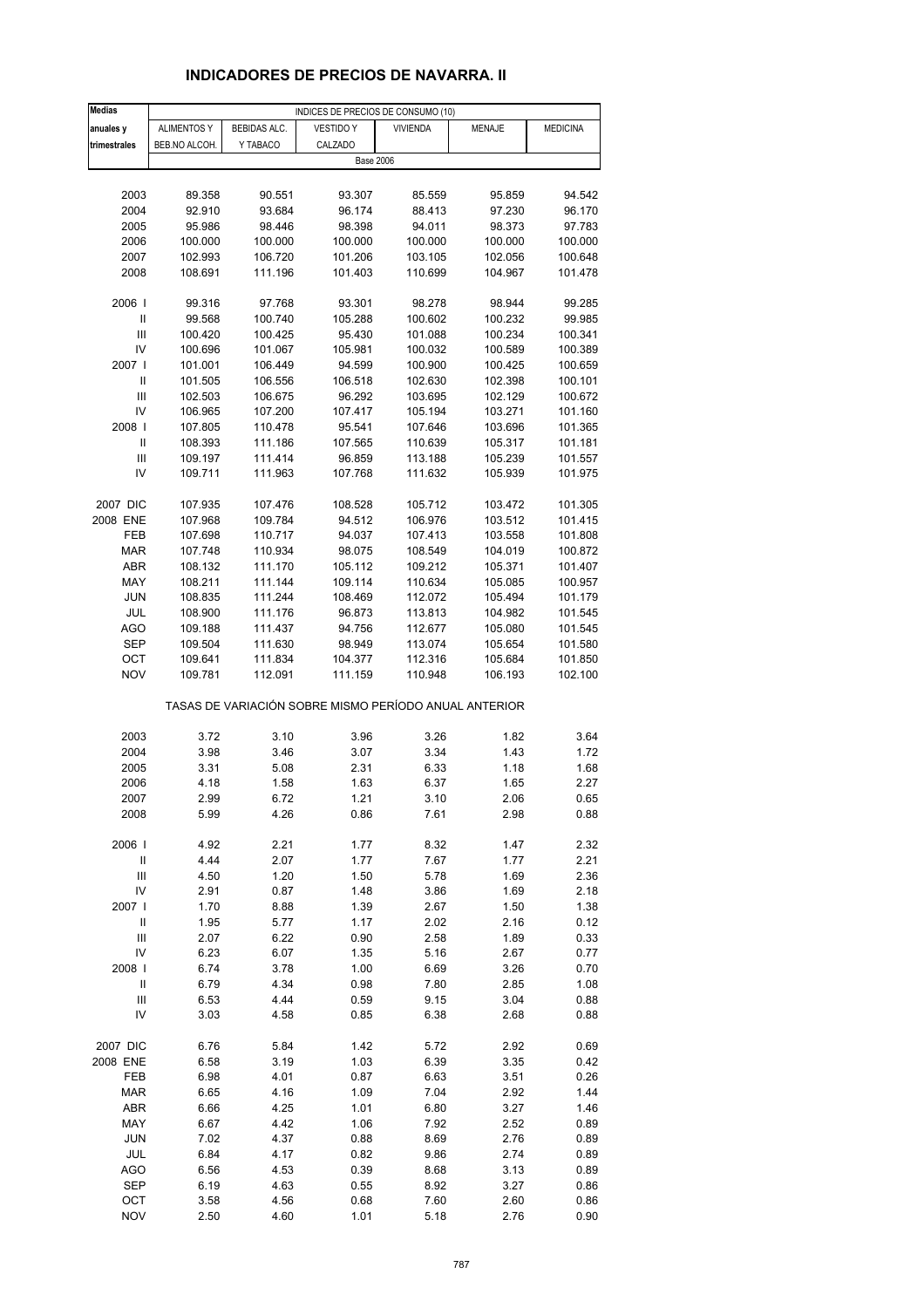# **INDICADORES DE PRECIOS DE NAVARRA. II**

| Medias                     | INDICES DE PRECIOS DE CONSUMO (10) |                    |                                                       |                    |                    |                    |
|----------------------------|------------------------------------|--------------------|-------------------------------------------------------|--------------------|--------------------|--------------------|
| anuales y                  | <b>ALIMENTOS Y</b>                 | BEBIDAS ALC.       | <b>VESTIDO Y</b>                                      | <b>VIVIENDA</b>    | <b>MENAJE</b>      | <b>MEDICINA</b>    |
| trimestrales               | BEB.NO ALCOH.                      | Y TABACO           | CALZADO                                               |                    |                    |                    |
|                            |                                    |                    | <b>Base 2006</b>                                      |                    |                    |                    |
|                            |                                    |                    |                                                       |                    |                    |                    |
| 2003                       | 89.358                             | 90.551             | 93.307                                                | 85.559             | 95.859             | 94.542             |
| 2004                       | 92.910                             | 93.684             | 96.174                                                | 88.413             | 97.230             | 96.170             |
| 2005                       | 95.986                             | 98.446             | 98.398                                                | 94.011             | 98.373             | 97.783             |
| 2006                       | 100.000                            | 100.000            | 100.000                                               | 100.000            | 100.000            | 100.000            |
| 2007                       | 102.993                            | 106.720            | 101.206                                               | 103.105            | 102.056            | 100.648            |
| 2008                       | 108.691                            | 111.196            | 101.403                                               | 110.699            | 104.967            | 101.478            |
|                            |                                    |                    |                                                       |                    |                    |                    |
| 2006                       | 99.316                             | 97.768             | 93.301                                                | 98.278             | 98.944             | 99.285             |
| Ш                          | 99.568                             | 100.740            | 105.288                                               | 100.602            | 100.232            | 99.985             |
| Ш                          | 100.420                            | 100.425            | 95.430                                                | 101.088            | 100.234            | 100.341            |
| IV                         | 100.696                            | 101.067            | 105.981                                               | 100.032            | 100.589            | 100.389            |
| 2007                       | 101.001                            | 106.449            | 94.599                                                | 100.900            | 100.425            | 100.659            |
| Ш                          | 101.505                            | 106.556            | 106.518                                               | 102.630            | 102.398            | 100.101            |
| $\mathsf{III}$             | 102.503                            | 106.675            | 96.292                                                | 103.695            | 102.129            | 100.672            |
| IV                         | 106.965                            | 107.200            | 107.417                                               | 105.194            | 103.271            | 101.160            |
| 2008                       | 107.805                            | 110.478            | 95.541                                                | 107.646            | 103.696            | 101.365            |
| Ш<br>Ш                     | 108.393<br>109.197                 | 111.186<br>111.414 | 107.565                                               | 110.639<br>113.188 | 105.317            | 101.181<br>101.557 |
| IV                         | 109.711                            | 111.963            | 96.859<br>107.768                                     | 111.632            | 105.239<br>105.939 | 101.975            |
|                            |                                    |                    |                                                       |                    |                    |                    |
| 2007 DIC                   | 107.935                            | 107.476            | 108.528                                               | 105.712            | 103.472            | 101.305            |
| 2008 ENE                   | 107.968                            | 109.784            | 94.512                                                | 106.976            | 103.512            | 101.415            |
| FEB                        | 107.698                            | 110.717            | 94.037                                                | 107.413            | 103.558            | 101.808            |
| <b>MAR</b>                 | 107.748                            | 110.934            | 98.075                                                | 108.549            | 104.019            | 100.872            |
| <b>ABR</b>                 | 108.132                            | 111.170            | 105.112                                               | 109.212            | 105.371            | 101.407            |
| MAY                        | 108.211                            | 111.144            | 109.114                                               | 110.634            | 105.085            | 100.957            |
| JUN                        | 108.835                            | 111.244            | 108.469                                               | 112.072            | 105.494            | 101.179            |
| JUL                        | 108.900                            | 111.176            | 96.873                                                | 113.813            | 104.982            | 101.545            |
| AGO                        | 109.188                            | 111.437            | 94.756                                                | 112.677            | 105.080            | 101.545            |
| SEP                        | 109.504                            | 111.630            | 98.949                                                | 113.074            | 105.654            | 101.580            |
| ОСТ                        | 109.641                            | 111.834            | 104.377                                               | 112.316            | 105.684            | 101.850            |
| <b>NOV</b>                 | 109.781                            | 112.091            | 111.159                                               | 110.948            | 106.193            | 102.100            |
|                            |                                    |                    | TASAS DE VARIACIÓN SOBRE MISMO PERÍODO ANUAL ANTERIOR |                    |                    |                    |
|                            |                                    |                    |                                                       |                    |                    |                    |
| 2003<br>2004               | 3.72<br>3.98                       | 3.10               | 3.96<br>3.07                                          | 3.26<br>3.34       | 1.82               | 3.64<br>1.72       |
| 2005                       | 3.31                               | 3.46<br>5.08       | 2.31                                                  | 6.33               | 1.43<br>1.18       | 1.68               |
| 2006                       | 4.18                               | 1.58               | 1.63                                                  | 6.37               | 1.65               | 2.27               |
| 2007                       | 2.99                               | 6.72               | 1.21                                                  | 3.10               | 2.06               | 0.65               |
| 2008                       | 5.99                               | 4.26               | 0.86                                                  | 7.61               | 2.98               | 0.88               |
|                            |                                    |                    |                                                       |                    |                    |                    |
| 2006                       | 4.92                               | 2.21               | 1.77                                                  | 8.32               | 1.47               | 2.32               |
| $\ensuremath{\mathsf{II}}$ | 4.44                               | 2.07               | 1.77                                                  | 7.67               | 1.77               | 2.21               |
| $\mathsf{III}$             | 4.50                               | 1.20               | 1.50                                                  | 5.78               | 1.69               | 2.36               |
| IV                         | 2.91                               | 0.87               | 1.48                                                  | 3.86               | 1.69               | 2.18               |
| 2007 l                     | 1.70                               | 8.88               | 1.39                                                  | 2.67               | 1.50               | 1.38               |
| $\sf II$                   | 1.95                               | 5.77               | 1.17                                                  | 2.02               | 2.16               | 0.12               |
| $\mathsf{III}$             | 2.07                               | 6.22               | 0.90                                                  | 2.58               | 1.89               | 0.33               |
| IV                         | 6.23                               | 6.07               | 1.35                                                  | 5.16               | 2.67               | 0.77               |
| 2008                       | 6.74                               | 3.78               | 1.00                                                  | 6.69               | 3.26               | 0.70               |
| $\ensuremath{\mathsf{II}}$ | 6.79                               | 4.34               | 0.98                                                  | 7.80               | 2.85               | 1.08               |
| $\mathsf{III}$             | 6.53                               | 4.44               | 0.59                                                  | 9.15               | 3.04               | 0.88               |
| IV                         | 3.03                               | 4.58               | 0.85                                                  | 6.38               | 2.68               | 0.88               |
| 2007 DIC                   | 6.76                               | 5.84               | 1.42                                                  | 5.72               | 2.92               | 0.69               |
| 2008 ENE                   | 6.58                               | 3.19               | 1.03                                                  | 6.39               | 3.35               | 0.42               |
| FEB                        | 6.98                               | 4.01               | 0.87                                                  | 6.63               | 3.51               | 0.26               |
| <b>MAR</b>                 | 6.65                               | 4.16               | 1.09                                                  | 7.04               | 2.92               | 1.44               |
| ABR                        | 6.66                               | 4.25               | 1.01                                                  | 6.80               | 3.27               | 1.46               |
| MAY                        | 6.67                               | 4.42               | 1.06                                                  | 7.92               | 2.52               | 0.89               |
| <b>JUN</b>                 | 7.02                               | 4.37               | 0.88                                                  | 8.69               | 2.76               | 0.89               |
| JUL                        | 6.84                               | 4.17               | 0.82                                                  | 9.86               | 2.74               | 0.89               |
| AGO                        | 6.56                               | 4.53               | 0.39                                                  | 8.68               | 3.13               | 0.89               |
| SEP                        | 6.19                               | 4.63               | 0.55                                                  | 8.92               | 3.27               | 0.86               |
| OCT                        | 3.58                               | 4.56               | 0.68                                                  | 7.60               | 2.60               | 0.86               |
| <b>NOV</b>                 | 2.50                               | 4.60               | 1.01                                                  | 5.18               | 2.76               | 0.90               |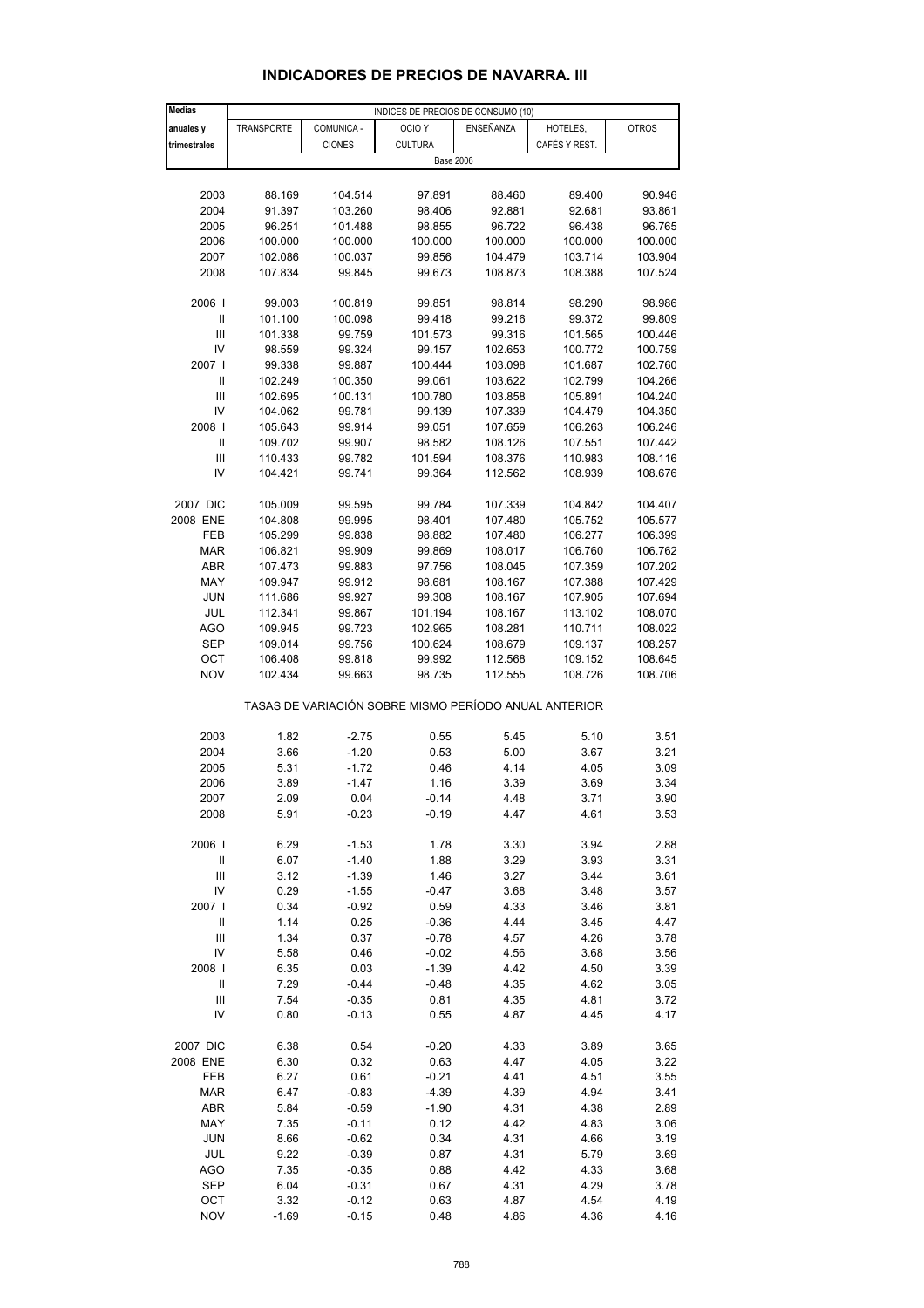| <b>Medias</b>                      |            |               | INDICES DE PRECIOS DE CONSUMO (10)                    |           |               |              |
|------------------------------------|------------|---------------|-------------------------------------------------------|-----------|---------------|--------------|
| anuales y                          | TRANSPORTE | COMUNICA -    | OCIO <sub>Y</sub>                                     | ENSEÑANZA | HOTELES,      | <b>OTROS</b> |
| trimestrales                       |            | <b>CIONES</b> | <b>CULTURA</b>                                        |           | CAFÉS Y REST. |              |
|                                    |            |               |                                                       |           |               |              |
|                                    |            |               | <b>Base 2006</b>                                      |           |               |              |
|                                    |            |               |                                                       |           |               |              |
| 2003                               | 88.169     | 104.514       | 97.891                                                | 88.460    | 89.400        | 90.946       |
| 2004                               | 91.397     | 103.260       | 98.406                                                | 92.881    | 92.681        | 93.861       |
| 2005                               | 96.251     | 101.488       | 98.855                                                | 96.722    | 96.438        | 96.765       |
| 2006                               | 100.000    | 100.000       | 100.000                                               | 100.000   | 100.000       | 100.000      |
| 2007                               | 102.086    | 100.037       | 99.856                                                | 104.479   | 103.714       | 103.904      |
| 2008                               | 107.834    | 99.845        | 99.673                                                | 108.873   | 108.388       | 107.524      |
|                                    |            |               |                                                       |           |               |              |
| 2006                               | 99.003     | 100.819       | 99.851                                                | 98.814    | 98.290        | 98.986       |
|                                    |            |               |                                                       |           |               |              |
| $\ensuremath{\mathsf{II}}$         | 101.100    | 100.098       | 99.418                                                | 99.216    | 99.372        | 99.809       |
| Ш                                  | 101.338    | 99.759        | 101.573                                               | 99.316    | 101.565       | 100.446      |
| IV                                 | 98.559     | 99.324        | 99.157                                                | 102.653   | 100.772       | 100.759      |
| 2007                               | 99.338     | 99.887        | 100.444                                               | 103.098   | 101.687       | 102.760      |
| Ш                                  | 102.249    | 100.350       | 99.061                                                | 103.622   | 102.799       | 104.266      |
| Ш                                  | 102.695    | 100.131       | 100.780                                               | 103.858   | 105.891       | 104.240      |
| IV                                 | 104.062    | 99.781        | 99.139                                                | 107.339   | 104.479       | 104.350      |
| 2008                               | 105.643    | 99.914        | 99.051                                                | 107.659   | 106.263       | 106.246      |
| Ш                                  | 109.702    | 99.907        | 98.582                                                | 108.126   | 107.551       | 107.442      |
|                                    |            |               |                                                       |           |               |              |
| $\mathbf{III}$                     | 110.433    | 99.782        | 101.594                                               | 108.376   | 110.983       | 108.116      |
| IV                                 | 104.421    | 99.741        | 99.364                                                | 112.562   | 108.939       | 108.676      |
|                                    |            |               |                                                       |           |               |              |
| 2007 DIC                           | 105.009    | 99.595        | 99.784                                                | 107.339   | 104.842       | 104.407      |
| 2008 ENE                           | 104.808    | 99.995        | 98.401                                                | 107.480   | 105.752       | 105.577      |
| FEB                                | 105.299    | 99.838        | 98.882                                                | 107.480   | 106.277       | 106.399      |
| <b>MAR</b>                         | 106.821    | 99.909        | 99.869                                                | 108.017   | 106.760       | 106.762      |
| <b>ABR</b>                         | 107.473    | 99.883        | 97.756                                                | 108.045   | 107.359       | 107.202      |
| MAY                                |            |               | 98.681                                                | 108.167   |               | 107.429      |
|                                    | 109.947    | 99.912        |                                                       |           | 107.388       |              |
| <b>JUN</b>                         | 111.686    | 99.927        | 99.308                                                | 108.167   | 107.905       | 107.694      |
| JUL                                | 112.341    | 99.867        | 101.194                                               | 108.167   | 113.102       | 108.070      |
| <b>AGO</b>                         | 109.945    | 99.723        | 102.965                                               | 108.281   | 110.711       | 108.022      |
| <b>SEP</b>                         | 109.014    | 99.756        | 100.624                                               | 108.679   | 109.137       | 108.257      |
| OCT                                | 106.408    | 99.818        | 99.992                                                | 112.568   | 109.152       | 108.645      |
| <b>NOV</b>                         | 102.434    | 99.663        | 98.735                                                | 112.555   | 108.726       | 108.706      |
|                                    |            |               |                                                       |           |               |              |
|                                    |            |               | TASAS DE VARIACIÓN SOBRE MISMO PERÍODO ANUAL ANTERIOR |           |               |              |
|                                    |            |               |                                                       |           |               |              |
| 2003                               | 1.82       | $-2.75$       | 0.55                                                  | 5.45      | 5.10          | 3.51         |
| 2004                               |            |               |                                                       | 5.00      |               | 3.21         |
|                                    | 3.66       | $-1.20$       | 0.53                                                  |           | 3.67          |              |
| 2005                               | 5.31       | $-1.72$       | 0.46                                                  | 4.14      | 4.05          | 3.09         |
| 2006                               | 3.89       | $-1.47$       | 1.16                                                  | 3.39      | 3.69          | 3.34         |
| 2007                               | 2.09       | 0.04          | $-0.14$                                               | 4.48      | 3.71          | 3.90         |
| 2008                               | 5.91       | $-0.23$       | $-0.19$                                               | 4.47      | 4.61          | 3.53         |
|                                    |            |               |                                                       |           |               |              |
| 2006                               | 6.29       | $-1.53$       | 1.78                                                  | 3.30      | 3.94          | 2.88         |
| Ш                                  | 6.07       | $-1.40$       | 1.88                                                  | 3.29      | 3.93          | 3.31         |
| $\ensuremath{\mathsf{III}}\xspace$ | 3.12       | $-1.39$       | 1.46                                                  | 3.27      | 3.44          | 3.61         |
| IV                                 | 0.29       | $-1.55$       | $-0.47$                                               | 3.68      | 3.48          | 3.57         |
|                                    |            |               |                                                       |           |               |              |
| 2007 l                             | 0.34       | $-0.92$       | 0.59                                                  | 4.33      | 3.46          | 3.81         |
| $\ensuremath{\mathsf{II}}$         | 1.14       | 0.25          | $-0.36$                                               | 4.44      | 3.45          | 4.47         |
| $\ensuremath{\mathsf{III}}\xspace$ | 1.34       | 0.37          | $-0.78$                                               | 4.57      | 4.26          | 3.78         |
| IV                                 | 5.58       | 0.46          | $-0.02$                                               | 4.56      | 3.68          | 3.56         |
| 2008                               | 6.35       | 0.03          | $-1.39$                                               | 4.42      | 4.50          | 3.39         |
| Ш                                  | 7.29       | $-0.44$       | $-0.48$                                               | 4.35      | 4.62          | 3.05         |
| Ш                                  | 7.54       | $-0.35$       | 0.81                                                  | 4.35      | 4.81          | 3.72         |
| IV                                 | 0.80       | $-0.13$       | 0.55                                                  | 4.87      | 4.45          | 4.17         |
|                                    |            |               |                                                       |           |               |              |
|                                    |            |               |                                                       |           |               |              |
| 2007 DIC                           | 6.38       | 0.54          | $-0.20$                                               | 4.33      | 3.89          | 3.65         |
| 2008 ENE                           | 6.30       | 0.32          | 0.63                                                  | 4.47      | 4.05          | 3.22         |
| FEB                                | 6.27       | 0.61          | $-0.21$                                               | 4.41      | 4.51          | 3.55         |
| <b>MAR</b>                         | 6.47       | $-0.83$       | -4.39                                                 | 4.39      | 4.94          | 3.41         |
| ABR                                | 5.84       | $-0.59$       | $-1.90$                                               | 4.31      | 4.38          | 2.89         |
| MAY                                | 7.35       | $-0.11$       | 0.12                                                  | 4.42      | 4.83          | 3.06         |
| <b>JUN</b>                         | 8.66       | $-0.62$       | 0.34                                                  | 4.31      | 4.66          | 3.19         |
| JUL                                | 9.22       | $-0.39$       | 0.87                                                  | 4.31      | 5.79          | 3.69         |
|                                    |            |               |                                                       |           |               |              |
| AGO                                | 7.35       | $-0.35$       | 0.88                                                  | 4.42      | 4.33          | 3.68         |
| <b>SEP</b>                         | 6.04       | $-0.31$       | 0.67                                                  | 4.31      | 4.29          | 3.78         |

#### **INDICADORES DE PRECIOS DE NAVARRA. III**

 OCT 3.32 -0.12 0.63 4.87 4.54 4.19 NOV -1.69 -0.15 0.48 4.86 4.36 4.16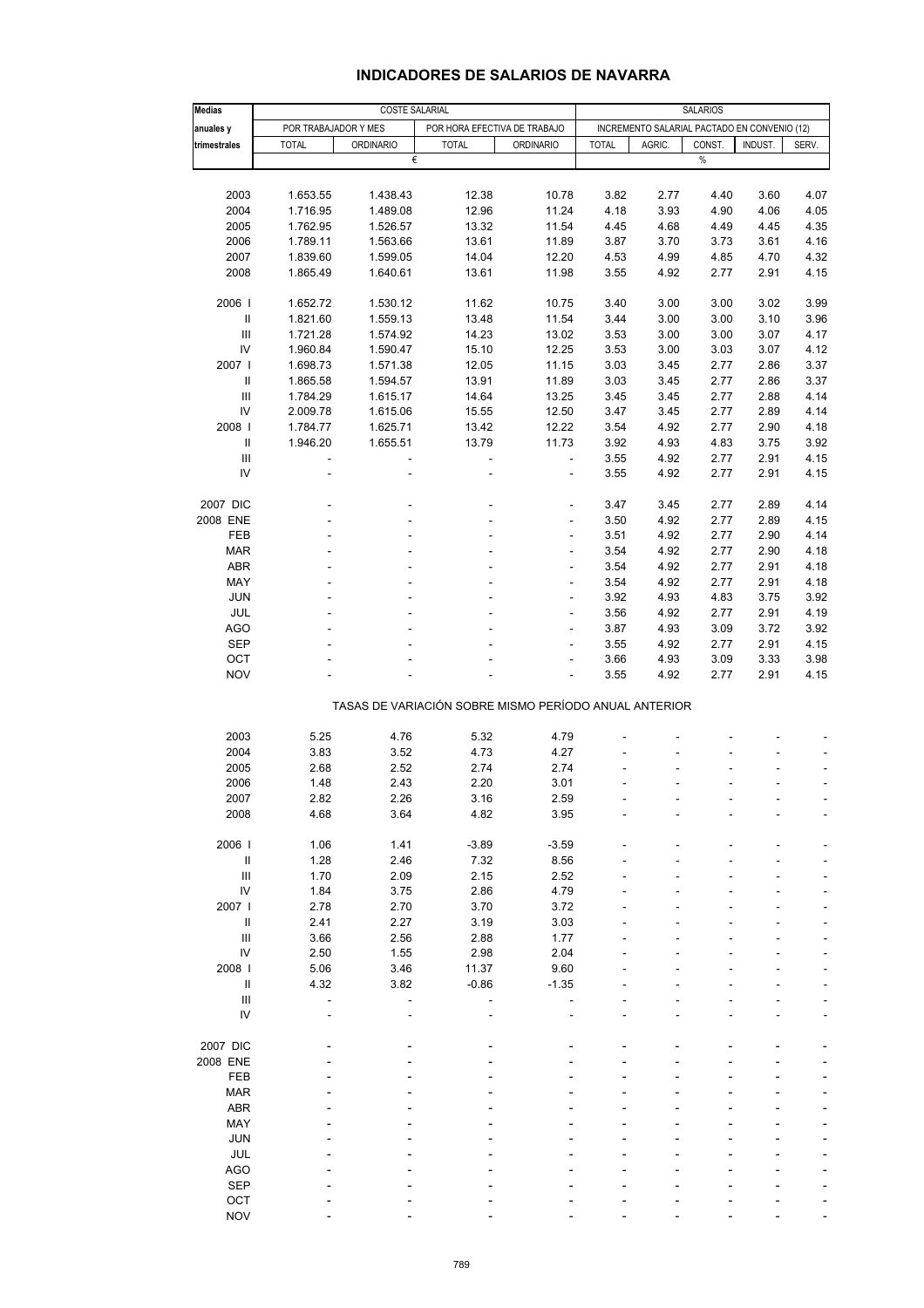| Medias                             |                |                                                       | <b>SALARIOS</b>          |                              |              |                                              |              |         |                |
|------------------------------------|----------------|-------------------------------------------------------|--------------------------|------------------------------|--------------|----------------------------------------------|--------------|---------|----------------|
| anuales y                          |                | <b>COSTE SALARIAL</b><br>POR TRABAJADOR Y MES         |                          | POR HORA EFECTIVA DE TRABAJO |              | INCREMENTO SALARIAL PACTADO EN CONVENIO (12) |              |         |                |
| trimestrales                       | <b>TOTAL</b>   | <b>ORDINARIO</b>                                      | <b>TOTAL</b>             | <b>ORDINARIO</b>             | <b>TOTAL</b> | AGRIC.                                       | CONST.       | INDUST. | SERV.          |
|                                    |                | €                                                     |                          |                              |              |                                              | $\%$         |         |                |
|                                    |                |                                                       |                          |                              |              |                                              |              |         |                |
| 2003                               | 1.653.55       | 1.438.43                                              | 12.38                    | 10.78                        | 3.82         | 2.77                                         | 4.40         | 3.60    | 4.07           |
| 2004                               |                |                                                       |                          |                              |              |                                              |              |         | 4.05           |
|                                    | 1.716.95       | 1.489.08                                              | 12.96                    | 11.24                        | 4.18         | 3.93                                         | 4.90         | 4.06    |                |
| 2005                               | 1.762.95       | 1.526.57                                              | 13.32                    | 11.54                        | 4.45         | 4.68                                         | 4.49         | 4.45    | 4.35           |
| 2006                               | 1.789.11       | 1.563.66                                              | 13.61                    | 11.89                        | 3.87         | 3.70                                         | 3.73         | 3.61    | 4.16           |
| 2007                               | 1.839.60       | 1.599.05                                              | 14.04                    | 12.20                        | 4.53         | 4.99                                         | 4.85         | 4.70    | 4.32           |
| 2008                               | 1.865.49       | 1.640.61                                              | 13.61                    | 11.98                        | 3.55         | 4.92                                         | 2.77         | 2.91    | 4.15           |
| 2006                               | 1.652.72       | 1.530.12                                              | 11.62                    | 10.75                        | 3.40         | 3.00                                         | 3.00         | 3.02    | 3.99           |
| $\sf II$                           | 1.821.60       | 1.559.13                                              | 13.48                    | 11.54                        | 3.44         | 3.00                                         | 3.00         | 3.10    | 3.96           |
| Ш                                  | 1.721.28       | 1.574.92                                              | 14.23                    | 13.02                        | 3.53         | 3.00                                         | 3.00         | 3.07    | 4.17           |
| IV                                 | 1.960.84       | 1.590.47                                              | 15.10                    | 12.25                        | 3.53         | 3.00                                         | 3.03         | 3.07    | 4.12           |
| 2007 l                             | 1.698.73       | 1.571.38                                              | 12.05                    | 11.15                        | 3.03         | 3.45                                         | 2.77         | 2.86    | 3.37           |
| Ш                                  | 1.865.58       | 1.594.57                                              | 13.91                    | 11.89                        | 3.03         | 3.45                                         | 2.77         | 2.86    | 3.37           |
| Ш                                  | 1.784.29       | 1.615.17                                              | 14.64                    | 13.25                        | 3.45         | 3.45                                         | 2.77         | 2.88    | 4.14           |
| IV                                 | 2.009.78       | 1.615.06                                              | 15.55                    | 12.50                        | 3.47         | 3.45                                         | 2.77         | 2.89    | 4.14           |
| 2008                               | 1.784.77       | 1.625.71                                              | 13.42                    | 12.22                        | 3.54         | 4.92                                         | 2.77         | 2.90    | 4.18           |
| Ш                                  | 1.946.20       | 1.655.51                                              | 13.79                    | 11.73                        | 3.92         | 4.93                                         | 4.83         | 3.75    | 3.92           |
| Ш                                  | $\blacksquare$ | ÷                                                     | $\blacksquare$           | $\overline{\phantom{a}}$     | 3.55         | 4.92                                         | 2.77         | 2.91    | 4.15           |
| IV                                 | ä,             |                                                       | ä,                       | L,                           | 3.55         | 4.92                                         | 2.77         | 2.91    | 4.15           |
|                                    |                |                                                       |                          |                              |              |                                              |              |         |                |
| 2007 DIC                           |                |                                                       | $\overline{\phantom{a}}$ | ÷                            | 3.47         | 3.45                                         | 2.77         | 2.89    | 4.14           |
| 2008 ENE                           |                |                                                       | ä,                       | L,                           | 3.50         | 4.92                                         | 2.77         | 2.89    | 4.15           |
| <b>FEB</b>                         |                |                                                       |                          | L,                           | 3.51         | 4.92                                         | 2.77         | 2.90    | 4.14           |
| <b>MAR</b>                         |                |                                                       | $\overline{\phantom{a}}$ | ÷,                           | 3.54         | 4.92                                         | 2.77         | 2.90    | 4.18           |
| <b>ABR</b>                         |                |                                                       |                          | L,                           | 3.54         | 4.92                                         | 2.77         | 2.91    | 4.18           |
| MAY                                |                |                                                       | ä,                       | $\overline{a}$               | 3.54         | 4.92                                         | 2.77         | 2.91    | 4.18           |
| <b>JUN</b>                         |                |                                                       | $\overline{\phantom{a}}$ | $\frac{1}{2}$                | 3.92         | 4.93                                         | 4.83         | 3.75    | 3.92           |
| JUL                                |                |                                                       |                          | L,                           | 3.56         | 4.92                                         | 2.77         | 2.91    | 4.19           |
| <b>AGO</b>                         |                |                                                       | ä,                       | L                            | 3.87         | 4.93                                         | 3.09         | 3.72    | 3.92           |
|                                    |                |                                                       |                          | $\frac{1}{2}$                |              |                                              |              | 2.91    | 4.15           |
| <b>SEP</b><br>OCT                  |                |                                                       |                          | L,                           | 3.55<br>3.66 | 4.92<br>4.93                                 | 2.77<br>3.09 | 3.33    | 3.98           |
| <b>NOV</b>                         |                |                                                       |                          | L                            | 3.55         | 4.92                                         | 2.77         | 2.91    | 4.15           |
|                                    |                |                                                       |                          |                              |              |                                              |              |         |                |
|                                    |                | TASAS DE VARIACIÓN SOBRE MISMO PERÍODO ANUAL ANTERIOR |                          |                              |              |                                              |              |         |                |
| 2003                               | 5.25           | 4.76                                                  | 5.32                     | 4.79                         |              |                                              |              |         |                |
| 2004                               | 3.83           | 3.52                                                  | 4.73                     | 4.27                         |              |                                              |              |         |                |
| 2005                               | 2.68           | 2.52                                                  | 2.74                     | 2.74                         |              |                                              |              |         | ÷,             |
| 2006                               | 1.48           | 2.43                                                  | 2.20                     | 3.01                         |              |                                              |              | ÷,      | $\blacksquare$ |
| 2007                               | 2.82           | 2.26                                                  | 3.16                     | 2.59                         |              |                                              |              |         |                |
| 2008                               | 4.68           | 3.64                                                  | 4.82                     | 3.95                         |              |                                              |              |         |                |
|                                    |                |                                                       |                          |                              |              |                                              |              |         |                |
| 2006                               | 1.06           | 1.41                                                  | $-3.89$                  | $-3.59$                      |              |                                              |              |         |                |
| $\ensuremath{\mathsf{II}}$         | 1.28           | 2.46                                                  | 7.32                     | 8.56                         |              |                                              |              |         |                |
| Ш                                  | 1.70           | 2.09                                                  | 2.15                     | 2.52                         |              |                                              |              |         |                |
| ${\sf IV}$                         | 1.84           | 3.75                                                  | 2.86                     | 4.79                         |              |                                              |              |         |                |
| 2007                               | 2.78           | 2.70                                                  | 3.70                     | 3.72                         |              |                                              |              |         |                |
| Ш                                  | 2.41           | 2.27                                                  | 3.19                     | 3.03                         |              |                                              |              |         |                |
| $\ensuremath{\mathsf{III}}\xspace$ | 3.66           | 2.56                                                  | 2.88                     | 1.77                         |              |                                              |              |         |                |
| IV                                 | 2.50           | 1.55                                                  | 2.98                     | 2.04                         |              |                                              |              |         |                |
| 2008                               | 5.06           | 3.46                                                  | 11.37                    | 9.60                         |              |                                              |              |         |                |
| $\ensuremath{\mathsf{II}}$         | 4.32           | 3.82                                                  | $-0.86$                  | $-1.35$                      |              |                                              |              |         |                |
| $\ensuremath{\mathsf{III}}\xspace$ |                |                                                       |                          |                              |              |                                              |              |         |                |
| IV                                 |                |                                                       |                          |                              |              |                                              |              |         |                |
|                                    |                |                                                       |                          |                              |              |                                              |              |         |                |
| 2007 DIC                           |                |                                                       |                          |                              |              |                                              |              |         |                |
| 2008 ENE                           |                |                                                       |                          |                              |              |                                              |              |         |                |
| FEB                                |                |                                                       |                          |                              |              |                                              |              |         |                |
| <b>MAR</b>                         |                |                                                       |                          |                              |              |                                              |              |         |                |
| <b>ABR</b>                         |                |                                                       |                          |                              |              |                                              |              |         |                |
| MAY                                |                |                                                       |                          |                              |              |                                              |              |         |                |
| <b>JUN</b>                         |                |                                                       |                          |                              |              |                                              |              |         |                |
| JUL                                |                |                                                       |                          |                              |              |                                              |              |         |                |
| <b>AGO</b>                         |                |                                                       |                          |                              |              |                                              |              |         |                |
| <b>SEP</b>                         |                |                                                       |                          |                              |              |                                              |              |         |                |
| OCT                                |                |                                                       |                          |                              |              |                                              |              |         |                |
| <b>NOV</b>                         |                |                                                       |                          |                              |              |                                              |              |         |                |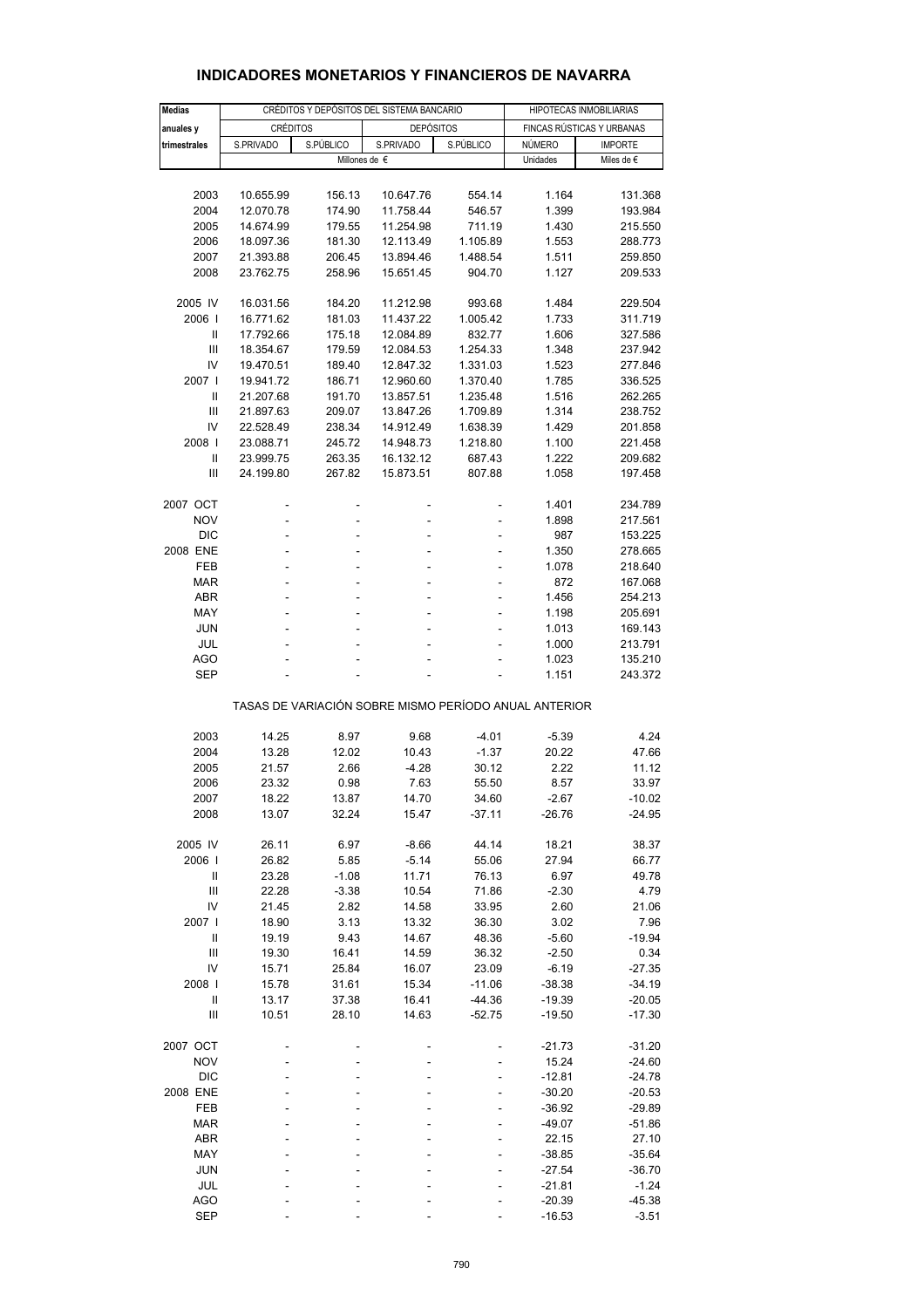| <b>Medias</b> |                                                       | CRÉDITOS Y DEPÓSITOS DEL SISTEMA BANCARIO | HIPOTECAS INMOBILIARIAS             |           |                           |                                       |  |  |  |  |
|---------------|-------------------------------------------------------|-------------------------------------------|-------------------------------------|-----------|---------------------------|---------------------------------------|--|--|--|--|
|               | CRÉDITOS                                              |                                           | <b>DEPÓSITOS</b>                    |           | FINCAS RÚSTICAS Y URBANAS |                                       |  |  |  |  |
| anuales y     |                                                       |                                           |                                     |           |                           |                                       |  |  |  |  |
| trimestrales  | S.PRIVADO                                             | S.PÚBLICO                                 | S.PRIVADO<br>Millones de $\epsilon$ | S.PÚBLICO | NÚMERO<br>Unidades        | <b>IMPORTE</b><br>Miles de $\epsilon$ |  |  |  |  |
|               |                                                       |                                           |                                     |           |                           |                                       |  |  |  |  |
|               |                                                       |                                           |                                     |           |                           |                                       |  |  |  |  |
| 2003          | 10.655.99                                             | 156.13                                    | 10.647.76                           | 554.14    | 1.164                     | 131.368                               |  |  |  |  |
| 2004          | 12.070.78                                             | 174.90                                    | 11.758.44                           | 546.57    | 1.399                     | 193.984                               |  |  |  |  |
| 2005          | 14.674.99                                             | 179.55                                    | 11.254.98                           | 711.19    | 1.430                     | 215.550                               |  |  |  |  |
| 2006          | 18.097.36                                             | 181.30                                    | 12.113.49                           | 1.105.89  | 1.553                     | 288.773                               |  |  |  |  |
| 2007          | 21.393.88                                             | 206.45                                    | 13.894.46                           | 1.488.54  | 1.511                     | 259.850                               |  |  |  |  |
| 2008          | 23.762.75                                             | 258.96                                    | 15.651.45                           | 904.70    | 1.127                     | 209.533                               |  |  |  |  |
|               |                                                       |                                           |                                     |           |                           |                                       |  |  |  |  |
| 2005 IV       | 16.031.56                                             | 184.20                                    | 11.212.98                           | 993.68    | 1.484                     | 229.504                               |  |  |  |  |
| 2006          | 16.771.62                                             | 181.03                                    | 11.437.22                           | 1.005.42  | 1.733                     | 311.719                               |  |  |  |  |
| Ш             | 17.792.66                                             | 175.18                                    | 12.084.89                           | 832.77    | 1.606                     | 327.586                               |  |  |  |  |
| Ш             | 18.354.67                                             | 179.59                                    | 12.084.53                           | 1.254.33  | 1.348                     | 237.942                               |  |  |  |  |
| IV            | 19.470.51                                             | 189.40                                    | 12.847.32                           | 1.331.03  | 1.523                     | 277.846                               |  |  |  |  |
|               |                                                       |                                           |                                     |           |                           |                                       |  |  |  |  |
| 2007 l        | 19.941.72                                             | 186.71                                    | 12.960.60                           | 1.370.40  | 1.785                     | 336.525                               |  |  |  |  |
| $\mathbf{I}$  | 21.207.68                                             | 191.70                                    | 13.857.51                           | 1.235.48  | 1.516                     | 262.265                               |  |  |  |  |
| Ш             | 21.897.63                                             | 209.07                                    | 13.847.26                           | 1.709.89  | 1.314                     | 238.752                               |  |  |  |  |
| IV            | 22.528.49                                             | 238.34                                    | 14.912.49                           | 1.638.39  | 1.429                     | 201.858                               |  |  |  |  |
| 2008          | 23.088.71                                             | 245.72                                    | 14.948.73                           | 1.218.80  | 1.100                     | 221.458                               |  |  |  |  |
| $\mathbf{I}$  | 23.999.75                                             | 263.35                                    | 16.132.12                           | 687.43    | 1.222                     | 209.682                               |  |  |  |  |
| III           | 24.199.80                                             | 267.82                                    | 15.873.51                           | 807.88    | 1.058                     | 197.458                               |  |  |  |  |
|               |                                                       |                                           |                                     |           |                           |                                       |  |  |  |  |
| 2007 OCT      | Ĭ.                                                    |                                           |                                     | ۰         | 1.401                     | 234.789                               |  |  |  |  |
| <b>NOV</b>    | -                                                     | ÷                                         |                                     | ÷         | 1.898                     | 217.561                               |  |  |  |  |
| <b>DIC</b>    | ä,                                                    |                                           |                                     |           | 987                       | 153.225                               |  |  |  |  |
| 2008 ENE      |                                                       |                                           |                                     |           | 1.350                     | 278.665                               |  |  |  |  |
| <b>FEB</b>    |                                                       |                                           |                                     |           |                           |                                       |  |  |  |  |
|               | ÷                                                     |                                           |                                     | ÷         | 1.078                     | 218.640                               |  |  |  |  |
| <b>MAR</b>    | L,                                                    | ÷.                                        | ۰                                   | ä,        | 872                       | 167.068                               |  |  |  |  |
| ABR           |                                                       |                                           |                                     |           | 1.456                     | 254.213                               |  |  |  |  |
| MAY           | ÷                                                     |                                           |                                     | ÷         | 1.198                     | 205.691                               |  |  |  |  |
| <b>JUN</b>    | L,                                                    | ÷.                                        |                                     | ä,        | 1.013                     | 169.143                               |  |  |  |  |
| JUL           |                                                       |                                           |                                     |           | 1.000                     | 213.791                               |  |  |  |  |
| AGO           | ÷                                                     | ÷.                                        |                                     | ÷.        | 1.023                     | 135.210                               |  |  |  |  |
| <b>SEP</b>    |                                                       |                                           |                                     |           | 1.151                     | 243.372                               |  |  |  |  |
|               |                                                       |                                           |                                     |           |                           |                                       |  |  |  |  |
|               | TASAS DE VARIACIÓN SOBRE MISMO PERÍODO ANUAL ANTERIOR |                                           |                                     |           |                           |                                       |  |  |  |  |
|               |                                                       |                                           |                                     |           |                           |                                       |  |  |  |  |
| 2003          | 14.25                                                 | 8.97                                      | 9.68                                | $-4.01$   | $-5.39$                   | 4.24                                  |  |  |  |  |
| 2004          | 13.28                                                 | 12.02                                     | 10.43                               | $-1.37$   | 20.22                     | 47.66                                 |  |  |  |  |
| 2005          | 21.57                                                 | 2.66                                      | $-4.28$                             | 30.12     | 2.22                      | 11.12                                 |  |  |  |  |
| 2006          | 23.32                                                 | 0.98                                      | 7.63                                | 55.50     | 8.57                      | 33.97                                 |  |  |  |  |
| 2007          | 18.22                                                 | 13.87                                     | 14.70                               | 34.60     | $-2.67$                   | $-10.02$                              |  |  |  |  |
| 2008          | 13.07                                                 | 32.24                                     | 15.47                               | $-37.11$  | $-26.76$                  | $-24.95$                              |  |  |  |  |
|               |                                                       |                                           |                                     |           |                           |                                       |  |  |  |  |
| 2005 IV       | 26.11                                                 | 6.97                                      | $-8.66$                             | 44.14     | 18.21                     | 38.37                                 |  |  |  |  |
| 2006          | 26.82                                                 | 5.85                                      | $-5.14$                             | 55.06     | 27.94                     | 66.77                                 |  |  |  |  |
| $\mathbf{I}$  | 23.28                                                 | $-1.08$                                   | 11.71                               | 76.13     | 6.97                      | 49.78                                 |  |  |  |  |
| Ш             | 22.28                                                 | $-3.38$                                   | 10.54                               | 71.86     | $-2.30$                   | 4.79                                  |  |  |  |  |
| IV            | 21.45                                                 | 2.82                                      | 14.58                               | 33.95     | 2.60                      | 21.06                                 |  |  |  |  |
| 2007 l        | 18.90                                                 | 3.13                                      | 13.32                               | 36.30     | 3.02                      | 7.96                                  |  |  |  |  |
| $\mathbf{I}$  | 19.19                                                 | 9.43                                      | 14.67                               | 48.36     | $-5.60$                   | $-19.94$                              |  |  |  |  |
| Ш             | 19.30                                                 | 16.41                                     | 14.59                               | 36.32     | $-2.50$                   | 0.34                                  |  |  |  |  |
|               |                                                       |                                           |                                     |           |                           |                                       |  |  |  |  |
| IV            | 15.71                                                 | 25.84                                     | 16.07                               | 23.09     | $-6.19$                   | $-27.35$                              |  |  |  |  |
| 2008          | 15.78                                                 | 31.61                                     | 15.34                               | $-11.06$  | $-38.38$                  | $-34.19$                              |  |  |  |  |
| Ш             | 13.17                                                 | 37.38                                     | 16.41                               | $-44.36$  | $-19.39$                  | $-20.05$                              |  |  |  |  |
| Ш             | 10.51                                                 | 28.10                                     | 14.63                               | $-52.75$  | $-19.50$                  | $-17.30$                              |  |  |  |  |
| 2007 OCT      |                                                       |                                           |                                     |           | $-21.73$                  | $-31.20$                              |  |  |  |  |
| <b>NOV</b>    | L,                                                    |                                           |                                     |           | 15.24                     | $-24.60$                              |  |  |  |  |
|               |                                                       |                                           |                                     |           |                           | $-24.78$                              |  |  |  |  |
| <b>DIC</b>    |                                                       |                                           |                                     |           | $-12.81$                  |                                       |  |  |  |  |
| 2008 ENE      |                                                       |                                           |                                     |           | $-30.20$                  | $-20.53$                              |  |  |  |  |
| FEB           |                                                       |                                           |                                     |           | $-36.92$                  | $-29.89$                              |  |  |  |  |
| <b>MAR</b>    |                                                       |                                           |                                     |           | $-49.07$                  | $-51.86$                              |  |  |  |  |
| ABR           |                                                       |                                           |                                     |           | 22.15                     | 27.10                                 |  |  |  |  |
| MAY           |                                                       |                                           |                                     |           | $-38.85$                  | $-35.64$                              |  |  |  |  |
| <b>JUN</b>    |                                                       |                                           |                                     |           | $-27.54$                  | $-36.70$                              |  |  |  |  |
| JUL           |                                                       |                                           |                                     |           | $-21.81$                  | $-1.24$                               |  |  |  |  |
| <b>AGO</b>    |                                                       |                                           |                                     |           | $-20.39$                  | $-45.38$                              |  |  |  |  |
| <b>SEP</b>    |                                                       |                                           |                                     |           | $-16.53$                  | $-3.51$                               |  |  |  |  |

### **INDICADORES MONETARIOS Y FINANCIEROS DE NAVARRA**